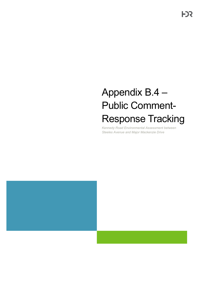# Appendix B.4 – Public Comment-Response Tracking

*Kennedy Road Environmental Assessment between Steeles Avenue and Major Mackenzie Drive*



**FDS**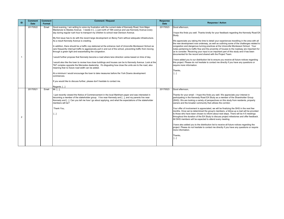hope this finds you well. Thanks kindly for your feedback regarding the Kennedy Road EA Study.

We appreciate you taking the time to detail your experiences travelling in the area with all he new development now underway, as well as outlining some of the challenges related to congestion and dangerous turning practices at the Unionville Montessori School. Your notes pertaining to traffic flow and the proximity of houses to the roadway are important for is to consider. Receiving your input is an important part of this study and it has been locumented for the record and shared with the Project Team.

have added you to our distribution list to ensure you receive all future notices regarding his project. Please do not hesitate to contact me directly if you have any questions or equire more information.

hanks,

| ID             | <b>Comment</b><br><b>Date</b> | <b>Comment</b><br>Format | <b>Comment / Request</b>                                                                                                                                                                                                                                                                                                                       | <b>Response</b><br><b>Date</b> |                               |
|----------------|-------------------------------|--------------------------|------------------------------------------------------------------------------------------------------------------------------------------------------------------------------------------------------------------------------------------------------------------------------------------------------------------------------------------------|--------------------------------|-------------------------------|
|                | 20170522                      | Email                    | Good evening, I am writing to voice my frustration with the current state of Kennedy Road, from Major<br>Mackenzie to Steeles Avenue. I reside in [], just north of 16th avenue and use Kennedy Avenue every<br>day during regular rush hour to transport my children to school near Denison Avenue.                                           | 20170523                       | lG<br>S1                      |
|                |                               |                          | My first issue has to do with the recent large development on Berzy Farm without adequate infrastructure.<br>As a result Kennedy Avenue is crawling.                                                                                                                                                                                           |                                | I٧<br>∣th                     |
|                |                               |                          | In addition, there should be a traffic cop stationed at the entrance /exit of Unionville Montessori School as<br>cars frequently interrupt traffic to aggressively pull in and out of the school, preventing traffic from moving<br>through a green light and exacerbating the congestion.                                                     |                                | cc<br> no<br> us              |
|                |                               |                          | would further propose that Kennedy become a road where lane direction varies based on time of day.                                                                                                                                                                                                                                             |                                | ldo                           |
|                |                               |                          | would also like the town to review how close buildings and houses can be to Kennedy Avenue. Look at the<br>T&T complex opposite the Mercedes dealership. It's disgusting how close the units are to the road, also<br>meaning that no future road width can be added.                                                                          |                                | ∣th<br> re                    |
|                |                               |                          | At a minimum I would encourage the town to take measures before the York Downs development<br>commences.                                                                                                                                                                                                                                       |                                | ΤI                            |
|                |                               |                          | If you would like to discuss further, please don't hesitate to contact me.                                                                                                                                                                                                                                                                     |                                |                               |
|                |                               |                          | Regards, []                                                                                                                                                                                                                                                                                                                                    |                                |                               |
|                | 20170521                      | Email                    | Mr. [],<br>I just recently viewed the Notice of Commencement in the local Markham paper and was interested in<br>becoming a member of the stakeholder group. I live near Kennedy and [], and my parents live near<br>Kennedy and []. Can you tell me how I go about applying, and what the expectations of the stakeholder<br>members will be? | 20170523                       | lG<br>TI<br> pa<br>(5)<br>l٥١ |
|                |                               |                          | Thank You,                                                                                                                                                                                                                                                                                                                                     |                                | Y<br>ım                       |
| $\overline{2}$ |                               |                          | $[]$                                                                                                                                                                                                                                                                                                                                           |                                | to<br>A                       |
|                |                               |                          |                                                                                                                                                                                                                                                                                                                                                |                                | pr<br>Im                      |
|                |                               |                          |                                                                                                                                                                                                                                                                                                                                                |                                |                               |
|                |                               |                          |                                                                                                                                                                                                                                                                                                                                                |                                |                               |

#### **Response / Action**

3ood afternoon,

have also added you to the distribution list to receive all future notices regarding the project. Please do not hesitate to contact me directly if you have any questions or require more information.

hanks,

[...]

#### 3ood afternoon,

Thanks for your email - I hope this finds you well. We appreciate your interest in participating in the Kennedy Road EA Study as a member of the Shareholder Group SHG). We are looking a variety of perspectives on this study from residents, property wners and the broader community that utilizes the corridor.

Your offer of involvement is appreciated, we will be finalizing the SHG in the next few months. Once we've determined the group's members, a follow-up e-mail will be provided those who have been chosen to inform about next steps. There will be 4-5 meetings hroughout the duration of the EA Study to discuss project milestones and offer feedback. All SHG members will be expected to attend every meeting.

[...]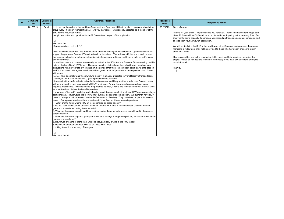Thanks for your email - I hope this finds you very well. Thanks in advance for being a part f our McCowan Road SHG and for your interest in participating in the Kennedy Road EA Study in the same capacity. I appreciate you resending these supplemental comments and queries from your McCowan application.

We will be finalizing the SHG in the next few months. Once we've determined the group's members, a follow-up e-mail will be provided to those who have been chosen to inform bout next steps.

have also added you to the distribution list to receive all future notices regarding the project. Please do not hesitate to contact me directly if you have any questions or require more information.

hanks,

 $\lbrack . . .]$ 

| ID | <b>Comment</b><br><b>Date</b> | <b>Comment</b><br>Format | <b>Comment / Request</b>                                                                                                                                                                                                                                                                                                                                                                                                                                                                                                                                                                                                                                                                                                                                                                                                                                                                                                                                                                                                                                                                                                                                                                                                                                                                                                                                                                                                                                                                                                                                                                                                                                                                                                                                                                                                                                                                                                                                                                                                                                                                                                                                                                                                                                                                                                                                                                                                                                                                                                                                                                                                                                                                                                                                                                                                                                                                                                                  | <b>Response</b><br><b>Date</b> |                                                                             |
|----|-------------------------------|--------------------------|-------------------------------------------------------------------------------------------------------------------------------------------------------------------------------------------------------------------------------------------------------------------------------------------------------------------------------------------------------------------------------------------------------------------------------------------------------------------------------------------------------------------------------------------------------------------------------------------------------------------------------------------------------------------------------------------------------------------------------------------------------------------------------------------------------------------------------------------------------------------------------------------------------------------------------------------------------------------------------------------------------------------------------------------------------------------------------------------------------------------------------------------------------------------------------------------------------------------------------------------------------------------------------------------------------------------------------------------------------------------------------------------------------------------------------------------------------------------------------------------------------------------------------------------------------------------------------------------------------------------------------------------------------------------------------------------------------------------------------------------------------------------------------------------------------------------------------------------------------------------------------------------------------------------------------------------------------------------------------------------------------------------------------------------------------------------------------------------------------------------------------------------------------------------------------------------------------------------------------------------------------------------------------------------------------------------------------------------------------------------------------------------------------------------------------------------------------------------------------------------------------------------------------------------------------------------------------------------------------------------------------------------------------------------------------------------------------------------------------------------------------------------------------------------------------------------------------------------------------------------------------------------------------------------------------------------|--------------------------------|-----------------------------------------------------------------------------|
|    | 20170519                      | Email                    | []as per the notice in the Markham Economist and Sun, I would like to apply to become a stakeholder<br>group (SHG) member, representing []. As you may recall, I was recently accepted as a member of the<br>SHG for the McCowan Rd EA.<br>As fyi, here is the info I provided to the McCowan team as part of the application.<br>[…]<br>Markham, On<br>Representative: [], [], []<br>Initial comments/feedback: We are supportive of road widening for HOV/Transit/AT, particularly as it will<br>support the proposed Frequent Transit Network on this street. To maximize efficiency and avoid abuse,<br>there needs to be strong enforcement against single occupant vehicles, and there should be traffic signal<br>priority for transit.<br>In addition, here is a comment we recently submitted re the 16th Ave and Bayview EAs requesting real-life<br>data on the benefits of HOV lanes. The same question obviously applies to McCowan. In subsequent<br>discussions with Steve Mota of York Region, he advised that there is no current actual travel time data on<br>York's HOV lanes. We agreed that it would be a good idea for Operations to develop some data. Steve<br>will pursue.<br>[]I have been following these two EAs closely. I am very interested in York Region's transportation<br>challenges. I am also the chair of [] transportation subcommittee.<br>It seems that the preferred alternative in these two cases, and likely in other arterial road EAs upcoming,<br>will be to widen the road to construct a HOV/Transit lane. As you know, road widenings have many<br>negative implications. If this is indeed the preferred solution, I would like to be assured that they will work<br>as advertised and deliver the benefits promised.<br>I am aware of the traffic modeling work showing travel time savings for transit and HOV cars versus single-<br>occupant cars. But I would like to know what our real life experience has been. We currently have HOV<br>lanes on Yonge (Clark to Steeles) and on Dufferin (407 to Steeles). They have been in place for several<br>years. Perhaps we also have them elsewhere in York Region. I have several questions.<br>1. What are the hours where HOV 2+ is in operation on these streets?<br>2. Do you have traffic counts or visual evidence that the HOV lane is noticeably less crowded than the<br>general purpose lanes during these periods?<br>3. What are the actual transit travel time savings during these periods, versus transit travel in the general<br>purpose lanes?<br>4. What are the actual high occupancy car travel time savings during these periods, versus car travel in the<br>general purpose lanes?<br>5. How much cheating is there (cars with one occupant only driving in the HOV lane)?<br>I6. How much enforcement does YRP do on these HOV lanes?<br>Looking forward to your reply. Thank you.<br>Markham. Ontario | 20170523                       | G<br>Th<br>lof<br><b>St</b><br> qı<br>W<br>m<br>at<br>ll h<br>pr<br>m<br>Th |
|    |                               |                          |                                                                                                                                                                                                                                                                                                                                                                                                                                                                                                                                                                                                                                                                                                                                                                                                                                                                                                                                                                                                                                                                                                                                                                                                                                                                                                                                                                                                                                                                                                                                                                                                                                                                                                                                                                                                                                                                                                                                                                                                                                                                                                                                                                                                                                                                                                                                                                                                                                                                                                                                                                                                                                                                                                                                                                                                                                                                                                                                           |                                |                                                                             |

# **Response / Action**

3ood afternoon,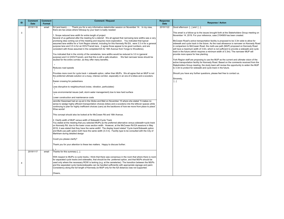York Region staff are proposing to use the MUP as the current and ultimate vision of the active transportation facility for Kennedy Road. Based on the comments received from the Stakeholders Group meeting, the study team will review the opportunity to widen the MUP o 3.3m to protect for sidewalk and cycle track in the future.

| ID | <b>Comment</b><br><b>Date</b> | <b>Comment</b><br>Format | <b>Comment / Request</b>                                                                                                                                                                                                                                                                                                                                                                                                                                                                                                                                                                                                                                                                                                                                                                                                                                                                                                                                                                                                                                                                                                                                                                                                                                                                                                                                                                                                                                                                                                                                                                                                                                                                                                                                                                                                                                                                                                                                                                                                                                                                                                                                                                                                                                                                                                                                                                                                                                                                                                                                                                                                                        | <b>Response</b><br><b>Date</b> |  |
|----|-------------------------------|--------------------------|-------------------------------------------------------------------------------------------------------------------------------------------------------------------------------------------------------------------------------------------------------------------------------------------------------------------------------------------------------------------------------------------------------------------------------------------------------------------------------------------------------------------------------------------------------------------------------------------------------------------------------------------------------------------------------------------------------------------------------------------------------------------------------------------------------------------------------------------------------------------------------------------------------------------------------------------------------------------------------------------------------------------------------------------------------------------------------------------------------------------------------------------------------------------------------------------------------------------------------------------------------------------------------------------------------------------------------------------------------------------------------------------------------------------------------------------------------------------------------------------------------------------------------------------------------------------------------------------------------------------------------------------------------------------------------------------------------------------------------------------------------------------------------------------------------------------------------------------------------------------------------------------------------------------------------------------------------------------------------------------------------------------------------------------------------------------------------------------------------------------------------------------------------------------------------------------------------------------------------------------------------------------------------------------------------------------------------------------------------------------------------------------------------------------------------------------------------------------------------------------------------------------------------------------------------------------------------------------------------------------------------------------------|--------------------------------|--|
| 3  | 20191116                      | email                    | Ed (and team) Thank you for a very informative stakeholder session on November 14. In my view,<br>there are two areas where followup by your team is badly needed:<br>1. Scope reduced lane width for entire length of project<br>Several of us gathered after the meeting for a debrief. We all agreed that narrowing lane widths was a very<br>promising idea coming out of the meeting and requires more exploration. You indicated that typical<br>assumed lane widths for a York Region arterial, including for this Kennedy Rd EA, were 3.3 m for a general<br>purpose lane and 3.5 m for an HOV/Transit lane. (I agree those appear to be good numbers, and are<br>consistent with those assumed in the completed EA for 16th Avenue from Yonge to Woodbine).<br>You indicated that in the vicinity of the cemeteries, lane widths would be reduced to 3.0 m (general<br>purpose) and 3.2 (HOV/Transit), and that this is still a safe situation. We feel narrower lanes should be<br>studied for the entire corridor, as they offer many benefits;<br>Reduces road speeds<br>Provides more room for cycle track + sidewalk option, rather than MUPs. We all agree that an MUP is not<br>the preferred ultimate solution on a busy, intense corridor, especially in an era of e-bikes and e-scooters.<br>Easier crossing for pedestrians<br>Less disruptive to neighbourhood (noise, vibration, particulates)<br>Less environmental issues (salt, storm water management) due to less hard surface<br>Lower construction and maintenance costs<br>Jennifer Keesmaat had an op-ed in the Globe and Mail on November 15 where she stated "It makes no<br>sense to wedge highly efficient transportation choices (bikes and e-scooters) into the leftover spaces while<br>continuing to plan for highly inefficient choices (cars) as the backbone of how we move from place to place".<br>Wise words!<br>This concept should also be looked at for McCowan Rd and 16th Avenue.<br>2. Clarify width of MUP versus width of Sidewalk+Cycle Track<br>You stated at the meeting that you selected MUPs as the preferred alternative versus sidewalk+cycle track<br>on Kennedy Rd. due to the lower cross section width. However, at the McCowan Rd EA sessions in May<br>2019, it was stated that they have the same width! The display board stated "Cycle track/Sidewalk option<br>and Multi-use path option both have the same width (3.3 m). Facility type to be consulted with the City of<br>Markham during detailed design<br>Could you please clarify?<br>Thank you for your attention to these two matters. Happy to discuss further. | 20191122                       |  |
|    | 20191117                      | email                    | Thanks for this summary [].                                                                                                                                                                                                                                                                                                                                                                                                                                                                                                                                                                                                                                                                                                                                                                                                                                                                                                                                                                                                                                                                                                                                                                                                                                                                                                                                                                                                                                                                                                                                                                                                                                                                                                                                                                                                                                                                                                                                                                                                                                                                                                                                                                                                                                                                                                                                                                                                                                                                                                                                                                                                                     |                                |  |
| 4  |                               |                          | With respect to MUPs vs cycle tracks, I think that there was consensus in the room that where there is room<br>for separated cycle tracks and sidewalks, that should be the preferred option, and that MUPs should be<br>used only where the necessary ROW is lacking (e.g. at the cemeteries). The transition between the MUPs<br>and the separated cycle tracks/sidewalks can be handled sufficiently with appropriate signage and paint.<br>Consistency along the full length of Kennedy (ie MUP only for the full distance) was not supported.<br>Cheers,                                                                                                                                                                                                                                                                                                                                                                                                                                                                                                                                                                                                                                                                                                                                                                                                                                                                                                                                                                                                                                                                                                                                                                                                                                                                                                                                                                                                                                                                                                                                                                                                                                                                                                                                                                                                                                                                                                                                                                                                                                                                                   |                                |  |

#### **Response / Action**

3ood afternoon [...] and [...],

This email is a follow-up to the issues brought forth at the Stakeholders Group meeting on November 14, 2019. For your reference, case 2104909 has been created.

McCowan Road's active transportation facility is proposed to be 3.3m wide to allow for  $\mathsf{idealk}$  and cycle track in the future. As the road allowance is narrower on Kennedy Road  $\vert$ in comparison to McCowan Road, the multi-use path (MUP) proposed on Kennedy Road will have a maximum width of 3.0m, which is not sufficient to provide a sidewalk and cycle rack in the future (which requires a minimum width of 3.3m). The narrower MUP will provide more space for tree planting.

Should you have any further questions, please feel free to contact us.

Sincerely, [...]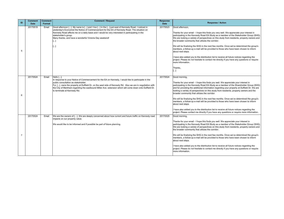Thanks for your email - I hope this finds you very well. We appreciate your interest in participating in the Kennedy Road EA Study as a member of the Stakeholder Group (SHG). We are looking a variety of perspectives on this study from residents, property owners and he broader community that utilizes the corridor.

have also added you to the distribution list to receive all future notices regarding the project. Please do not hesitate to contact me directly if you have any questions or require more information.

We will be finalizing the SHG in the next few months. Once we've determined the group's members, a follow-up e-mail will be provided to those who have been chosen to inform about next steps.

have also added you to the distribution list to receive all future notices regarding the project. Please contact me directly if you have any questions or require more information.

3ood morning,

Thanks for your email - I hope this finds you well. We appreciate your interest in participating in the Kennedy Road EA Study as a member of the Stakeholder Group (SHG). We are looking a variety of perspectives on this study from residents, property owners and he broader community that utilizes the corridor.

Thanks,

 $\ldots$ ]

3ood morning,

| ID | <b>Comment</b><br><b>Date</b> | <b>Comment</b><br><b>Format</b> | <b>Comment / Request</b>                                                                                                                                                                                                                                                                                                                                                                                                       | <b>Response</b><br><b>Date</b> |   |
|----|-------------------------------|---------------------------------|--------------------------------------------------------------------------------------------------------------------------------------------------------------------------------------------------------------------------------------------------------------------------------------------------------------------------------------------------------------------------------------------------------------------------------|--------------------------------|---|
| 5  | 20170519                      | Email                           | Good afternoon []. My name is [] and I live [] in the [] just east of Kennedy Road. I noticed in<br>yesterday's Economist the Notice of Commencement for the EA of Kennedy Road. The situation on<br>Kennedy Road affects me on a daily basis and I would be very interested in participating in the<br>stakeholder's group.<br>Many thanks, and have a wonderful Victoria Day weekend!<br>$[\ldots]$<br>$\left[\ldots\right]$ | 20170523                       |   |
|    |                               |                                 |                                                                                                                                                                                                                                                                                                                                                                                                                                |                                |   |
| 6  | 20170524                      | Email                           | Hello [],<br>In response to your Notice of Commencement for the EA on Kennedy, I would like to participate in the<br>public consultation as stakeholder.<br>Fyi, []. owns the property at Duffield Dr. on the west side of Kennedy Rd. Also we are in negotiation with<br>the City of Markham regarding the eastbound Miller Ave. extension which will come down onto Duffield Dr.<br>to terminate at Kennedy Rd.              | 20170524                       |   |
|    | 20170524                      | Email                           | We are the owners of []. We are deeply concerned about how current and future traffic on Kennedy road<br>impacts on our property value.<br>We would like to be informed and if possible be part of future planning.                                                                                                                                                                                                            | 20170525                       |   |
|    |                               |                                 |                                                                                                                                                                                                                                                                                                                                                                                                                                |                                | a |

#### **Response / Action**

#### 3ood afternoon,

have also added you to the distribution list to receive all future notices regarding the project. Please do not hesitate to contact me directly if you have any questions or require more information.

Thanks for your email - I hope this finds you well. We appreciate your interest in participating in the Kennedy Road EA Study as a member of the Shareholder Group (SHG) and for providing the additional information regarding your property at Duffield Dr. We are ooking a variety of perspectives on this study from residents, property owners and the broader community that utilizes the corridor.

We will be finalizing the SHG in the next few months. Once we've determined the group's members, a follow-up e-mail will be provided to those who have been chosen to inform about next steps.

We will be finalizing the SHG in the next few months. Once we've determined the group's members, a follow-up e-mail will be provided to those who have been chosen to inform about next steps.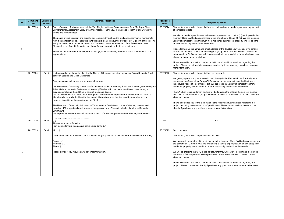have also added you to the distribution list to receive all future notices regarding the project. Please do not hesitate to contact me directly if you have any questions or require more information.

hanks for your email - I hope this finds you very well.

We also appreciate your interest in having a representative from the [...] participate in the Kennedy Road EA Study as a member of the Shareholder Group (SHG). We are looking a ariety of perspectives on this study from residents, businesses, property owners and the broader community that utilizes the corridor.

Please forward us the name and email address of the Trustee you're considering putting orward for the SHG. We will be finalizing the group in the next few months. Once we've letermined the SHG members, a follow-up e-mail will be provided to those who have been hosen to inform about next steps.

We greatly appreciate your interest in participating in the Kennedy Road EA Study as a member of the Stakeholder Group (SHG) and value the perspective of the Heathwood Ratepayers Association on this project. We are looking a variety of perspectives from esidents, property owners and the broader community that utilizes the corridor.

The EA Study is just underway and we will be finalizing the SHG in the next few months. Once we've determined the group's members, a follow-up e-mail will be provided to inform bout next steps.

have also added you to the distribution list to receive all future notices regarding the project, including invitations to our Open Houses. Please do not hesitate to contact me lirectly if you have any questions or require more information.

We appreciate your interest in participating in the Kennedy Road EA Study as a member of he Stakeholder Group (SHG). We are looking a variety of perspectives on this study from esidents, property owners and the broader community that utilizes the corridor.

We will be finalizing the SHG in the next few months. Once we've determined the group's members, a follow-up e-mail will be provided to those who have been chosen to inform bout next steps.

have also added you to the distribution list to receive all future notices regarding the project. Please contact me directly if you have any questions or require more information.

| ID | <b>Comment</b><br><b>Date</b> | <b>Comment</b><br>Format | <b>Comment / Request</b>                                                                                                                                                                                                                                                                                                                                                                                                                                                                                                                                                                                                                                                                                                                                                                                                                                                                                                                                                                                                                                                                    | <b>Response</b><br><b>Date</b> | <b>Response</b>                                                                                                                                                                                                                                                                                                                                                                                                                                                                                                                                                                                          |
|----|-------------------------------|--------------------------|---------------------------------------------------------------------------------------------------------------------------------------------------------------------------------------------------------------------------------------------------------------------------------------------------------------------------------------------------------------------------------------------------------------------------------------------------------------------------------------------------------------------------------------------------------------------------------------------------------------------------------------------------------------------------------------------------------------------------------------------------------------------------------------------------------------------------------------------------------------------------------------------------------------------------------------------------------------------------------------------------------------------------------------------------------------------------------------------|--------------------------------|----------------------------------------------------------------------------------------------------------------------------------------------------------------------------------------------------------------------------------------------------------------------------------------------------------------------------------------------------------------------------------------------------------------------------------------------------------------------------------------------------------------------------------------------------------------------------------------------------------|
| 8  | 20170523                      | Email                    | Good afternoon. Today we received the York Region Notice of Commencement for a Municipal Class<br>Environmental Assessment Study of Kennedy Road. Thank you. It was good to learn of this work in the<br>weeks and months ahead.<br>The notice invited "resident and stakeholder feedback throughout the study andcommunity members to<br>form a stakeholder group." Because our building is located on Kennedy Road, just [] north of Steeles, we<br>are quite interested to nominate one of our Trustees to serve as a member of the Stakeholder Group.<br>Please alert us of what information we should forward to you in order to be considered.<br>Thank you for your work to develop our roadways, while respecting the needs of the environment. We<br>appreciate you.                                                                                                                                                                                                                                                                                                               | 20170524                       | Thanks for your email - I hope this finds you we<br>of our local projects.<br>We also appreciate your interest in having a re<br>Kennedy Road EA Study as a member of the S<br>variety of perspectives on this study from reside<br>broader community that utilizes the corridor.<br>Please forward us the name and email address<br>forward for the SHG. We will be finalizing the g<br>determined the SHG members, a follow-up e-m<br>chosen to inform about next steps.<br>I have also added you to the distribution list to<br>project. Please do not hesitate to contact me di<br>more information. |
| 9  | 20170524                      | Email                    | Just received at my home the flyer for the Notice of Commencement of the subject EA on Kennedy Road<br>between Steeles and Major Mackenzie.<br>Can you please include me in your stakeholder group.<br>Our Heathwood Community is deeply affected by the traffic on Kennedy Road and Steeles generated by the<br>Asian Malls at the North East corner of Kennedy/Steeles which we understand have plans for major<br>expansion including the addition of several residential towers.<br>We are also concerned about the pressing need to build an underpass on Kennedy for the GO train as<br>Metrolinks is currently doubling the tracks and it is obvious to us that the need for an underpass on<br>Kennedy is as big as the one planned for Steeles.<br>The Heathwood Community is located in Toronto on the South West corner of Kennedy/Steeles and<br>includes 1400 single family residences in the quadrant from Steeles to McNichol and from Kennedy to<br>Birchmount.<br>We experience severe traffic infiltration as a result of traffic congestion on both Kennedy and Steeles. | 20170526                       | Thanks for your email - I hope this finds you ve<br>We greatly appreciate your interest in participa<br>member of the Stakeholder Group (SHG) and v<br>Ratepayers Association on this project. We are<br>residents, property owners and the broader cor<br>The EA Study is just underway and we will be fi<br>Once we've determined the group's members, a<br>about next steps.<br>I have also added you to the distribution list to i<br>project, including invitations to our Open House<br>directly if you have any questions or require mo                                                           |
|    | 20170526                      | Email                    | will apticipate your positive response<br>Thanks for your confirmation.<br>I am looking forward to an active participation to the EA.                                                                                                                                                                                                                                                                                                                                                                                                                                                                                                                                                                                                                                                                                                                                                                                                                                                                                                                                                       | n/a                            | n/a                                                                                                                                                                                                                                                                                                                                                                                                                                                                                                                                                                                                      |
| 10 | 20170529                      | Email                    | Mr. $[]$ ,<br>I wish to apply to be a member of the stakeholder group that will consult in the Kennedy Road EA Study.<br>Name: $[]$<br>Address: []<br>[Phone: []<br>Please advise if you require any additional information.                                                                                                                                                                                                                                                                                                                                                                                                                                                                                                                                                                                                                                                                                                                                                                                                                                                                | 20170529                       | Good morning,<br>Thanks for your email - I hope this finds you we<br>We appreciate your interest in participating in t<br>the Stakeholder Group (SHG). We are looking<br>residents, property owners and the broader cor<br>We will be finalizing the SHG in the next few me<br>members, a follow-up e-mail will be provided to<br>about next steps.<br>I have also added you to the distribution list to<br>project. Please contact me directly if you have a                                                                                                                                            |

#### **Response / Action**

Thanks for your email - I hope this finds you well and we appreciate your ongoing support of our local projects.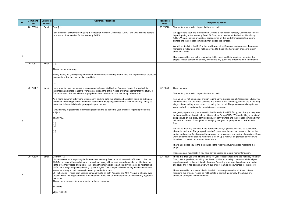We appreciate your and the Markham Cycling & Pedestrian Advisory Committee's interest n participating in the Kennedy Road EA Study as a member of the Stakeholder Group SHG). We are looking a variety of perspectives on this study from residents, property wners and the broader community that utilizes the corridor.

have also added you to the distribution list to receive all future notices regarding the project. Please contact me directly if you have any questions or require more information.

3ood morning,

Thanks for your email - I hope this finds you well.

We will be finalizing the SHG in the next few months. Once we've determined the group's members, a follow-up e-mail will be provided to those who have been chosen to inform about next steps.

Forgive us for not being clear enough regarding the Environmental Assessment Study, you were unable to find the report because this project is just underway, and we are in the early tages of conducting research and producing this report. The process can take up to two ears and will be available to the public once complete.

We will be finalizing the SHG in the next few months, if you would like to be considered, please let me know. The group will meet 4-5 times over the next two years to discuss the project and provide feedback on the proposed improvements and design alternatives. Once we've determined the group's members, a follow-up e-mail will be provided to those who ave been chosen to inform about next steps.

have also added you to the distribution list to receive all future notices regarding the project.

Please contact me directly if you have any questions or require more information.

hope this finds you well. Thanks kindly for your feedback regarding the Kennedy Road EA Study. We appreciate you taking the time to outline your safety concerns and detail your experiences with noise pollution in the area. Receiving your input is an important part of his study and it has been shared with our project team and documented for the record.

have also added you to our distribution list to ensure you receive all future notices egarding this project. Please do not hesitate to contact me directly if you have any questions or require more information.

| ID | <b>Comment</b><br><b>Date</b> | <b>Comment</b><br>Format | <b>Comment / Request</b>                                                                                                                                                                                                                                                                                               | <b>Response</b><br><b>Date</b> |  |
|----|-------------------------------|--------------------------|------------------------------------------------------------------------------------------------------------------------------------------------------------------------------------------------------------------------------------------------------------------------------------------------------------------------|--------------------------------|--|
|    | 20170528                      | Email                    | Dear [],                                                                                                                                                                                                                                                                                                               | 20170528                       |  |
|    |                               |                          | I am a member of Markham's Cycling & Pedestrian Advisory Committee (CPAC) and would like to apply to<br>be a stakeholder member for the Kennedy Rd EA.                                                                                                                                                                 |                                |  |
|    |                               |                          |                                                                                                                                                                                                                                                                                                                        |                                |  |
|    |                               |                          |                                                                                                                                                                                                                                                                                                                        |                                |  |
|    |                               |                          |                                                                                                                                                                                                                                                                                                                        |                                |  |
| 11 |                               |                          |                                                                                                                                                                                                                                                                                                                        |                                |  |
|    | 20170531                      | Email                    | $[]$ ,                                                                                                                                                                                                                                                                                                                 |                                |  |
|    |                               |                          | Thank you for your reply.                                                                                                                                                                                                                                                                                              |                                |  |
|    |                               |                          | Really hoping for good cycling infra on the boulevard for this busy arterial road and hopefully also protected<br>intersections, but this can be discussed later.                                                                                                                                                      |                                |  |
|    |                               |                          | $[ \ldots ]$                                                                                                                                                                                                                                                                                                           |                                |  |
|    | 20170527                      | Email                    | Have recently received by mail a single page Notice of EA Study of Kennedy Road. It provides little<br>information and refers reader to "york.ca.ea" to read the entire Notice of Commencement for the study. I<br>find no report at this site with the appropriate title or publication date that I may reference to. | 20170529                       |  |
|    |                               |                          | As a home owner of forty years, with property backing onto the referenced corridor I would be extremely                                                                                                                                                                                                                |                                |  |
|    |                               |                          | interested in reading this Environmental Assessment Study objectives and to view it's entirety. I may be<br>interested to be a stakeholder group participant member.                                                                                                                                                   |                                |  |
|    |                               |                          | I would kindly request more information please and to be added to your email list regarding the above                                                                                                                                                                                                                  |                                |  |
|    |                               |                          | subject.                                                                                                                                                                                                                                                                                                               |                                |  |
| 12 |                               |                          | Thank you.                                                                                                                                                                                                                                                                                                             |                                |  |
|    |                               |                          | $[\dots]$<br>$[]$                                                                                                                                                                                                                                                                                                      |                                |  |
|    |                               |                          | $[\dots]$                                                                                                                                                                                                                                                                                                              |                                |  |
|    |                               |                          |                                                                                                                                                                                                                                                                                                                        |                                |  |
|    |                               |                          |                                                                                                                                                                                                                                                                                                                        |                                |  |
|    |                               |                          |                                                                                                                                                                                                                                                                                                                        |                                |  |
|    | 20170529                      | Email                    | Dear Mr. [],                                                                                                                                                                                                                                                                                                           | 20170530                       |  |
|    |                               |                          | I have two concerns regarding the future use of Kennedy Road and/or increased traffic flow on this road.<br>1) Safety - I have witnessed at least one accident along with several narrowly avoided accidents at the                                                                                                    |                                |  |
|    |                               |                          | lights of Kennedy Road and Bridle Trail. I think this intersection is particularly vulnerable as northbound<br>traffic has a long straightaway leading up to the lights. This is especially concerning as this intersection                                                                                            |                                |  |
|    |                               |                          | serves as a busy school crossing in mornings and afternoons.<br>2) Traffic noise - noise from passing cars and trucks on both Kennedy and 16th Avenue is already ever-                                                                                                                                                 |                                |  |
| 13 |                               |                          | present within the neighbourhood. An increase in traffic flow on Kennedy Avenue would surely aggravate<br>this issue.<br>Thank you in advance for your attention to these concerns.                                                                                                                                    |                                |  |
|    |                               |                          | Sincerely,                                                                                                                                                                                                                                                                                                             |                                |  |
|    |                               |                          | Local resident                                                                                                                                                                                                                                                                                                         |                                |  |

#### **Response / Action**

Thanks for your email - I hope this finds you well.

We greatly appreciate your interest in the Kennedy Road EA Study, and that you may also be interested in applying to join our Stakeholder Group (SHG). We are looking a variety of erspectives on this study from residents, property owners and the broader community that utilizes the corridor. Thank you for identifying that your property backs on to Kennedy Road.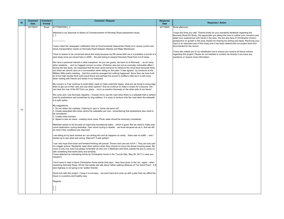| 20170531<br>ATTTENTION []<br>Email<br>Attached is my response to Notice of Commencement of Kennedy Road assessment study.<br>[[]<br>have noted the newspaper notification that an Environmental Assessment Study is to review current and<br>future transportation needs on Kennedy Road between Steeles and Major Mackenzie.<br>There is reason to be concerned about this study because my 6th sense tells me it is probably a revival of a<br>past study since we moved here in 2005 the plan being to expand Kennedy Road from 4 to 6 lanes.<br>We have a personal interest in what transpires. As you can guess, we back on to Kennedy  as do many<br>other residents  and our biggest concern is noise. (Pollution also but not an everyday noticeable effect.)<br>During the last study, we requested that the town send someone to measure the noise level because there<br>are times we cannot carry on a conversation when sitting on the patio. It was agreedby someone at the<br>Milliken Mills public meeting that this could be arranged but nothing happened. Since then we have built<br>an 8 foot high double thick solid wood fence and perhaps the sound is muffled a little but it is still noisy | 20170605 | Good afternoon,<br>I hope this finds<br><b>Kennedy Road E</b><br>detail your exper<br>perspective on g<br>input is an impor<br>documented for<br>have also adde<br>regarding this pr<br>questions or req |
|-----------------------------------------------------------------------------------------------------------------------------------------------------------------------------------------------------------------------------------------------------------------------------------------------------------------------------------------------------------------------------------------------------------------------------------------------------------------------------------------------------------------------------------------------------------------------------------------------------------------------------------------------------------------------------------------------------------------------------------------------------------------------------------------------------------------------------------------------------------------------------------------------------------------------------------------------------------------------------------------------------------------------------------------------------------------------------------------------------------------------------------------------------------------------------------------------------------------------|----------|----------------------------------------------------------------------------------------------------------------------------------------------------------------------------------------------------------|
|                                                                                                                                                                                                                                                                                                                                                                                                                                                                                                                                                                                                                                                                                                                                                                                                                                                                                                                                                                                                                                                                                                                                                                                                                       |          |                                                                                                                                                                                                          |
|                                                                                                                                                                                                                                                                                                                                                                                                                                                                                                                                                                                                                                                                                                                                                                                                                                                                                                                                                                                                                                                                                                                                                                                                                       |          |                                                                                                                                                                                                          |
|                                                                                                                                                                                                                                                                                                                                                                                                                                                                                                                                                                                                                                                                                                                                                                                                                                                                                                                                                                                                                                                                                                                                                                                                                       |          |                                                                                                                                                                                                          |
|                                                                                                                                                                                                                                                                                                                                                                                                                                                                                                                                                                                                                                                                                                                                                                                                                                                                                                                                                                                                                                                                                                                                                                                                                       |          |                                                                                                                                                                                                          |
| when visiting with friends and family in our backyard.                                                                                                                                                                                                                                                                                                                                                                                                                                                                                                                                                                                                                                                                                                                                                                                                                                                                                                                                                                                                                                                                                                                                                                |          |                                                                                                                                                                                                          |
| My concern is if we continue to build wider roads to make motorists happy, what are we doing to encourage<br>them to get out of their cars and use other options? And we continue to make it noisier for everyone. We<br>can hear the roar of the 407 from our place not to re-mention Kennedy on the other side of our fence!                                                                                                                                                                                                                                                                                                                                                                                                                                                                                                                                                                                                                                                                                                                                                                                                                                                                                        |          |                                                                                                                                                                                                          |
| $ $ We cycle and I use Kennedy regularly. I choose not to use the road when there is a sidewalk that is seldom $ $<br>used by pedestrians and sometimes by dog walkers. It is crazy to venture onto the road when the sidewalk<br>is a safe option.                                                                                                                                                                                                                                                                                                                                                                                                                                                                                                                                                                                                                                                                                                                                                                                                                                                                                                                                                                   |          |                                                                                                                                                                                                          |
| My suggestions:<br>1. Do not widen the roadway. Catering to cars is "same old same old".<br>14<br>2. Create separated bike lanes where the sidewalks are now remembering that pedestrians also need to<br>be considered.<br>3. Create noise barriers.<br>4. Speed is also an issue - creating more noise. Photo radar should be seriously considered.                                                                                                                                                                                                                                                                                                                                                                                                                                                                                                                                                                                                                                                                                                                                                                                                                                                                 |          |                                                                                                                                                                                                          |
| Markham seems to be focused on improving recreational paths which is good. But we need to make year<br>round destination cycling desirable. Year round cycling is doable we know because we do it. And we will<br>do more if the conditions are improved.                                                                                                                                                                                                                                                                                                                                                                                                                                                                                                                                                                                                                                                                                                                                                                                                                                                                                                                                                             |          |                                                                                                                                                                                                          |
| am sitting at my back window as I am writing this and as happens so rarely there was no traffic and I<br>looked up to see what was wrong. Silence!!! It was golden!                                                                                                                                                                                                                                                                                                                                                                                                                                                                                                                                                                                                                                                                                                                                                                                                                                                                                                                                                                                                                                                   |          |                                                                                                                                                                                                          |
| can only hope that smart and forward thinking will prevail. Drivers and cars are not #1. They are only part<br>of a bigger picture. Residents need other options when they choose to move into dense housing areas. My<br>voice is only one voice but please remember all who live in Markham and think outside the box to come up<br>with something that works fairly and sensibly.<br>have attached an interesting article by Christopher Hume in the Toronto Star, May 29, 2017 in case you<br>missed it.                                                                                                                                                                                                                                                                                                                                                                                                                                                                                                                                                                                                                                                                                                          |          |                                                                                                                                                                                                          |
| don't want to read a future Christopher Hume article that says they have given in the car - again - when<br>reworking Kennedy Road. All the real estate ads talk about 'within walking distance of Too Good Pond'. A 6<br>lane highway is not going to be 'walker friendly'.                                                                                                                                                                                                                                                                                                                                                                                                                                                                                                                                                                                                                                                                                                                                                                                                                                                                                                                                          |          |                                                                                                                                                                                                          |
| Good luck with this project. I know it is not easy but work hard and come up with a plan that can effect the<br>future in a positive and healthy way.                                                                                                                                                                                                                                                                                                                                                                                                                                                                                                                                                                                                                                                                                                                                                                                                                                                                                                                                                                                                                                                                 |          |                                                                                                                                                                                                          |
| Regards                                                                                                                                                                                                                                                                                                                                                                                                                                                                                                                                                                                                                                                                                                                                                                                                                                                                                                                                                                                                                                                                                                                                                                                                               |          |                                                                                                                                                                                                          |
| []<br>[]                                                                                                                                                                                                                                                                                                                                                                                                                                                                                                                                                                                                                                                                                                                                                                                                                                                                                                                                                                                                                                                                                                                                                                                                              |          |                                                                                                                                                                                                          |

# **Response / Action**

I hope this finds you well. Thanks kindly for your wonderful feedback regarding the Kennedy Road EA Study. We appreciate you taking the time to outline your concerns and detail your experiences with travel in the area. We are also fans of Christopher Hume's perspective on growth in the area, thanks for sharing his writing and ideas. Receiving your input is an important part of this study and it has been shared with our project team and documented for the record.

I have also added you to our distribution list to ensure you receive all future notices regarding this project. Please do not hesitate to contact me directly if you have any questions or require more information.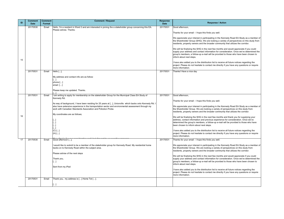We appreciate your interest in participating in the Kennedy Road EA Study as a member of he Shareholder Group (SHG). We are looking a variety of perspectives on this study from esidents, property owners and the broader community that utilizes the corridor.

Thanks for your email - I hope this finds you well.

We will be finalizing the SHG in the next few months and would appreciate if you could supply your address and contact information for consideration. Once we've determined the group's members, a follow-up e-mail will be provided to those who have been chosen to nform about next steps.

have also added you to the distribution list to receive all future notices regarding the project. Please do not hesitate to contact me directly if you have any questions or require more information.

Thanks! Have a nice day

3ood afternoon,

Thanks for your email - I hope this finds you well.

We appreciate your interest in participating in the Kennedy Road EA Study as a member of he Shareholder Group. We are looking a variety of perspectives on this study from esidents, property owners and the broader community that utilizes the corridor.

have also added you to the distribution list to receive all future notices regarding the project. Please do not hesitate to contact me directly if you have any questions or require more information.

hanks for your email - I hope this finds you well.

We appreciate your interest in participating in the Kennedy Road EA Study as a member of $\mid$ he Shareholder Group. We are looking a variety of perspectives on this study from esidents, property owners and the broader community that utilizes the corridor.

We will be finalizing the SHG in the next few months and would appreciate if you could upply your address and contact information for consideration. Once we've determined the group's members, a follow-up e-mail will be provided to those who have been chosen to nform about next steps.

have also added you to the distribution list to receive all future notices regarding the project. Please do not hesitate to contact me directly if you have any questions or require more information.

|    | <b>Comment</b> | <b>Comment</b> | <b>Comment / Request</b>                                                                                 | <b>Response</b> |     |
|----|----------------|----------------|----------------------------------------------------------------------------------------------------------|-----------------|-----|
| ID | <b>Date</b>    | <b>Format</b>  |                                                                                                          | <b>Date</b>     |     |
|    | 20170530       | Email          | Hello, I'm a resident in Ward 3 and am interested in joining the a stakeholder group concerning this EA. | 20170531        |     |
|    |                |                | Please advise. Thanks.                                                                                   |                 |     |
|    |                |                |                                                                                                          |                 |     |
|    |                |                |                                                                                                          |                 |     |
|    |                |                |                                                                                                          |                 |     |
|    |                |                |                                                                                                          |                 |     |
|    |                |                |                                                                                                          |                 |     |
|    |                |                |                                                                                                          |                 |     |
|    |                |                |                                                                                                          |                 |     |
|    |                |                |                                                                                                          |                 |     |
| 15 |                |                |                                                                                                          |                 |     |
|    |                |                |                                                                                                          |                 |     |
|    |                |                |                                                                                                          |                 |     |
|    | 20170531       | Email          | Hello [],                                                                                                | 20170531        |     |
|    |                |                |                                                                                                          |                 |     |
|    |                |                | My address and contact info are as follow:<br>$[ \ldots ]$                                               |                 |     |
|    |                |                | $phone:$ []                                                                                              |                 |     |
|    |                |                | email: $[]$                                                                                              |                 |     |
|    |                |                | Please keep me updated. Thanks.                                                                          |                 |     |
|    |                |                |                                                                                                          |                 |     |
|    | 20170531       | Email          | I am writing to apply for membership on the stakeholder Group for the Municipal Class EA Study of        | 20170531        |     |
|    |                |                | Kennedy Rd.                                                                                              |                 |     |
|    |                |                | As way of background, I have been residing for 25 years at [], Unionville which backs onto Kennedy Rd. I |                 |     |
|    |                |                | also have extensive experience in the transportation sector and environmental assessment through my      |                 | ı٧  |
|    |                |                | work with Canadian Standards Association and Pollution Probe.                                            |                 | Itl |
|    |                |                | My coordinates are as follows;                                                                           |                 |     |
| 16 |                |                |                                                                                                          |                 |     |
|    |                |                | []                                                                                                       |                 |     |
|    |                |                | []                                                                                                       |                 |     |
|    |                |                | []<br>[]                                                                                                 |                 | ۱b  |
|    |                |                | $(C)$ []                                                                                                 |                 |     |
|    |                |                | $(H)$ []                                                                                                 |                 |     |
|    |                |                |                                                                                                          |                 |     |
| 17 | 20170530       | Email          | Good afternoon [],                                                                                       | 20170531        |     |
|    |                |                | I would like to submit to be a member of the stakeholder group for Kennedy Road. My residential home     |                 |     |
|    |                |                | backs on to Kennedy Road within the subject area.                                                        |                 |     |
|    |                |                |                                                                                                          |                 |     |
|    |                |                | Please advise of the next steps                                                                          |                 |     |
|    |                |                | Thank you,                                                                                               |                 |     |
|    |                |                | []                                                                                                       |                 |     |
|    |                |                |                                                                                                          |                 |     |
|    |                |                | Sent from my iPad                                                                                        |                 |     |
|    |                |                |                                                                                                          |                 |     |
|    |                |                |                                                                                                          |                 |     |
|    | 20170531       | Email          | Thank you, my address is [] Home Tel [].                                                                 |                 |     |
|    |                |                |                                                                                                          |                 |     |
|    |                |                | $\left[\ldots\right]$                                                                                    |                 |     |

#### **Response / Action**

3ood afternoon,

We will be finalizing the SHG in the next few months and thank you for supplying your address, contact information and previous experience for consideration. Once we've letermined the group's members, a follow-up e-mail will be provided to those who have been chosen to inform about next steps.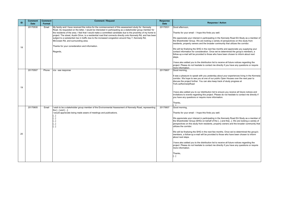have also added you to the distribution list to receive all future notices regarding the project. Please do not hesitate to contact me directly if you have any questions or require more information.

Thanks for your email - I hope this finds you well.

t was a pleasure to speak with you yesterday about your experiences living in the Kennedy corridor. We hope to see you at one of our public Open Houses over the next year to liscuss the project further. You can also keep track of study progress at York.ca/KennedyRoad

We appreciate your interest in participating in the Kennedy Road EA Study as a member of he Shareholder Group. We are looking a variety of perspectives on this study from residents, property owners and the broader community that utilizes the corridor.

have also added you to our distribution list to ensure you receive all future notices and nvitations to events regarding this project. Please do not hesitate to contact me directly if you have any questions or require more information.

| ID | <b>Comment</b><br><b>Date</b> | <b>Comment</b><br>Format | <b>Comment / Request</b>                                                                                                                                                                                                                                                                                                                                                                                                                                                                                                                                                                                                                                   | <b>Response</b><br><b>Date</b> |                                                                                                                                                                                                                                                    |
|----|-------------------------------|--------------------------|------------------------------------------------------------------------------------------------------------------------------------------------------------------------------------------------------------------------------------------------------------------------------------------------------------------------------------------------------------------------------------------------------------------------------------------------------------------------------------------------------------------------------------------------------------------------------------------------------------------------------------------------------------|--------------------------------|----------------------------------------------------------------------------------------------------------------------------------------------------------------------------------------------------------------------------------------------------|
| 18 | 20170530                      | Email                    | My family and I have received the notice for the commencement of this assessment study for Kennedy<br>Road. As requested on the letter, I would be interested in participating as a stakeholder group member for<br>the residents of the area. I feel that I would make a committed candidate due to the proximity of my home to<br>project. The street, Austin Drive, is a residential road that connects directly onto Kennedy Rd, and has been<br>subject to a substantial rise in traffic due to the increased congestion around Hwy 7, Kennedy Rd,<br>McCowan Rd, and surrounding area.<br>Thanks for your consideration and information.<br>Regards, | 20170531                       | Good afternoor<br>Thanks for you<br>We appreciate<br>the Shareholde<br>residents, prop<br>We will be fina<br>contact informa<br>follow-up e-ma<br>steps.<br>I have also add<br>project. Please<br>more informatio                                  |
| 19 | 20170507                      | Phone                    | n/a - see response                                                                                                                                                                                                                                                                                                                                                                                                                                                                                                                                                                                                                                         | 20170607                       | Good morning,<br>It was a pleasu<br>corridor. We he<br>discuss the pro<br>York.ca/Kenne<br>I have also add<br>invitations to et<br>you have any o<br>Thanks,<br>r 1                                                                                |
| 20 | 20170605                      | Email                    | wish to be a stakeholder group member of the Environmental Assessment of Kennedy Road, representing<br>the [] and [].<br>would appreciate being made aware of meetings and publications.<br> l…l<br>$\left[\ldots\right]$<br>$\left[\ldots\right]$<br>$\left[\left[\right]\right]$<br>$\left[\ldots\right]$                                                                                                                                                                                                                                                                                                                                                | 20170607                       | Good morning,<br>Thanks for you<br>We appreciate<br>the Shareholde<br>perspectives o<br>utilizes the cor<br>We will be fina<br>members, a fol<br>about next step<br>I have also add<br>project. Please<br>more informatio<br>Thanks,<br>$[\ldots]$ |

#### **Response / Action**

3ood afternoon,

We will be finalizing the SHG in the next few months and appreciate you supplying your contact information for consideration. Once we've determined the group's members, a ollow-up e-mail will be provided to those who have been chosen to inform about next steps.

have also added you to the distribution list to receive all future notices regarding the project. Please do not hesitate to contact me directly if you have any questions or require more information.

Thanks for your email - I hope this finds you well.

We appreciate your interest in participating in the Kennedy Road EA Study as a member of he Shareholder Group (SHG) on behalf of the [...] and the[...]. We are looking a variety of perspectives on this study from residents, property owners and the broader community that utilizes the corridor.

We will be finalizing the SHG in the next few months. Once we've determined the group's members, a follow-up e-mail will be provided to those who have been chosen to inform about next steps.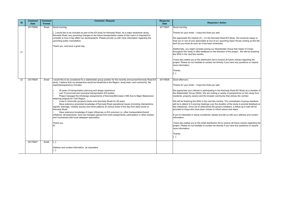Additionally, you might consider joining our Shareholder Group that meets 4-5 times hroughout the study to offer feedback on the direction of the project. We will be finalizing he SHG in the next few months.

Thanks for your email - I hope this finds you well.

have also added you to the distribution list to receive all future notices regarding the project. Please do not hesitate to contact me directly if you have any questions or require more information.

We appreciate the interest of [...] in the Kennedy Road EA Study. We would be happy to host you or one of your associates at one of our upcoming Open House coming up this fall, we'll let you know as soon as it has been scheduled.

Thanks,

 $\lbrack \ldots \rbrack$ 

3ood afternoon,

have also added you to the email distribution list to receive all future notices regarding the project. Please do not hesitate to contact me directly if you have any questions or require more information.

Thanks,  $\lbrack. \rbrack$ 

| ID | <b>Comment</b><br><b>Date</b> | <b>Comment</b><br><b>Format</b> | <b>Comment / Request</b>                                                                                                                                                                                                                                                                                                                                                                 | <b>Response</b><br><b>Date</b> |         |
|----|-------------------------------|---------------------------------|------------------------------------------------------------------------------------------------------------------------------------------------------------------------------------------------------------------------------------------------------------------------------------------------------------------------------------------------------------------------------------------|--------------------------------|---------|
|    | 20170606                      | Email                           | Good morning,                                                                                                                                                                                                                                                                                                                                                                            | 20170607                       |         |
|    |                               |                                 | [] would like to be included as part of the EA study for Kennedy Road. As a major landowner along<br>Kennedy Road, any upcoming changes to the future transportation needs of this road it is important to<br>consider to how it may affect our developments. Please provide us with more information regarding the<br>upcoming public consultation.<br>Thank you, and have a great day, |                                | W       |
| 21 |                               |                                 |                                                                                                                                                                                                                                                                                                                                                                                          |                                |         |
|    |                               |                                 |                                                                                                                                                                                                                                                                                                                                                                                          |                                |         |
|    |                               |                                 |                                                                                                                                                                                                                                                                                                                                                                                          |                                |         |
| 22 | 20170624                      | Email                           | I would like to be considered for a stakeholder group position for the recently announced Kennedy Road EA                                                                                                                                                                                                                                                                                | 20170626                       |         |
|    |                               |                                 | study. I believe that my perspective would be beneficial to the Region, study team, and community. My<br>expertise/experience includes:                                                                                                                                                                                                                                                  |                                |         |
|    |                               |                                 | 35 years of transportation planning and design experience                                                                                                                                                                                                                                                                                                                                |                                |         |
|    |                               |                                 | Led 15 provincial and municipal transportation EA studies<br>Project managed the EA/design assignments of Kennedy/McCowan (16th Ave to Major Mackenzie)<br>widening projects for York Region                                                                                                                                                                                             |                                |         |
|    |                               |                                 | Lived in Unionville (property backs onto Kennedy Road) for 26 years                                                                                                                                                                                                                                                                                                                      |                                |         |
|    |                               |                                 | Have extensive anecdotal knowledge of Kennedy Road operational issues (including intersections,<br>signals, drainage, visibility issues) and travel patterns at various times of the day from daily travel on<br><b>Kennedy Road</b>                                                                                                                                                     |                                | k<br> p |
|    |                               |                                 | Have extensive knowledge of major influences on EA outcome (i.e. other transportation/transit<br>initiatives, developments, land use changes) gained from work assignments, participation in other studies,<br>and involvement with local ratepayer association.                                                                                                                         |                                | lir     |
|    |                               |                                 | Thank you.                                                                                                                                                                                                                                                                                                                                                                               |                                |         |
|    |                               |                                 | /D                                                                                                                                                                                                                                                                                                                                                                                       |                                | Im      |
|    |                               |                                 |                                                                                                                                                                                                                                                                                                                                                                                          |                                |         |
|    | 20170627                      | Email                           | $\left[\ldots\right]$                                                                                                                                                                                                                                                                                                                                                                    |                                |         |
|    |                               |                                 | Address and contact information, as requested:<br>$\left[\ldots\right]$                                                                                                                                                                                                                                                                                                                  |                                |         |

#### **Response / Action**

3ood morning,

Thanks for your email - I hope this finds you well.

We appreciate your interest in participating in the Kennedy Road EA Study as a member of he Stakeholder Group (SHG). We are looking a variety of perspectives on this study from residents, property owners and the broader community that utilizes the corridor.

We will be finalizing the SHG in the next few months. The commitment of group members will be to attend 4-5 evening meetings over the duration of the study to provide feedback at key milestones. Once we've determined the group's members, a follow-up e-mail will be provided to those who have been chosen to inform about next steps.

If you're interested in being considered, please provide us with your address and contact nformation.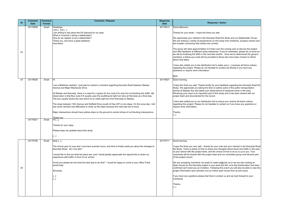We appreciate your interest in the Kennedy Road EA Study and our Stakeholder Group. We are looking a variety of perspectives on this study from residents, property owners and he broader community that utilizes the corridor.

Thanks for your email - I hope this finds you well.

The group will meet approximately 4-5 times over the coming year to discuss the project and offer feedback at different study milestones. If you're interested, please let us know as we will be finalizing the SHG in the next few months. Once we've determined the group's members, a follow-up e-mail will be provided to those who have been chosen to inform about next steps.

have also added you to the distribution list to make sure [...] receives all future notices egarding the project. Please do not hesitate to contact me directly if you have any uestions or require more information.

hope this finds you well. Thanks kindly for your feedback regarding the Kennedy Road EA Study. We appreciate you taking the time to outline some of the public transportation activity at Steeles Ave and detail your observations of seasonal travel in the area. Receiving your input is an important part of this study and it has been shared with our project team and documented for the record.

have also added you to our distribution list to ensure you receive all future notices egarding this project. Please do not hesitate to contact us if you have any questions or equire more information.

Best,

3ood morning,

hope this finds you very well – thanks for your note and your interest in the Kennedy Road EA Study. There is plenty of time to share your thoughts about travel and traffic in the area of your school with the project team, and the choice of how to do so is up to you. Your comments will be shared with the project team and our consultant group and become part of the project record.

f you have any questions please feel free to contact us and we look forward to your comments.

| ID | <b>Comment</b><br><b>Date</b> | <b>Comment</b><br>Format | <b>Comment / Request</b>                                                                                                                                                                                                                                                                                          | <b>Response</b><br><b>Date</b> |                                      |
|----|-------------------------------|--------------------------|-------------------------------------------------------------------------------------------------------------------------------------------------------------------------------------------------------------------------------------------------------------------------------------------------------------------|--------------------------------|--------------------------------------|
|    | 20170609                      | Email                    | Greetings.<br>l am [] at []<br>am writing to ask about the EA planned for our area.<br>What is involved in being a stakeholder?                                                                                                                                                                                   | 20170613                       | Go<br><b>Th</b>                      |
|    |                               |                          | How do we register to be a stakeholder?<br>Thank you, and have a great weekend.<br>God bless-                                                                                                                                                                                                                     |                                | We<br>We<br>the                      |
| 23 |                               |                          |                                                                                                                                                                                                                                                                                                                   |                                | <b>The</b><br>and<br>we<br>me        |
|    |                               |                          |                                                                                                                                                                                                                                                                                                                   |                                | abo<br>I ha<br>reg                   |
|    |                               |                          |                                                                                                                                                                                                                                                                                                                   |                                | que<br>Be:                           |
| 24 | 20170626                      | Email                    | İНi.                                                                                                                                                                                                                                                                                                              | 20170627                       | Go                                   |
|    |                               |                          | am a Markham resident. I just want to submit a comment regarding Kennedy Road between Steeles<br>Avenue and Major Mackenzie Drive.                                                                                                                                                                                |                                | $\parallel$ ho<br>Stu<br>act         |
|    |                               |                          | At Steeles and Kennedy, there is a need for a space for bus route 8 to stop but not blocking the traffic. My<br>observation is that Bus route #8 usually uses the southbound right turn lane at Kennedy as a final stop.<br>The bus usually blocks the cars which try to make right turn from Kennedy to Steeles. |                                | Re<br>pro                            |
|    |                               |                          | The slope between 14th Avenue and Duffield Drive (south of Hwy 407) is too steep. On the snow day, I did<br>see some vehicles had difficulties to climb up the slope because the road was full of snow.                                                                                                           |                                | l ha<br>reg<br>req                   |
|    |                               |                          | Major intersections should have yellow strips on the ground to remind drives of not blocking intersections.<br>Thank vou.                                                                                                                                                                                         |                                | Tha<br>$\llbracket  \rrbracket$      |
|    | 20170627                      | Email                    | Hi [],                                                                                                                                                                                                                                                                                                            |                                |                                      |
|    |                               |                          | Thanks for your reply.                                                                                                                                                                                                                                                                                            |                                |                                      |
|    |                               |                          | Please keep me updated about this study.                                                                                                                                                                                                                                                                          |                                |                                      |
|    |                               |                          | []                                                                                                                                                                                                                                                                                                                |                                |                                      |
|    | 20170706                      | Email                    | Dear [],                                                                                                                                                                                                                                                                                                          | 20170711                       | Go                                   |
|    |                               |                          | The school year os over and I now have summer hours, and time to finally email you about the changes to<br>Kennedy Road. Am I too late?                                                                                                                                                                           |                                | I ho<br><b>EA</b><br>of <sub>1</sub> |
|    |                               |                          | would like to find out what the plans are, and I would greatly appreciate the opportunity to share my<br>experience with traffic in front of our school.                                                                                                                                                          |                                | cor<br>of t                          |
| 25 |                               |                          | Could you please let me know the best way to do that? I would be happy to come to your office if that<br>would help.                                                                                                                                                                                              |                                | We<br>Op<br>cor                      |
|    |                               |                          | Sincerely,                                                                                                                                                                                                                                                                                                        |                                | pro                                  |
|    |                               |                          | […]<br>$[\dots]$                                                                                                                                                                                                                                                                                                  |                                | If y<br>cor                          |
|    |                               |                          |                                                                                                                                                                                                                                                                                                                   |                                | Tha<br>$\llbracket  \rrbracket$      |
|    |                               |                          |                                                                                                                                                                                                                                                                                                                   |                                |                                      |

#### **Response / Action**

3ood afternoon,

Thanks,

 $\lbrack. \rbrack$ 

 $\overline{200}$ d morning,

We are accepting comments via email to roads.ea@york.ca or we are also hosting an Open House for the Kennedy project in your area this fall, once the time/location has been confirmed we'll send you an invitation. Following this event you will also be able to view the project information and comment via our online open house form at york.ca/ea

Thanks,

 $\lbrack. \rbrack$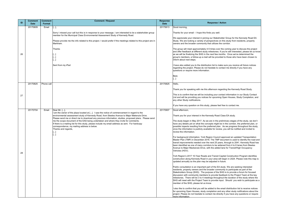We appreciate your interest in joining our Stakeholder Group for the Kennedy Road EA Study. We are looking a variety of perspectives on this study from residents, property wners and the broader community that utilizes the corridor.

The group will meet approximately 4-5 times over the coming year to discuss the project and offer feedback at different study milestones. If you're still interested, please let us know as we will be finalizing the SHG in the next few months. Once we've determined the group's members, a follow-up e-mail will be provided to those who have been chosen to nform about next steps.

have also added you to the distribution list to make sure you receive all future notices egarding the project. Please do not hesitate to contact me directly if you have any questions or require more information.

Thank you for speaking with me this afternoon regarding the Kennedy Road Study.

This is to confirm that we will be including your contact information in our Study Contact ist and will be providing you notices for upcoming Open Houses, Study Completion, and any other Study notifications.

If you have any question on this study, please feel free to contact me.

3ood afternoon,

Thank you for your interest in the Kennedy Road Class EA study.

The study began in May 2017. As we are in the preliminary stages of the study, we don't ave any details yet on what the concepts might be in the corridor, the preferred plan, or possible impacts resulting from the preferred plan. As we progress throughout the study, nce the information is publicly available for review, you will be notified and invited to eview the information.

also like to confirm that you will be added to the email distribution list to receive notices or upcoming Open Houses, study completion and any other study notifications about the project. Please do not hesitate to contact me directly if you have any questions or require more information.

| 20170609<br>20170613<br>$\left[\left[\right],\right]$<br>Good<br>Email<br>Sorry I missed your call but this is in response to your message. I am interested to be a stakeholder group<br>member for the Municipal Class Environmental Assessment Study of Kennedy Road.<br>Please provide me the info related to this project. I would prefer if the meetings related to this project are in<br>Markham.<br>Thanks<br>26<br>[[]<br>$\left[\ldots\right]$<br>$[]$<br>Sent from my iPad<br>$\left[\ldots\right]$<br>20170825<br>Phone call<br>20170825<br>27<br>20170704<br>20170907<br>Email<br>Dear Mr. [],<br>I am the owner of the plaza located at []. I saw the notice of commencement in regard to the<br>environmental assessment study of Kennedy Road, from Steeles Avenue to Major Makenzie Drive.<br>Please send me or direct me to download any previous information, studies, proposed plans. Please send<br>me the scope document of the EAS being undertaken and where they invite for comments.<br>If there is a mailing list for this study, please include my email address as sent. For hardcopy<br>correspondence, my mailing address is below.<br>Thanks and regards,<br>$\left[\ldots\right]$<br>$\left[\ldots\right]$<br>28 | ID | <b>Comment</b><br><b>Date</b> | <b>Comment</b><br>Format | <b>Comment / Request</b> | <b>Response</b><br><b>Date</b> |       |
|---------------------------------------------------------------------------------------------------------------------------------------------------------------------------------------------------------------------------------------------------------------------------------------------------------------------------------------------------------------------------------------------------------------------------------------------------------------------------------------------------------------------------------------------------------------------------------------------------------------------------------------------------------------------------------------------------------------------------------------------------------------------------------------------------------------------------------------------------------------------------------------------------------------------------------------------------------------------------------------------------------------------------------------------------------------------------------------------------------------------------------------------------------------------------------------------------------------------------------------------------|----|-------------------------------|--------------------------|--------------------------|--------------------------------|-------|
|                                                                                                                                                                                                                                                                                                                                                                                                                                                                                                                                                                                                                                                                                                                                                                                                                                                                                                                                                                                                                                                                                                                                                                                                                                                   |    |                               |                          |                          |                                |       |
| We a<br>Study<br>owner<br>The g<br>and o<br>as we<br>group<br>inform<br>I have<br>regar<br>quest<br>Best,<br>Hello,                                                                                                                                                                                                                                                                                                                                                                                                                                                                                                                                                                                                                                                                                                                                                                                                                                                                                                                                                                                                                                                                                                                               |    |                               |                          |                          |                                | Thanl |
|                                                                                                                                                                                                                                                                                                                                                                                                                                                                                                                                                                                                                                                                                                                                                                                                                                                                                                                                                                                                                                                                                                                                                                                                                                                   |    |                               |                          |                          |                                |       |
|                                                                                                                                                                                                                                                                                                                                                                                                                                                                                                                                                                                                                                                                                                                                                                                                                                                                                                                                                                                                                                                                                                                                                                                                                                                   |    |                               |                          |                          |                                |       |
|                                                                                                                                                                                                                                                                                                                                                                                                                                                                                                                                                                                                                                                                                                                                                                                                                                                                                                                                                                                                                                                                                                                                                                                                                                                   |    |                               |                          |                          |                                |       |
|                                                                                                                                                                                                                                                                                                                                                                                                                                                                                                                                                                                                                                                                                                                                                                                                                                                                                                                                                                                                                                                                                                                                                                                                                                                   |    |                               |                          |                          |                                |       |
|                                                                                                                                                                                                                                                                                                                                                                                                                                                                                                                                                                                                                                                                                                                                                                                                                                                                                                                                                                                                                                                                                                                                                                                                                                                   |    |                               |                          |                          |                                |       |
| This i<br>List a<br>any o<br>If you<br>Good<br>Thank<br>The s<br>have<br>possil<br>once<br>reviev<br>For ba<br>Maste<br>transi<br>been<br>Avent<br>Vehic<br>York I<br>const<br>lupdat<br>Publio<br>reside<br><b>Stake</b><br>discus<br>milest<br>SHG<br>memb<br>I also<br>for up<br>projed<br>more                                                                                                                                                                                                                                                                                                                                                                                                                                                                                                                                                                                                                                                                                                                                                                                                                                                                                                                                                |    |                               |                          |                          |                                | Thank |
|                                                                                                                                                                                                                                                                                                                                                                                                                                                                                                                                                                                                                                                                                                                                                                                                                                                                                                                                                                                                                                                                                                                                                                                                                                                   |    |                               |                          |                          |                                |       |
|                                                                                                                                                                                                                                                                                                                                                                                                                                                                                                                                                                                                                                                                                                                                                                                                                                                                                                                                                                                                                                                                                                                                                                                                                                                   |    |                               |                          |                          |                                |       |
|                                                                                                                                                                                                                                                                                                                                                                                                                                                                                                                                                                                                                                                                                                                                                                                                                                                                                                                                                                                                                                                                                                                                                                                                                                                   |    |                               |                          |                          |                                |       |
|                                                                                                                                                                                                                                                                                                                                                                                                                                                                                                                                                                                                                                                                                                                                                                                                                                                                                                                                                                                                                                                                                                                                                                                                                                                   |    |                               |                          |                          |                                |       |
|                                                                                                                                                                                                                                                                                                                                                                                                                                                                                                                                                                                                                                                                                                                                                                                                                                                                                                                                                                                                                                                                                                                                                                                                                                                   |    |                               |                          |                          |                                |       |
|                                                                                                                                                                                                                                                                                                                                                                                                                                                                                                                                                                                                                                                                                                                                                                                                                                                                                                                                                                                                                                                                                                                                                                                                                                                   |    |                               |                          |                          |                                |       |
|                                                                                                                                                                                                                                                                                                                                                                                                                                                                                                                                                                                                                                                                                                                                                                                                                                                                                                                                                                                                                                                                                                                                                                                                                                                   |    |                               |                          |                          |                                |       |
|                                                                                                                                                                                                                                                                                                                                                                                                                                                                                                                                                                                                                                                                                                                                                                                                                                                                                                                                                                                                                                                                                                                                                                                                                                                   |    |                               |                          |                          |                                |       |
|                                                                                                                                                                                                                                                                                                                                                                                                                                                                                                                                                                                                                                                                                                                                                                                                                                                                                                                                                                                                                                                                                                                                                                                                                                                   |    |                               |                          |                          |                                |       |
|                                                                                                                                                                                                                                                                                                                                                                                                                                                                                                                                                                                                                                                                                                                                                                                                                                                                                                                                                                                                                                                                                                                                                                                                                                                   |    |                               |                          |                          |                                |       |
|                                                                                                                                                                                                                                                                                                                                                                                                                                                                                                                                                                                                                                                                                                                                                                                                                                                                                                                                                                                                                                                                                                                                                                                                                                                   |    |                               |                          |                          |                                |       |
|                                                                                                                                                                                                                                                                                                                                                                                                                                                                                                                                                                                                                                                                                                                                                                                                                                                                                                                                                                                                                                                                                                                                                                                                                                                   |    |                               |                          |                          |                                |       |
|                                                                                                                                                                                                                                                                                                                                                                                                                                                                                                                                                                                                                                                                                                                                                                                                                                                                                                                                                                                                                                                                                                                                                                                                                                                   |    |                               |                          |                          |                                |       |
|                                                                                                                                                                                                                                                                                                                                                                                                                                                                                                                                                                                                                                                                                                                                                                                                                                                                                                                                                                                                                                                                                                                                                                                                                                                   |    |                               |                          |                          |                                |       |
|                                                                                                                                                                                                                                                                                                                                                                                                                                                                                                                                                                                                                                                                                                                                                                                                                                                                                                                                                                                                                                                                                                                                                                                                                                                   |    |                               |                          |                          |                                |       |
|                                                                                                                                                                                                                                                                                                                                                                                                                                                                                                                                                                                                                                                                                                                                                                                                                                                                                                                                                                                                                                                                                                                                                                                                                                                   |    |                               |                          |                          |                                |       |
|                                                                                                                                                                                                                                                                                                                                                                                                                                                                                                                                                                                                                                                                                                                                                                                                                                                                                                                                                                                                                                                                                                                                                                                                                                                   |    |                               |                          |                          |                                |       |
|                                                                                                                                                                                                                                                                                                                                                                                                                                                                                                                                                                                                                                                                                                                                                                                                                                                                                                                                                                                                                                                                                                                                                                                                                                                   |    |                               |                          |                          |                                |       |
|                                                                                                                                                                                                                                                                                                                                                                                                                                                                                                                                                                                                                                                                                                                                                                                                                                                                                                                                                                                                                                                                                                                                                                                                                                                   |    |                               |                          |                          |                                |       |
|                                                                                                                                                                                                                                                                                                                                                                                                                                                                                                                                                                                                                                                                                                                                                                                                                                                                                                                                                                                                                                                                                                                                                                                                                                                   |    |                               |                          |                          |                                |       |
|                                                                                                                                                                                                                                                                                                                                                                                                                                                                                                                                                                                                                                                                                                                                                                                                                                                                                                                                                                                                                                                                                                                                                                                                                                                   |    |                               |                          |                          |                                |       |
|                                                                                                                                                                                                                                                                                                                                                                                                                                                                                                                                                                                                                                                                                                                                                                                                                                                                                                                                                                                                                                                                                                                                                                                                                                                   |    |                               |                          |                          |                                |       |
|                                                                                                                                                                                                                                                                                                                                                                                                                                                                                                                                                                                                                                                                                                                                                                                                                                                                                                                                                                                                                                                                                                                                                                                                                                                   |    |                               |                          |                          |                                |       |
|                                                                                                                                                                                                                                                                                                                                                                                                                                                                                                                                                                                                                                                                                                                                                                                                                                                                                                                                                                                                                                                                                                                                                                                                                                                   |    |                               |                          |                          |                                |       |
|                                                                                                                                                                                                                                                                                                                                                                                                                                                                                                                                                                                                                                                                                                                                                                                                                                                                                                                                                                                                                                                                                                                                                                                                                                                   |    |                               |                          |                          |                                |       |
|                                                                                                                                                                                                                                                                                                                                                                                                                                                                                                                                                                                                                                                                                                                                                                                                                                                                                                                                                                                                                                                                                                                                                                                                                                                   |    |                               |                          |                          |                                |       |

#### **Response / Action**

3ood morning,

Thanks for your email - I hope this finds you well.

For background information, York Region Council approved an updated Transportation Master Plan (TMP) in December 2016. The TMP document is used to identify the road and ransit improvements needed over the next 25 years, through to 2041. Kennedy Road has been identified as one of many corridors to be widened from 4 to 6 lanes from Steeles Avenue to Major Mackenzie Drive, with the added lane for Transit/High Occupancy Vehicles (HOV).

York Region's 2017 10-Year Roads and Transit Capital Construction Program identifies construction along Kennedy Road in your area will begin in 2024. Please note this map is updated annually so the plan may be adjusted in future.

Public consultation is an important part of the EA study. We are seeking interested esidents, property owners and the broader community to participate as part of the Stakeholders Group (SHG). The purpose of the SHG is to provide a forum for focused iscussion with community members to provide feedback to the Project Team at the key milestones. There will be 3 to 4 meetings throughout the duration of the study where the SHG will meet with the Project Team to provide input. Should you wish to participate as a member of the SHG, please let us know.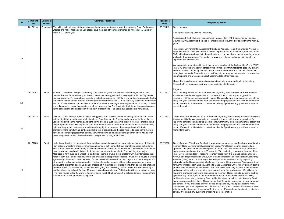As discussed, York Region's Transportation Master Plan (TMP), approved by Regional Council in 2016, identified the need for improvements to Kennedy Road within the next 20 ears.

The current Environmental Assessment Study for Kennedy Road, from Steeles Avenue to Major Mackenzie Drive, will review how best to provide the improvements, identified in the TMP, while balancing impacts to the residents and communities in the surrounding area, as well as to the environment. The study is in very early stages and community input is an mportant part of this study.

We appreciate your interest in participating as a member of the Stakeholder Group (SHG). The SHG provides a variety of perspectives on this study from residents, property owners and the broader community that utilizes the corridor and meets at a number of intervals hroughout the study. Please let me know if any of your neighbours may also be interested participating and we can see about accommodating their requests.

hope this provides more information on what and why we are undertaking this study. Please feel free to contact me if you require additional information.

300d morning, Thank you for your feedback regarding the Kenney Road Environmental Assessment Study. We appreciate you taking the time to outline your suggestions egarding HOV lanes, bypasses and flyovers. Community input is an important part of this tudy and your comments have been shared with the project team and documented for the ecord. Please do not hesitate to contact me directly if you have any questions or require more information.

#### Regards,

Good afternoon, Thank you for your feedback regarding the Kennedy Road Environmental Assessment Study. We appreciate you taking the time to outline your suggestions for mproving turn lanes and adding a centre lane. Community input is an important part of this tudy and your comments have been shared with the project team and documented for the ecord. Please do not hesitate to contact me directly if you have any questions or require more information.

300d afternoon, Thank you for sharing your travel experiences and feedback regarding the [Kennedy Road Environmental Assessment Study. York Region Council approved an](http://www.york.ca/wps/portal/yorkhome/yorkregion/yr/plansreportsandstrategies/transportationmasterplan/)  [updated Transportation Master Plan \(TMP\) in 2016. The TMP identified road and transit](http://www.york.ca/wps/portal/yorkhome/yorkregion/yr/plansreportsandstrategies/transportationmasterplan/)  mprovement needs over the next 25 years, to 2041, including changes to Kennedy Road. [The TMP recommended: 1. widening Kennedy Road from 4 to 6 lanes between Steeles](http://www.york.ca/wps/portal/yorkhome/yorkregion/yr/plansreportsandstrategies/transportationmasterplan/)  [Avenue and Major Mackenzie Drive, with the additional lanes as Transit/High Occupancy](http://www.york.ca/wps/portal/yorkhome/yorkregion/yr/plansreportsandstrategies/transportationmasterplan/)  [Vehicles \(HOV\) lane 2. enhancing active transportation travel options by improving](http://www.york.ca/wps/portal/yorkhome/yorkregion/yr/plansreportsandstrategies/transportationmasterplan/)  idewalks and adding separated bike lanes. The current Environmental Assessment Study or Kennedy Road, from Steeles Avenue to Major Mackenzie Drive, will review how best to [provide the improvements, identified in the TMP, while balancing impacts to the residents](http://www.york.ca/wps/portal/yorkhome/yorkregion/yr/plansreportsandstrategies/transportationmasterplan/)  [and communities in the surrounding area, as well as to the environment.](http://www.york.ca/wps/portal/yorkhome/yorkregion/yr/plansreportsandstrategies/transportationmasterplan/) We will also be eviewing strategies to alleviate congestion on Kennedy Road, including options such as ynchronizing traffic lights in the north-south direction. Additionally, we are reviewing roblematic areas along Kennedy Road to identify interim solutions until Kennedy Road nprovements can take place. Thank you for the information regarding vehicles turning at he school. If you are aware of other issues along Kennedy Road please let me know. [Community input is an important part of this study, and your comments have been shared](http://www.york.ca/wps/portal/yorkhome/yorkregion/yr/plansreportsandstrategies/transportationmasterplan/)  [with the project team and documented for the record. Please do not hesitate to contact me](http://www.york.ca/wps/portal/yorkhome/yorkregion/yr/plansreportsandstrategies/transportationmasterplan/)  irectly if you have any questions or require more information.

| ID | <b>Comment</b><br><b>Date</b> | <b>Comment</b><br>Format | <b>Comment / Request</b>                                                                                                                                                                                                                                                                                                                                                                                                                                                                                                                                                                                                                                                                                                                                                                                                                                                                                                                                                                                                                                                                                                                                                                                                                                                                                                                                                                                                 | <b>Response</b><br><b>Date</b> |                                                     |
|----|-------------------------------|--------------------------|--------------------------------------------------------------------------------------------------------------------------------------------------------------------------------------------------------------------------------------------------------------------------------------------------------------------------------------------------------------------------------------------------------------------------------------------------------------------------------------------------------------------------------------------------------------------------------------------------------------------------------------------------------------------------------------------------------------------------------------------------------------------------------------------------------------------------------------------------------------------------------------------------------------------------------------------------------------------------------------------------------------------------------------------------------------------------------------------------------------------------------------------------------------------------------------------------------------------------------------------------------------------------------------------------------------------------------------------------------------------------------------------------------------------------|--------------------------------|-----------------------------------------------------|
|    | 20171114                      |                          | Phone call  "I'm calling to inquire about the assessment being done on Kennedy road, the Kennedy Road EA between<br>Steeles and Major Mack, could you please give me a call at your convenience on my cell at [], and my<br>name is [] thank you"                                                                                                                                                                                                                                                                                                                                                                                                                                                                                                                                                                                                                                                                                                                                                                                                                                                                                                                                                                                                                                                                                                                                                                        | 20171115                       | lG                                                  |
|    |                               |                          |                                                                                                                                                                                                                                                                                                                                                                                                                                                                                                                                                                                                                                                                                                                                                                                                                                                                                                                                                                                                                                                                                                                                                                                                                                                                                                                                                                                                                          |                                | I٧                                                  |
|    |                               |                          |                                                                                                                                                                                                                                                                                                                                                                                                                                                                                                                                                                                                                                                                                                                                                                                                                                                                                                                                                                                                                                                                                                                                                                                                                                                                                                                                                                                                                          |                                |                                                     |
| 29 |                               |                          |                                                                                                                                                                                                                                                                                                                                                                                                                                                                                                                                                                                                                                                                                                                                                                                                                                                                                                                                                                                                                                                                                                                                                                                                                                                                                                                                                                                                                          |                                | ١w<br>lin                                           |
|    |                               |                          |                                                                                                                                                                                                                                                                                                                                                                                                                                                                                                                                                                                                                                                                                                                                                                                                                                                                                                                                                                                                                                                                                                                                                                                                                                                                                                                                                                                                                          |                                | I٧<br>a                                             |
|    |                               |                          |                                                                                                                                                                                                                                                                                                                                                                                                                                                                                                                                                                                                                                                                                                                                                                                                                                                                                                                                                                                                                                                                                                                                                                                                                                                                                                                                                                                                                          |                                | tr<br>lin                                           |
|    |                               |                          |                                                                                                                                                                                                                                                                                                                                                                                                                                                                                                                                                                                                                                                                                                                                                                                                                                                                                                                                                                                                                                                                                                                                                                                                                                                                                                                                                                                                                          |                                | ΙP                                                  |
|    | 20171207                      | Email                    | Hi there, I have been living in Markham [] for about 17 years and see the rapid changes in the past<br>decade. For the EA of Kennedy for future, I would like to suggest the following options for the City to take<br>into consideration: 1. Expand one more lane in both directions as HOV lane and on top, you can add the EV                                                                                                                                                                                                                                                                                                                                                                                                                                                                                                                                                                                                                                                                                                                                                                                                                                                                                                                                                                                                                                                                                         | 20171207                       | R<br>G<br>ΙA<br>∣r€                                 |
| 30 |                               |                          | car symbol to that lane in order to promote green environments too. 2. Build some by-passes to lead certain<br>amount of cars to some communities in order to reduce the loading of Kennedy(in certain portions). 3. Build<br>some fly-overs in certain intersections such as Kennedy/Hwy 7 to illuminate the intersections which causes<br>traffic congestions of both roads in those main intersections. The above suggestions are my 2 cents.                                                                                                                                                                                                                                                                                                                                                                                                                                                                                                                                                                                                                                                                                                                                                                                                                                                                                                                                                                         |                                | S1<br>Ire<br>Im                                     |
| 31 | 20171213                      | email                    | I like at [], Stouffville, for pas 30 years. I suggest to add: Two left turn lanes at major intersection. Have<br>left turn light that actually work in all directions. From Kennedy to Steeles, add a new center lane, that be<br>used going south in the morning and north in the evening. Just like Jarvis street in Toronto. Improved and<br>longer right turn lanes. Having buses stop after the intersection rather than before. When cars are making<br>right turn they should turn onto a special receiving right turn lane and then merge into traffic that's<br>promoting more cars turning right on red lights into a special Lane the idea here is to keep traffic moving. I<br>have seen so many projects that actually slow traffic down and has no bearing on traffic flow whatsoever<br>these things need to stop the key here is to keep traffic moving at all times.                                                                                                                                                                                                                                                                                                                                                                                                                                                                                                                                   | 20171213                       | S1<br>I٢e<br>Im                                     |
| 32 | 20171208                      | Email                    | Hello, I saw the sign on the side of the road about suggestions and improvements for Kennedy rd. Honestly -<br>I am not sure what kind of improvements can be made, but i certainly know something needs to be done.<br>That stretch of road in the morning is absolutely absurd. There are so many new subdivisions, with tons of<br>cars coming out - and really I don't think this road was made to handle it. The back log from Major<br>Mackezie to 16th avenue is unreal. In particular - there is always a real problem with the intersection just<br>north of 16th ave - and especially where the entrance to that private school is. It was just a couple of weeks<br>ago that I got into an accident because of a man who had some serious road rage - and the worst part of it<br>all is that the police did nothing about it. That whole stretch needs a blitz of police presence for a good<br>while just to straighten people up again! People sit in the middle of intersections, they go into the left hand<br>turn lane way to far in advance, sometimes even going into oncoming traffic! I travel this road everyday -<br>and have been travelling it for over 10 years now as I commute from Pefferlaw into Scarborough every day.<br>The road now is by far the worst is has ever been. I wish I had some sort of solution to help - but one thing<br>is for certain - police presence is required. | 20171208                       | G<br>ΙK<br>Isı<br> fc<br>Ipi<br>a<br>∣r∈<br>S'<br>p |
|    |                               |                          |                                                                                                                                                                                                                                                                                                                                                                                                                                                                                                                                                                                                                                                                                                                                                                                                                                                                                                                                                                                                                                                                                                                                                                                                                                                                                                                                                                                                                          |                                | in<br> tr<br>$\vert$ C<br>١w                        |

### **Response / Action**

#### 300d morning,

It was great speaking with you yesterday.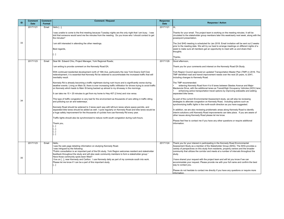Thanks for your email. The project team is working on the meeting minutes. It will be irculated to the stakeholder group members later this week/early next week, along with the powerpoint presentation.

The 2nd SHG meeting is scheduled for Jan 2018. Email invitation will be sent out 2 weeks prior to the meeting date. We will try our best to arrange meetings on different nights of a week to make sure all members get an opportunity to meet with us and share their houghts.

Thank you for your interest in participating in the Kennedy Road Environmental Assessment Study as a member of the Stakeholder Group (SHG). The SHG provides a ariety of perspectives on this study from residents, property owners and the broader community that utilizes the corridor and meets at a number of intervals throughout the study.

#### Thanks,

Thank you for your comments and interest on the Kennedy Road EA Study.

have shared your request with the project team and will let you know if we can accommodate your request. Please provide me with your full name and confirm the best way to contact you.

Please do not hesitate to contact me directly if you have any questions or require more nformation.

York Region Council approved an updated Transportation Master Plan (TMP) in 2016. The TMP identified road and transit improvement needs over the next 25 years, to 2041, ncluding changes to Kennedy Road.

widening Kennedy Road from 4 to 6 lanes between Steeles Avenue and Major Mackenzie Drive, with the additional lanes as Transit/High Occupancy Vehicles (HOV) lane • enhancing active transportation travel options by improving sidewalks and adding separated bike lanes.

| ID | <b>Comment</b>          | <b>Comment</b>  | <b>Comment / Request</b>                                                                                                                                                                                                                                                                                                                                                                                                                                                                                                                                                                                                                                                                                                                                                                                                                                                                                                                                                                                                                                                                                                                                                                                                                                                                                                                                                  | <b>Response</b>         |                                                                                                                                                                                                                                                                                                                                   |
|----|-------------------------|-----------------|---------------------------------------------------------------------------------------------------------------------------------------------------------------------------------------------------------------------------------------------------------------------------------------------------------------------------------------------------------------------------------------------------------------------------------------------------------------------------------------------------------------------------------------------------------------------------------------------------------------------------------------------------------------------------------------------------------------------------------------------------------------------------------------------------------------------------------------------------------------------------------------------------------------------------------------------------------------------------------------------------------------------------------------------------------------------------------------------------------------------------------------------------------------------------------------------------------------------------------------------------------------------------------------------------------------------------------------------------------------------------|-------------------------|-----------------------------------------------------------------------------------------------------------------------------------------------------------------------------------------------------------------------------------------------------------------------------------------------------------------------------------|
|    | <b>Date</b><br>20171121 | Format<br>Email | Hello [],                                                                                                                                                                                                                                                                                                                                                                                                                                                                                                                                                                                                                                                                                                                                                                                                                                                                                                                                                                                                                                                                                                                                                                                                                                                                                                                                                                 | <b>Date</b><br>20171121 | IHi,                                                                                                                                                                                                                                                                                                                              |
| 33 |                         |                 | I was unable to come to the first meeting because Tuesday nights are the only night that I am busy. I was<br>told that someone would send me the minutes from the meeting. Do you know who I should contact to get<br>the minutes?<br>I am still interested in attending the other meetings.<br>Best regards,<br>$\left[\left[\right]\right]$                                                                                                                                                                                                                                                                                                                                                                                                                                                                                                                                                                                                                                                                                                                                                                                                                                                                                                                                                                                                                             |                         | Thanks for your<br>circulated to the<br>powerpoint pres<br>The 2nd SHG m<br>prior to the meet<br>week to make su<br>thoughts.<br>Thanks,                                                                                                                                                                                          |
|    | 20171123                | Email           | Dear Mr. Edward Chiu, Project Manager, York Regional Roads;                                                                                                                                                                                                                                                                                                                                                                                                                                                                                                                                                                                                                                                                                                                                                                                                                                                                                                                                                                                                                                                                                                                                                                                                                                                                                                               | 20171129                | Good afternoon,                                                                                                                                                                                                                                                                                                                   |
| 34 |                         |                 | I am writing to provide comment on the Kennedy Road EA.<br>With continued residential development north of 16th Ave, particularly the new York Downs Golf Club<br>redevelopment, it is essential that Kennedy Rd be widened to accommodate the increased traffic that will<br>inevitably result.<br>Kennedy Rd is already becoming a traffic nightmare during rush hours and is significantly worse during<br>weather events. Living on Main St, there is ever increasing traffic infiltration for drivers trying to avoid traffic<br>on Kennedy which leads to Main St being backed up almost to my driveway in the mornings.<br>It can take me 15 > 20 minutes to get from my home to Hwy 407 (2 kms) and vice versa.<br>This type of traffic congestion is very bad for the environment as thousands of cars sitting in traffic idling<br>and polluting our air and waterways.<br>Kennedy Road should be widened to 3 lanes each way with left-turn lanes where space permits, and<br>separated bike lanes should be added as well. I cycle regularly on Kennedy Road and bike lanes would be<br>a huge safety improvement for the thousands of cyclists how use Kennedy Rd every year.<br>Traffic lights should also be synchronized to reduce north-south congestion during rush-hours.<br>Thank you,<br>$\left[\ldots\right]$<br>[]<br>[…]<br>$\left[\ldots\right]$ |                         | Thank you for yo<br>York Region Co<br>TMP identified re<br>including change<br>The TMP recom<br>widening h<br>Mackenzie Drive<br>enhancing<br>separated bike I<br>As part of the cu<br>strategies to alle<br>synchronizing tra<br>In addition, we a<br>interim solutions<br>other issues alor<br>Please feel free<br>information. |
| 35 | 20171123                | Email           | Hello,<br>I saw the web page detailing information on studying Kennedy Road.<br>I was intrigued by the following:<br>"Public consultation is an important part of the EA study. York Region welcomes resident and stakeholder<br>feedback throughout the study and will also seek community members to form a stakeholder group."<br>Have those community spots been filled?<br>I live on [], near Kennedy and Carlton. I use Kennedy daily as part of my commute south into work.<br>Please let me know if I can be a part of this important study.<br>[]                                                                                                                                                                                                                                                                                                                                                                                                                                                                                                                                                                                                                                                                                                                                                                                                                | 20171124                | Thank you for yo<br><b>Assessment Stu</b><br>variety of perspe<br>community that<br>study.<br>I have shared yo<br>accommodate yo<br>way to contact y<br>Please do not he<br>information.                                                                                                                                          |

#### **Response / Action**

### The TMP recommended:

As part of the current Environmental Assessment study, we will also be reviewing strategies to alleviate congestion on Kennedy Road, including options such as synchronizing traffic lights in the north-south direction as you have suggested.

n addition, we are also reviewing problematic areas along Kennedy Road to identify nterim solutions until Kennedy Road improvements can take place. If you are aware of ther issues along Kennedy Road please let me know.

Please feel free to contact me if you have any other questions or require additional nformation.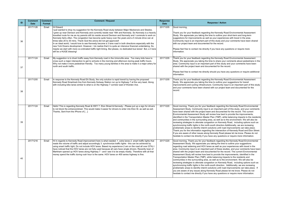Regards 20171205 Thank you for your feedback regarding the Kennedy Road Environmental Assessment Study. We appreciate you taking the time to share your comments about pedestrians in the rea. Community input is an important part of this study and your comments have been hared with the project team and documented for the record.

> lease feel free to contact me directly should you have any questions or require additional information.

> hank you for your feedback regarding the Kennedy Road Environmental Assessment Study. We appreciate you taking the time to outline your suggestions for transit mprovements and cycling infrastructure. Community input is an important part of this study and your comments have been shared with our project team and documented for the ecord.

> 300d morning, Thank you for your feedback regarding the Kennedy Road Environmental Assessment Study. Community input is an important part of this study, and your comments lave been shared with the project team and documented for the record. The current Environmental Assessment Study will review how best to provide the improvements, dentified in the Transportation Master Plan (TMP), while balancing impacts to the residents $\vert$ and communities in the surrounding area, as well as to the environment. We will also be eviewing strategies to alleviate congestion on Kennedy Road, including options such as synchronizing traffic lights in the north-south direction.Additionally, we are reviewing roblematic areas to identify interim solutions until road improvements can take place. hank you for the information regarding the intersection of Kennedy Road and Eton Street. If you are aware of other issues along Kennedy Road please let me know. Please do not esitate to contact me directly if you have any questions or require more information.

> 300d morning, Thank you for your feedback regarding the Kennedy Road Environmental Assessment Study. We appreciate you taking the time to outline your suggestions egarding road widening and HOV lanes as well as your experiences with travel in the rea. Community input is an important part of these studies, and your comments have been hared with the project team and documented for the record. The current Environmental Assessment Study will review how best to provide the improvements, identified in the Transportation Master Plan (TMP), while balancing impacts to the residents and communities in the surrounding area, as well as to the environment. We will also be eviewing strategies to alleviate congestion on Kennedy Road, including options such as ynchronizing traffic lights in the north-south direction. Additionally, we are reviewing roblematic areas to identify interim solutions until road improvements can take place. If ou are aware of any issues along Kennedy Road please let me know. Please do not esitate to contact me directly if you have any questions or require more information

Thank you for your feedback regarding the Kennedy Road Environmental Assessment Study. We appreciate you taking the time to outline your short-term and long-term uggestions for improvements as well as your experiences with travel in the area. Community input is an important part of this study and your comments have been shared with our project team and documented for the record.

lease feel free to contact me directly if you have any questions or require more **iformation**.

| ID | <b>Comment</b><br><b>Date</b> | <b>Comment</b><br>Format | <b>Comment / Request</b>                                                                                                                                                                                                                                                                                                                                                                                                                                                                                                                                                                                                                                                                                                                                                                                                                                                                     | <b>Response</b><br><b>Date</b> |                                                                               |
|----|-------------------------------|--------------------------|----------------------------------------------------------------------------------------------------------------------------------------------------------------------------------------------------------------------------------------------------------------------------------------------------------------------------------------------------------------------------------------------------------------------------------------------------------------------------------------------------------------------------------------------------------------------------------------------------------------------------------------------------------------------------------------------------------------------------------------------------------------------------------------------------------------------------------------------------------------------------------------------|--------------------------------|-------------------------------------------------------------------------------|
| 36 | 20171126                      | Email                    | Hi Edward<br>just wanted to drop my suggestion for the Kennedy Road study between Major Mackenzie and Steeles.<br>grew up near Denison and Kennedy and currently reside near 16th and Kennedy. So Kennedy is a heavily<br>travelled route for me as my parents still do reside around Denison and Kennedy and I commute to work on<br>Kennedy fairly often. The congestion has become quite heavy over the years and a 5 minute drive can at<br>times take 20 to 30 mins. Thank God the arena did not get approved!<br>In an ideal world, I would love to see Kennedy become a 3 lane road in both directions especially with the<br>new York Downs development. However, I do realize that it is quite an intensive financial undertaking. So,<br>maybe we start with more co-ordinated traffic light timing. But please, no dedicated bus lanes! But, a 3 lane<br>will be a HUGE blessing! | 20171205                       | lG<br>S<br>ΙSΙ<br>W<br>In                                                     |
| 37 | 20171124                      | Email                    | My suggestion is to divert traffic away from Kennedy road in the Unionville area. Too many kids have to<br>cross such a major intersection to get to schools in the morning and afternoon during peak traffic hours.<br>Why not make it more pedestrian friendly. Too many young families in the area to make it a major artery for<br>north and south traffic.                                                                                                                                                                                                                                                                                                                                                                                                                                                                                                                              | 20171205                       | $\overline{\bm{\mathsf{T}}}$<br>ls <sup>.</sup><br>a<br>lsł<br>ın             |
| 38 | 20171205                      | Email                    | In response to the Kennedy Road EA Study, the only solution is rapid transit by having the proposed<br>Kennedy Road Smartrack line from Kennedy Subway Station run up to Highway 7 at the very least. Along<br>with including bike lanes similar to what is on the Highway 7 corridor east of Warden Ave.                                                                                                                                                                                                                                                                                                                                                                                                                                                                                                                                                                                    | 20171205                       | T<br>ls <sup>.</sup><br>In<br>lal<br>Ire                                      |
| 39 | 20171124                      | Email                    | Hello! This is regarding Kennedy Road & HWY 7. Eton Street & Kennedy - Please put up a sign for drivers<br>to not block the entrance/street. This would make it easier for drivers to enter into Eton St. as well as exit.<br>Thanks, Sent from the iPhone of []                                                                                                                                                                                                                                                                                                                                                                                                                                                                                                                                                                                                                             | 20171220                       | G <br> ha<br>ļΕ<br>lid<br>lal<br>$r\epsilon$<br>S)<br> pı<br>IΤI<br> If<br>۱h |
| 40 | 20171216                      | Email                    | Hi In regards to Kennedy Road improvement here is what needed; 1. extra lanes 2. smart traffic lights that<br>reads the volume of traffic and adjust accordingly 3. synchronize traffic lights - this can be achieved by<br>using smart traffic light, Do not include HOV lanes. Based my experience (I am on the road all over GTA) I<br>have noticed that the HOV lanes are not fully used because all cars have single drivers. Recently town of<br>Markham opened up HOV lanes along Highway 7 - and I see it to be empty mostly. Therefore with all that<br>money spend the traffic during rush hour is the same. HOV lanes on 400 series highway is fine.                                                                                                                                                                                                                              | 20171220                       | G<br> A<br>∣r∈<br>lal<br>İsł<br>A<br>IΤı<br>C<br> re<br>S)<br> pı<br>lу<br>Ih |

#### **Response / Action**

#### 300d morning,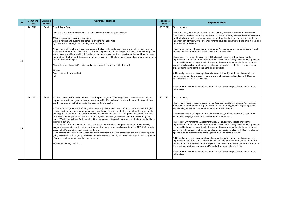he current Environmental Assessment Studies will review how best to provide the nprovements, identified in the Transportation Master Plan (TMP), while balancing impacts the residents and communities in the surrounding area, as well as to the environment. /e will also be reviewing strategies to alleviate congestion, including options such as synchronizing traffic lights in the north-south direction.

dditionally, we are reviewing problematic areas to identify interim solutions until road nprovements can take place. If you are aware of any issues along Kennedy Road or IcCowan Road please let me know.

lease do not hesitate to contact me directly if you have any questions or require more formation.

iood morning,

hank you for your feedback regarding the Kennedy Road Environmental Assessment tudy. We appreciate you taking the time to outline your suggestions regarding traffic ignal timing as well as your experiences with travel in the area.

ommunity input is an important part of these studies, and your comments have been hared with the project team and documented for the record.

he current Environmental Assessment Study will review how best to provide the mprovements, identified in the Transportation Master Plan (TMP), while balancing impacts the residents and communities in the surrounding area, as well as to the environment. /e will also be reviewing strategies to alleviate congestion on Kennedy Road, including ptions such as synchronizing traffic lights in the north-south direction.

dditionally, we are reviewing problematic areas to identify interim solutions until road mprovements can take place. Thank you for providing your observations related to the itersections of Kennedy Road and Highway 7 as well as Kennedy Road and 14th Avenue. you are aware of any issues along Kennedy Road please let me know.

lease do not hesitate to contact me directly if you have any questions or require more formation.

| ID  | <b>Comment</b><br><b>Date</b> | <b>Comment</b><br><b>Format</b> | <b>Comment / Request</b>                                                                                                                                                                                                                                                                                                                                                                                                                                                                                                                                                                                                                                                                                                                                                                                                                                                                                                                                                                                                                                                                                                                                                                                                                                                                                                                                                                                                                                                                | <b>Response</b><br><b>Date</b> |                                                                                                                                 |
|-----|-------------------------------|---------------------------------|-----------------------------------------------------------------------------------------------------------------------------------------------------------------------------------------------------------------------------------------------------------------------------------------------------------------------------------------------------------------------------------------------------------------------------------------------------------------------------------------------------------------------------------------------------------------------------------------------------------------------------------------------------------------------------------------------------------------------------------------------------------------------------------------------------------------------------------------------------------------------------------------------------------------------------------------------------------------------------------------------------------------------------------------------------------------------------------------------------------------------------------------------------------------------------------------------------------------------------------------------------------------------------------------------------------------------------------------------------------------------------------------------------------------------------------------------------------------------------------------|--------------------------------|---------------------------------------------------------------------------------------------------------------------------------|
|     | 20171221                      | Email                           | Dear Edward Chiu,                                                                                                                                                                                                                                                                                                                                                                                                                                                                                                                                                                                                                                                                                                                                                                                                                                                                                                                                                                                                                                                                                                                                                                                                                                                                                                                                                                                                                                                                       | 20171222                       | IG                                                                                                                              |
| -41 |                               |                                 | am one of the Markham resident and using Kennedy Road daily for my work.<br>1) More people are moving to Markham<br>2) More houses and building are coming along the Kennedy road<br>3) There are not enough road running North to South<br>As you know all the above reason the not only the Kennedy road need to expansion all the road running<br>North to South road need to expand. The Hwy 7 expansion is not working as the road expansion they also<br>added more signal light and it didn't help the commuters. As long the population of the Markham increase<br>the road and the transportation need to increase. We are not looking the transportation, we are going to be<br>like to Toronto traffic jam.<br>Please look into these traffic. We need more time with our family not in the road.<br>Thanks,<br>One of the Markham resident<br>[…]                                                                                                                                                                                                                                                                                                                                                                                                                                                                                                                                                                                                                           |                                | Th<br><b>St</b><br>lar<br>lim<br>do<br>ΙPΙ<br>be<br>Th<br>lim<br>Ito<br>lw<br><b>sy</b><br>JΑ<br>lim<br>Iм<br>PI<br>lint        |
| 42  | 20171222                      | Email                           | Hi I lived closed to Kennedy and used it for the past 15 years. Watching all the houses / condos built and<br>population growth was great but not so much for traffic. Kennedy north and south bound during rush hours<br>are the worst among all other roads that goes north and south.<br>1. The left turn signals are TOO long. (Not that many cars actually turns left and time is wasted) 2. Light<br>changes red too fast not enough cars actually get through a green light (also due to long left turn signals<br>too long) 3. The lights at hw 7 and Kennedy is ridiculously long for hw7. Going east / west on hw7 should<br>be shorter and people should use 407 more to lighten the traffic jams on hw7 and Kennedy during rush<br>hours. What's the highway for if majority of the people are not using it because the priority of the light is set<br>to smooth out hw7.<br>4. The lights at 14th and Kennedy is also pretty bad, can't believe the green lights for 14th is actually<br>longer or somewhat close to kennedys when not that many cars actually uses it and it's ALWAYS a empty<br>green light. Please adjust the lights accordingly.<br>Can't imagine what it will be like when downtown markham is close to completion or when York campus is<br>going to be built traffic is going to be even worst is Kennedy road lights are not set as priority for its people.<br>It's not a very favourable area to live in anymore.<br>Thanks for reading From [] | 20171222                       | lG<br>Th<br><b>St</b><br>si<br>C <sub>0</sub><br>sh<br>Th<br>lim<br>Ito<br>lw<br>lot<br>JΑ<br>۱im<br>lint<br> If :<br>PI<br>lin |

#### **Response / Action**

#### iood morning,

hank you for your feedback regarding the Kennedy Road Environmental Assessment tudy. We appreciate you taking the time to outline your thoughts regarding road widening nd traffic flow as well as your experiences with travel in the area. Community input is an nportant part of this study and your comments have been shared with the project team and ocumented for the record.

lease note, we have begun the Environmental Assessment process for McCowan Road, etween Steeles Avenue and Major Mackenzie Drive as well.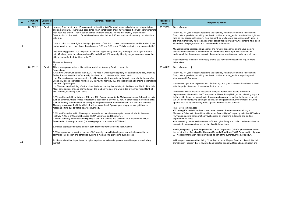Thank you for your feedback regarding the Kennedy Road Environmental Assessment Study. We appreciate you taking the time to outline your suggestion to extend the right turn ane as you approach Highway 7 from the north as well as your experiences with travel in he area. Community input is an important part of this study and your comments have been hared with the project team and documented for the record.

Please feel free to contact me directly should you have any questions or require more nformation.

Community input is an important part of this study, and your comments have been shared with the project team and documented for the record.

The current Environmental Assessment Study will review how best to provide the mprovements identified in the Transportation Master Plan (TMP), while balancing impacts the residents and communities in the surrounding area, as well as to the environment. We will also be reviewing strategies to alleviate congestion on Kennedy Road, including ptions such as synchronizing traffic lights in the north-south direction.

The TMP recommended:

My apologies for not responding sooner and for your experience during your morning commute on December 1. We shared your comments with City of Markham and we understand that they are working with their contractor to mitigate work during rush hour.

With respect to construction timing, York Region has a 10-year Road and Transit Capital Construction Program that is reviewed and updated annually. Depending on budget and common nite of projects materials in the adjustment of projects materials in timing for construction of constr

Thank you for your feedback regarding the Kennedy Road Environmental Assessment Study. We appreciate you taking the time to outline your suggestions regarding road widening and HOV lanes.

• Widening Kennedy Road from 4 to 6 lanes between Steeles Avenue and Major Mackenzie Drive, with the additional lanes as Transit/High Occupancy Vehicles (HOV) lane • Enhancing active transportation travel options by improving sidewalks and adding separated bike lanes

| ID | <b>Comment</b><br><b>Date</b> | <b>Comment</b><br>Format | <b>Comment / Request</b>                                                                                                                                                                                                                                                                                                                                                                                                                                                                                                                                                                                                                                                                                                                                                                                                                                                                                                                                                                                                                                                                                                                                                                                                                                                                                                                                                                                                                                                                                                                                                                                                                                                                                                                                                                                                                                                                                                                                           | <b>Response</b><br><b>Date</b> |                                                                                                                                                                                                                                                                                                                                                                                                                                                                                                  |
|----|-------------------------------|--------------------------|--------------------------------------------------------------------------------------------------------------------------------------------------------------------------------------------------------------------------------------------------------------------------------------------------------------------------------------------------------------------------------------------------------------------------------------------------------------------------------------------------------------------------------------------------------------------------------------------------------------------------------------------------------------------------------------------------------------------------------------------------------------------------------------------------------------------------------------------------------------------------------------------------------------------------------------------------------------------------------------------------------------------------------------------------------------------------------------------------------------------------------------------------------------------------------------------------------------------------------------------------------------------------------------------------------------------------------------------------------------------------------------------------------------------------------------------------------------------------------------------------------------------------------------------------------------------------------------------------------------------------------------------------------------------------------------------------------------------------------------------------------------------------------------------------------------------------------------------------------------------------------------------------------------------------------------------------------------------|--------------------------------|--------------------------------------------------------------------------------------------------------------------------------------------------------------------------------------------------------------------------------------------------------------------------------------------------------------------------------------------------------------------------------------------------------------------------------------------------------------------------------------------------|
| 43 | 20171122                      | Email                    | Kennedy Road south from 16th Avenue to at least the #407 is brutal, especially during morning rush hour<br>and on Saturday's. There have been times when construction crews have started their work before morning<br>rush hour has ended. That of course comes with lane closure. To me that's totally unacceptable!<br>Construction on this stretch of road should never start before 9:30 a.m. and should never go on later than<br>3:30 p.m.<br>Case in point, last year right at the lights just north of the #407, crews had one southbound lane shut down<br>during morning rush hour (I was there between 8:30 and 9:00 a.m.). Totally frustrating and unacceptable!<br>One other suggestion. You may want to consider significantly extending the length of the right turn lane<br>onto #7 when you're travelling south on Kennedy Road. If it were significantly longer more cars would be<br>able to line up for that right turn onto #7.<br>Thanks for listening.                                                                                                                                                                                                                                                                                                                                                                                                                                                                                                                                                                                                                                                                                                                                                                                                                                                                                                                                                                                      | 20171205                       | Good afternoon,<br>Thank you for your f<br>Study. We apprecia<br>lane as you approad<br>the area. Communit<br>shared with the proje<br>My apologies for no<br>commute on Decem<br>understand that they<br>Please feel free to c<br>information.                                                                                                                                                                                                                                                  |
|    | 20180112                      | Email                    | This is in response to the public notices posted on Kennedy Road in Unionville.<br>Suggestions:<br>1. Start the work much earlier than 2021. The road is well beyond capacity for several hours daily, Monday-<br>Friday. Pressure on the road's capacity has been and continues to increase due to:<br>a. The creation and expansion of Unionville as a major transportation hub with cars, shuttle buses, Viva<br>Buses, GO buses, increased numbers GO trains, the highway 407 and local buses all bringing in increasing<br>numbers of passengers.<br>b. The continued building of extraordinarily dense housing immediately to the West and North of the hub.<br>Major development projects planned on all the land on the east and west sides of Kennedy road North of<br>16th Avenue, including York Downs.<br>2. Widen Kennedy Road between 14th and 16th Avenue as a priority. Midblock collectors (where they exist<br>such as Birchmount) are limited to residential speed limits of 40 or 50 kph. In other cases they do not exist,<br>such as Brimley or Middlefield. All adding to the pressure on Kennedy between 14th and 16th avenues.<br>The very success of the Unionville Hub will be jeopardised if passengers simply cannot get there is<br>reasonable time due to traffic delays on Kennedy.<br>3. Widen Kennedy road to 6 lanes plus turning lanes, plus bus segregated lanes (similar to those on<br>Highway 7, West of Warden) between YMCA Boulevard and Highway 7.<br>4 Widen Kennedy Road between Highway 7 and 16th avenue and between 14th Avenue and YMCA<br>Boulevard to 6 lanes plus turns. (i.e. no segregated bus lanes or HOV lanes)<br>5. Include segregated bicycle lanes in both directions from Steeles to 16th Avenue.<br>6. Where possible reduce the number of left turns by consolidating ingress and exits into one lights-<br>controlled intersection and otherwise building a median strip preventing such access. | 20180117                       | Good afternoon [],<br>Thank you for your f<br>Study. We apprecia<br>widening and HOV I<br>Community input is<br>with the project tean<br>The current Environ<br>improvements identi<br>to the residents and<br>We will also be revious<br>options such as syn<br>The TMP recommer<br>• Widening Kennedy<br>Mackenzie Drive, wi<br>• Enhancing active t<br>separated bike lane<br>• Implementing cent<br>consolidate ingress<br>An EA, completed b<br>the construction of a<br>7. This recommenda |
| 44 |                               |                          | As I have taken time to put these thoughts together, an acknowledgement would be appreciated. Many<br>thanks!                                                                                                                                                                                                                                                                                                                                                                                                                                                                                                                                                                                                                                                                                                                                                                                                                                                                                                                                                                                                                                                                                                                                                                                                                                                                                                                                                                                                                                                                                                                                                                                                                                                                                                                                                                                                                                                      |                                | With respect to cons<br>Construction Progra<br>مطلب المتواصلات التلامين ومناوما                                                                                                                                                                                                                                                                                                                                                                                                                  |

### **Response / Action**

#### 3ood afternoon,

• Implementing center median where sufficient right-of-way and traffic conditions allows to consolidate ingress and egress to signalized intersections

An EA, completed by York Region Rapid Transit Corporation (YRRTC) has recommended ne construction of a VIVA Rapidway on Kennedy Road from YMCA Boulevard to Highway 7. This recommendation will be reviewed as part of the current Kennedy Road EA.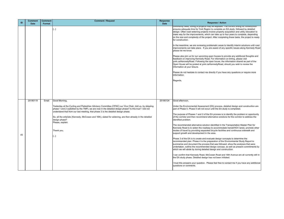Under the Environmental Assessment (EA) process, detailed design and construction are part of Phase 5. Phase 5 will not occur until the EA study is completed.

The purpose of Phases 1 and 2 of the EA process is to identify the problem or opportunity of the corridor and then recommend alternative solutions for the corridor to address the identified problem.

trust this answers your question. Please feel free to contact me if you have any additional questions or comments.

The recommended alternative solution identified in the Transportation Master Plan for Kennedy Road is to widen the roadway to accommodate transit/HOV lanes, promote other modes of travel by providing separated bicycle facilities and continuous sidewalk and support growth and development in the area.

Please also join us for our upcoming open houses to provide any additional thoughts and feedback on improving Kennedy Road. For information on timing, please visit york.ca/KennedyRoad. Following the open house, the information shared as part of the Open House will be posted at york.ca/KennedyRoad, should you wish to review the nformation at your leisure.

Phase 3 of the EA is to create and evaluate design concepts to determine the recommended plan. Phase 4 is the preparation of the Environmental Study Report to summarize and document the process that was followed, show the analyses that were undertaken, outline the recommended design concept, as well as present commitments by which we will abide by during detailed design and construction.

can confirm that Kennedy Road, McCowan Road and 16th Avenue are all currently still in he EA study phase. Detailed design has not been initiated.

Please do not hesitate to contact me directly if you have any questions or require more nformation.

| ID | <b>Comment</b><br><b>Date</b> | <b>Comment</b><br>Format | <b>Comment / Request</b>                                                                                                                                                                    | Response<br><b>Date</b> |
|----|-------------------------------|--------------------------|---------------------------------------------------------------------------------------------------------------------------------------------------------------------------------------------|-------------------------|
|    |                               |                          | $\left[\ldots\right]$                                                                                                                                                                       |                         |
|    |                               |                          |                                                                                                                                                                                             |                         |
|    |                               |                          |                                                                                                                                                                                             |                         |
|    |                               |                          |                                                                                                                                                                                             |                         |
|    |                               |                          |                                                                                                                                                                                             |                         |
|    |                               |                          |                                                                                                                                                                                             |                         |
|    |                               |                          |                                                                                                                                                                                             |                         |
|    |                               |                          |                                                                                                                                                                                             |                         |
|    |                               |                          |                                                                                                                                                                                             | Ш                       |
|    |                               |                          |                                                                                                                                                                                             |                         |
|    |                               |                          |                                                                                                                                                                                             |                         |
|    |                               |                          |                                                                                                                                                                                             |                         |
|    | 20180119                      | Email                    | Good Morning,                                                                                                                                                                               | 20180124                |
|    |                               |                          | Yesterday at the Cycling and Pedestrian Advisory Committee (CPAC) our Vice Chair, told us, by skipping                                                                                      |                         |
|    |                               |                          | phase 1 and 2 (satisfied by the TMP), we are now in the detailed design phase? Is this true? I did not<br>understand that from our last meeting, that phase 3 is the detailed design phase. |                         |
|    |                               |                          | So, all the arterials (Kennedy, McCowan and 16th), slated for widening, are then already in the detailed                                                                                    |                         |
|    |                               |                          | design phase?<br>Please, explain.                                                                                                                                                           | I١                      |
|    |                               |                          |                                                                                                                                                                                             | I٢                      |
| 45 |                               |                          | Thank you,<br>$\left[\ldots\right]$                                                                                                                                                         | n<br> s                 |
|    |                               |                          |                                                                                                                                                                                             | ΙF                      |
|    |                               |                          |                                                                                                                                                                                             |                         |
|    |                               |                          |                                                                                                                                                                                             | I٧                      |
|    |                               |                          |                                                                                                                                                                                             | tl                      |
|    |                               |                          |                                                                                                                                                                                             |                         |
|    |                               |                          |                                                                                                                                                                                             |                         |

#### **Response / Action**

community need, timing of projects may be adjusted. The current timing for construction ensures adequate time for York Region to complete an EA study, followed by detailed design. Often road widening projects involve property acquisition and utility relocation to make way for the improvements, which can take up to four years to complete, depending on the size and complexity of the project. After completing these tasks, the project is ready for construction.

In the meantime, we are reviewing problematic areas to identify interim solutions until road mprovements can take place. If you are aware of any specific issues along Kennedy Road please let me know.

Regards,

#### Good afternoon,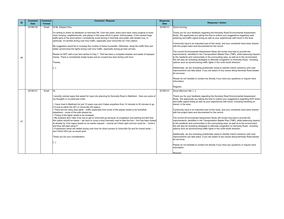Community input is an important part of this study, and your comments have been shared with the project team and documented for the record.

The current Environmental Assessment Study will review how best to provide the mprovements, identified in the Transportation Master Plan (TMP), while balancing impacts the residents and communities in the surrounding area, as well as to the environment. We will also be reviewing strategies to alleviate congestion on Kennedy Road, including ptions such as synchronizing traffic lights in the north-south direction.

Additionally, we are reviewing problematic areas to identify interim solutions until road mprovements can take place. If you are aware of any issues along Kennedy Road please et me know.

Please do not hesitate to contact me directly if you have any questions or require more nformation.

Thank you for your feedback regarding the Kennedy Road Environmental Assessment Study. We appreciate you taking the time to outline your suggestions regarding road widening and traffic signal timing as well as your experiences with travel in the area.

| ID | <b>Comment</b><br><b>Date</b> | <b>Comment</b><br>Format | <b>Comment / Request</b>                                                                                                                                                                                                                                                                                                                                                                                                                                                                                                                                                                                                                     | <b>Response</b><br><b>Date</b> |                                        |
|----|-------------------------------|--------------------------|----------------------------------------------------------------------------------------------------------------------------------------------------------------------------------------------------------------------------------------------------------------------------------------------------------------------------------------------------------------------------------------------------------------------------------------------------------------------------------------------------------------------------------------------------------------------------------------------------------------------------------------------|--------------------------------|----------------------------------------|
|    | 20180130                      | Email                    | Hi Mr. Edward Chiu,                                                                                                                                                                                                                                                                                                                                                                                                                                                                                                                                                                                                                          | 20180131                       | lG                                     |
|    |                               |                          | I'm writing to share my feedback on Kennedy Rd. Over the years, there have been many projects to build<br>more housing, neighborhoods, and plazas in this area which is great. Unfortunately, it has caused huge<br>traffic jams to the point where I consistently avoid driving in Kennedy and prefer side streets now. In<br>particular, it's terrible during rush hour traffic, especially near Unionville Go Train station.<br>My suggestion would be to increase the number of lanes if possible. Otherwise, study the traffic flow and<br>better synchronize the lights during rush hour traffic, especially during go train arrivals. |                                | S<br>W<br>$\overline{\mathsf{C}}$<br>W |
| 46 |                               |                          | Please do NOT add a bus lane similar to Hwy 7. That has been a complete disaster and waste of taxpayer<br>money. There is consistently empty buses and an unused bus lane during rush hour.<br>Thanks,                                                                                                                                                                                                                                                                                                                                                                                                                                       |                                | IΤI<br> in<br> to<br>M<br>lol          |
|    |                               |                          | $\left[\left[\right]\right]$                                                                                                                                                                                                                                                                                                                                                                                                                                                                                                                                                                                                                 |                                | A<br> in<br>le                         |
|    |                               |                          |                                                                                                                                                                                                                                                                                                                                                                                                                                                                                                                                                                                                                                              |                                | P<br> in                               |
|    |                               |                          |                                                                                                                                                                                                                                                                                                                                                                                                                                                                                                                                                                                                                                              |                                | lR                                     |
|    | 20180131                      | Email                    | Hi,                                                                                                                                                                                                                                                                                                                                                                                                                                                                                                                                                                                                                                          | 20180131                       | G                                      |
|    |                               |                          | I recently noticed signs that asked for input into planning for Kennedy Road in Markham. Here are some of<br>my thoughts in no particular order.                                                                                                                                                                                                                                                                                                                                                                                                                                                                                             |                                | S)<br>lal                              |
|    |                               |                          | $\left\vert \cdot \right\vert$ I have lived in Markham for just 10 years now and it takes anywhere from 10 minutes to 30 minutes to go<br>2.5 kms to either the 407 or Unionville GO station                                                                                                                                                                                                                                                                                                                                                                                                                                                 |                                | tra                                    |
|    |                               |                          | $\cdot$ There are too many stop lights – traffic especially from some of the plazas needs to be funnelled<br>elsewhere – some of the side streets too<br>• Timing of the lights needs to be reviewed                                                                                                                                                                                                                                                                                                                                                                                                                                         |                                | IС<br>W                                |
| 47 |                               |                          | • My husband and I take Viva now to get to Unionville go because of congestion and parking but feel that<br>this option should be easier – we have to cross a busy Kennedy road to take the bus – this has been looked<br>at already by York region based on an earlier request - volume isn't there right now but could be - "build it<br>and they will start using it"<br>- If expansion lanes are added during rush hour for direct access to Unionville Go and for transit lanes -                                                                                                                                                       |                                | IΤI<br> in<br>∣to<br>I٧<br>이           |
|    |                               |                          | don't think HOV per se would work<br>Thank you for your consideration.                                                                                                                                                                                                                                                                                                                                                                                                                                                                                                                                                                       |                                | ΙA<br> in<br> le                       |
|    |                               |                          | […]                                                                                                                                                                                                                                                                                                                                                                                                                                                                                                                                                                                                                                          |                                | P<br>lin                               |
|    |                               |                          |                                                                                                                                                                                                                                                                                                                                                                                                                                                                                                                                                                                                                                              |                                | IR                                     |

#### **Response / Action**

#### 3ood morning,

Thank you for your feedback regarding the Kennedy Road Environmental Assessment Study. We appreciate you taking the time to outline your suggestions regarding HOV lanes and traffic signal timing as well as your experiences with travel, including travelling on ransit, in the area.

Community input is an important part of this study, and your comments have been shared with the project team and documented for the record.

The current Environmental Assessment Study will review how best to provide the mprovements, identified in the Transportation Master Plan (TMP), while balancing impacts the residents and communities in the surrounding area, as well as to the environment. We will also be reviewing strategies to alleviate congestion on Kennedy Road, including ptions such as synchronizing traffic lights in the north-south direction.

Additionally, we are reviewing problematic areas to identify interim solutions until road mprovements can take place. If you are aware of any issues along Kennedy Road please et me know.

### Regards,

3ood afternoon Ms. [...],

Please do not hesitate to contact me directly if you have any questions or require more nformation.

egards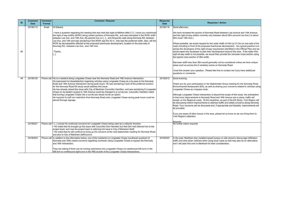Ve have reviewed the section of Kennedy Road between Lee Avenue and 14th Avenue, and the right-of-way widths currently vary between about 28m (around Lee Ave.) to about 36m (near 14th Ave.).

Where possible, we would request for the wider width of 43m (or 21.5m on one side of the bad) including in front of the proposed townhouse development. Our typical practice is to dvise the developers of the right-of-way requirement identified in the Official Plan and we would expect the developer to plan their development beyond this area. If the wider 43m ght-of-way width is not possible, we would then provide the narrower cross section using he typical cross section of 36m width.

Narrower width less than 36m would generally not be considered unless we have unique reas such as across the 2 cemetery zones on Kennedy Road.

trust this answer your question. Please feel free to contact me if you have additional uestions or comments.

#### 300d evening,

hank you for your participation in the Stakeholder Group meeting for the Kennedy Road Environmental Assessment (EA), as well as sharing your concerns related to vehicles using Longwater Chase as a bypass route.

f you are aware of other issues in the area, please let us know so we can bring them to York Region's attention.

#### egards

I the past, Markham also installed speed humps on side street to discourage infiltration raffic and slow down vehicles when using local roads so that may also be an alternative, and I will pass this over to Markham for their consideration.

| ID | <b>Comment</b><br><b>Date</b> | <b>Comment</b><br>Format | <b>Comment / Request</b>                                                                                                                                                                                                                                                                                                                                                                                                                                                                                                                                                                                                                                                                                                                                                                                                    | <b>Response</b><br><b>Date</b> |                                                      |
|----|-------------------------------|--------------------------|-----------------------------------------------------------------------------------------------------------------------------------------------------------------------------------------------------------------------------------------------------------------------------------------------------------------------------------------------------------------------------------------------------------------------------------------------------------------------------------------------------------------------------------------------------------------------------------------------------------------------------------------------------------------------------------------------------------------------------------------------------------------------------------------------------------------------------|--------------------------------|------------------------------------------------------|
|    | 20180112                      | Email                    | Hi Edward,                                                                                                                                                                                                                                                                                                                                                                                                                                                                                                                                                                                                                                                                                                                                                                                                                  | 20180116                       | lG                                                   |
| 48 |                               |                          | I have a question regarding the meeting that was held last night at Milliken Mills C.C. I know you mentioned<br>the right of way widths (ROW) along certain portions of Kennedy Rd., and was interested in the ROW width<br>between Lee Ave. and 14th Ave. My parents live on []., and frequently walk along Kennedy Rd. between<br>Lee Ave. and 14th and was wondering if the ROW was the 43 m , that was the preferred width. Also, will the<br>ROW be decreased/be affected at the proposed townhouse development, located on the east side of<br>Kennedy Rd., between Lee Ave., and 14th Ave.<br>Thanks,<br>[…]                                                                                                                                                                                                         |                                | IW<br>lar<br>36<br>IW<br>ro<br>ao<br>W<br>rig<br> th |
|    |                               |                          |                                                                                                                                                                                                                                                                                                                                                                                                                                                                                                                                                                                                                                                                                                                                                                                                                             |                                | IN:<br>lar                                           |
|    |                               |                          |                                                                                                                                                                                                                                                                                                                                                                                                                                                                                                                                                                                                                                                                                                                                                                                                                             |                                | I t<br>ldι                                           |
| 49 | 20180130                      |                          | Phone call He is a resident along Longwater Chase near the Kennedy Road and 16th Avenue intersection.<br>He expressed his dissatisfaction regarding vehicles using Longwater Chase as a by-pass to the Kennedy<br>Road and 16th Avenue intersection during peak hours. He was wondering if part of the preferred solution<br>for the Kennedy Road EA study would address this issue.<br>He has already raised this issue with City of Markham Councillor Hamilton, and was wondering if Longwater<br>Chase on its eastern access to 16th Avenue could be changed to a cul-de-sac. Councillor Hamilton noted<br>that turning Longwater Chase into a cul-de-sac would not be an option.<br>He inquired if a left turn restriction from Kennedy Road onto Longwater Chase during peak hours could be<br>placed through signage | 20180212                       | lG<br>l⊤۱<br>İΕι<br>L<br>A<br>lis<br>re<br> be<br> R |
|    |                               |                          |                                                                                                                                                                                                                                                                                                                                                                                                                                                                                                                                                                                                                                                                                                                                                                                                                             |                                | be<br> If<br>Y                                       |
|    | 20180221                      |                          | Phone call  • [] voiced his continued concerns for Longwater Chase being used as a collector function;<br>• He noted that he brought up this issue with Councillor Don Hamilton but that Don had referred him to the<br>project team, and now the project team is referring him back to City of Markham Staff;<br>He noted that he will continue to bring up his concerns at the next stakeholder meeting for Kennedy Road,<br>and also to City of Markham staff/council.                                                                                                                                                                                                                                                                                                                                                   |                                | N.                                                   |
|    | 20180323                      |                          | Phone call In addition to the information below, one of the residents on Longwater Chase (southeast quadrant of<br>Kennedy and 16th) raised concerns regarding commuter using Longwater Chase to bypass the Kennedy<br>and 16th intersection.                                                                                                                                                                                                                                                                                                                                                                                                                                                                                                                                                                               | 20180323                       | ln<br> tra<br>lar                                    |
|    |                               |                          | They are asking if there can be turning restrictions into Longwater Chase (no westbound left turns in the<br>AM and no northbound right turns in the PM) at both of the Longwater Chase intersections.                                                                                                                                                                                                                                                                                                                                                                                                                                                                                                                                                                                                                      |                                |                                                      |

#### **Response / Action**

#### 3ood afternoon,

Although Longwater Chase intersection is beyond the scope of this study, the anticipation that once improvements to Kennedy Road and 16th Avenue are in place, traffic will emain on the Regional roads. At the meantime, as part of the EA Study, York Region will e discussing interim improvements to address traffic and safety concerns along Kennedy Road. Your concerns will be discussed and, if appropriate and feasible, improvements will be provided.

No further action required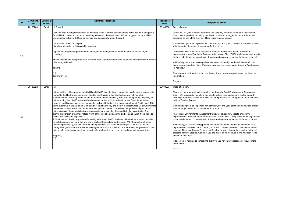Community input is an important part of this study, and your comments have been shared with the project team and documented for the record.

The current Environmental Assessment Study will review how best to provide the mprovements, identified in the Transportation Master Plan (TMP), while balancing impacts the residents and communities in the surrounding area, as well as to the environment.

Additionally, we are reviewing problematic areas to identify interim solutions until road mprovements can take place. If you are aware of any issues along Kennedy Road please et me know.

Please do not hesitate to contact me directly if you have any questions or require more nformation.

| ID | <b>Comment</b><br><b>Date</b> | <b>Comment</b><br>Format | <b>Comment / Request</b>                                                                                                                                                                                                                                                                            | <b>Response</b><br><b>Date</b> |                               |
|----|-------------------------------|--------------------------|-----------------------------------------------------------------------------------------------------------------------------------------------------------------------------------------------------------------------------------------------------------------------------------------------------|--------------------------------|-------------------------------|
|    | 20180206                      | Email                    | Hi Edward,                                                                                                                                                                                                                                                                                          | 20180208                       | G                             |
|    |                               |                          | I saw the sign looking for feedback on Kennedy Road. As there becomes more traffic it is more dangerous<br>for wildlife to cross the road without getting hit by cars, therefore I would like to suggest putting wildlife<br>underpasses in Kennedy Road so animals can pass safely under the road. |                                | S<br><b>CI</b>                |
|    |                               |                          | I've attached links of examples.<br>https://en.wikipedia.org/wiki/Wildlife crossing                                                                                                                                                                                                                 |                                | $\overline{\mathsf{C}}$<br>lw |
| 50 |                               |                          | https://www.pc.gc.ca/en/pn-np/ab/banff/info/gestion-management/enviro/transport/tch-rtc/passages-<br>crossings                                                                                                                                                                                      |                                | lΤl<br>ın<br> to              |
|    |                               |                          | These systems are cheaper to put it while the road is under construction so please consider this if Kennedy<br>rd is being widened.                                                                                                                                                                 |                                | ΙA<br> in                     |
|    |                               |                          | Thanks,                                                                                                                                                                                                                                                                                             |                                | le                            |
|    |                               |                          | []<br>Tax Payer, []                                                                                                                                                                                                                                                                                 |                                | P<br> in                      |
|    |                               |                          |                                                                                                                                                                                                                                                                                                     |                                | lR                            |
|    | 20180222                      | Email                    | $[]$ ,                                                                                                                                                                                                                                                                                              | 20180223                       | lG                            |
|    |                               |                          | attended the public open house at Milliken Mills CC last night and I would like to offer specific comments<br>related to the Heathwood Community located South West of the Steeles boundary of your study:                                                                                          |                                | lS <sup>.</sup>               |
|    |                               |                          | 1. We think that Kennedy Road should be opened 3 lanes each way from Steeles right up to Highway #7<br>before adding the 10,000 residential units planned in the Milliken redevelopment. The intersection of                                                                                        |                                | w<br>n                        |
|    |                               |                          | Kennedy and Steeles is extremely congested today with traffic trying to get in and out of Pacific Mall. This<br>traffic overflows in the Markham Community West of Kennedy and also in the Heathwood Community where                                                                                |                                |                               |
|    |                               |                          | people are taking a shortcut to avoid the traffic jam on Steeles. We believe that you should provide much<br>better access to these Malls before even considering expanding them and bringing more traffic. The                                                                                     |                                | W                             |
|    |                               |                          | planned expansion of Kennedy Road North of Steeles should ease the traffic in and out of these malls to<br>access 407 ETR and Highway #7.                                                                                                                                                           |                                | IΤI<br> in                    |
| 51 |                               |                          | 2. We think that the Underpass on Kennedy just North of Pacific Mall should be built as soon as possible<br>for safety reasons similar to the one being built on Steeles later on this year. With the number of trains                                                                              |                                | ∣to                           |
|    |                               |                          | Increasing drastically, the risk of a train hitting a vehicle has also increased quite a bit. It is a fact that                                                                                                                                                                                     |                                | ΙA                            |
|    |                               |                          | during traffic jams, cars are observed waiting on the tracks at times and it is extremely dangerous with the<br>train accelerating in a curve. It may explain why we hear the train horn so loud and so long now days.                                                                              |                                | in<br>ļΚ                      |
|    |                               |                          |                                                                                                                                                                                                                                                                                                     |                                | cr                            |
|    |                               |                          | Regards,<br>$\left[\ldots\right]$                                                                                                                                                                                                                                                                   |                                | pl                            |
|    |                               |                          |                                                                                                                                                                                                                                                                                                     |                                | P<br>lin                      |
|    |                               |                          |                                                                                                                                                                                                                                                                                                     |                                |                               |

### **Response / Action**

3ood afternoon,

Thank you for your feedback regarding the Kennedy Road Environmental Assessment Study. We appreciate you taking the time to outline your suggestion to include animal rossings as part of the Kennedy Road improvements project.

Thank you for your feedback regarding the Kennedy Road Environmental Assessment Study. We appreciate you taking the time to outline your suggestions related to road widening, improving access to Pacific Mall and providing an underpass at the rail crossing orth of Steeles Avenue.

Regards,

3ood afternoon,

Community input is an important part of this study, and your comments have been shared with the project team and documented for the record.

The current Environmental Assessment Study will review how best to provide the mprovements, identified in the Transportation Master Plan (TMP), while balancing impacts the residents and communities in the surrounding area, as well as to the environment.

Please do not hesitate to contact me directly if you have any questions or require more nformation.

Additionally, we are reviewing problematic areas to identify interim solutions until road mprovements can take place. Thank you for the comments related to the intersection of Kennedy Road and Steeles Avenue and for sharing your observations related to the rail rossing north of Steeles Avenue. If you are aware of other issues along Kennedy Road please let me know.

Regards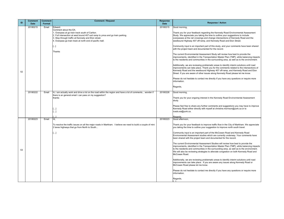Thank you for your feedback regarding the Kennedy Road Environmental Assessment Study. We appreciate you taking the time to outline your suggestions to include verpasses at the rail crossings and change intersections of Kennedy Road and the westbound Highway 407 off-ramp, and Kennedy Road and Eton Street.

Please do not hesitate to contact me directly if you have any questions or require more nformation.

Community input is an important part of this study, and your comments have been shared with the project team and documented for the record.

The current Environmental Assessment Study will review how best to provide the mprovements, identified in the Transportation Master Plan (TMP), while balancing impacts o the residents and communities in the surrounding area, as well as to the environment.

Thank you for your ongoing interest in the Kennedy Road Environmental Assessment study.

Please feel free to share any further comments and suggestions you may have to improve Kennedy Road either directly with myself at christine.morrison@york.ca or to oads.ea@york.ca.

#### **Regards**,

3ood afternoon,

Thank you for your feedback to improve traffic flow in the City of Markham. We appreciate ou taking the time to outline your suggestion to improve north south travel.

Additionally, we are reviewing problematic areas to identify interim solutions until road mprovements can take place. Thank you for the comments related to the intersections of Kennedy Road and the westbound Highway 407 off-ramp, and Kennedy Road and Eton Street. If you are aware of other issues along Kennedy Road please let me know.

Community input is an important part of the McCowan Road and Kennedy Road Environmental Assessment studies which are currently underway. Your comments have been shared with the project team and documented for the record.

Regards,

#### 3ood morning,

| ID | <b>Comment</b><br><b>Date</b> | <b>Comment</b><br>Format | <b>Comment / Request</b>                                                                                                                                                                                                                                                                                                           | <b>Response</b><br><b>Date</b> |                                                                                                                                         |
|----|-------------------------------|--------------------------|------------------------------------------------------------------------------------------------------------------------------------------------------------------------------------------------------------------------------------------------------------------------------------------------------------------------------------|--------------------------------|-----------------------------------------------------------------------------------------------------------------------------------------|
| 52 | 20180215                      | Email                    | Edward.<br>Comment about the EA.<br>1. Overpass at go train track south of Carlton.<br>2. Full intersection at west bound 407 exit ramp to ymca and go train parking.<br>3. Stop through traffic at Kennedy and Eton street.<br>4. Overpass go train track at north end of pacific mall.<br>$\left[\left[\right]\right]$<br>Thanks | 20180215                       | Go<br> Tha<br>Stu<br><b>OV6</b><br>we:<br>Co<br>witl<br>The<br>imp<br>to t<br>Ad <sub>®</sub><br>imp<br>Kel<br>Str<br>Ple<br>info<br>Re |
|    | 20180222                      | Email                    | hi, i am actually work and drive a lot on the road within the region and have a lot of comments wonder if<br>there is an general email i can pass on my suggestion?<br>thanks<br>$\left[\ldots\right]$<br>[]                                                                                                                       | 20180226                       | Go<br>Tha<br>stu<br>Ple<br>Kel<br>roa<br>Re                                                                                             |
| 53 | 20180223                      | Email                    | Hi,<br>To resolve the traffic issues on all the major roads in Markham. I believe we need to build a couple of mini<br>2 lanes highways that go from North to South<br>$\left[\left[\right]\right]$                                                                                                                                | 20180223                       | Go<br>Tha<br>you<br>Co<br>En<br>bee<br>The<br>imp<br>to t<br>We<br>Mc<br>Ad <sub>®</sub><br>imp<br>Mc<br>Ple<br>info<br>Re              |

#### **Response / Action**

#### 3ood morning,

The current Environmental Assessment Studies will review how best to provide the mprovements, identified in the Transportation Master Plan (TMP), while balancing impacts o the residents and communities in the surrounding area, as well as to the environment. We will also be reviewing strategies to alleviate congestion on both Kennedy Road and McCowan Road.

Additionally, we are reviewing problematic areas to identify interim solutions until road mprovements can take place. If you are aware any issues along Kennedy Road or McCowan Road please let me know.

Please do not hesitate to contact me directly if you have any questions or require more nformation.

Regards,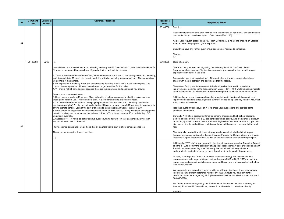Please kindly review on the draft minutes from the meeting on February 2 and send us any comments that you may have by end of next week (March 16).

Thank you for your feedback regarding the Kennedy Road and McCowan Road Environmental Assessment Studies. We appreciate you taking the time to outline your experience with travel in the area.

As per your request, please contact[...] from Metrolinx ([...]) related to impacts on Steeles Avenue due to the proposed grade separation.

Community input is an important part of these studies and your comments have been shared with the project team and documented for the record.

The current Environmental Assessment Study will review how best to provide the mprovements, identified in the Transportation Master Plan (TMP), while balancing impacts o the residents and communities in the surrounding area, as well as to the environment.

Should you have any further questions, please do not hesitate to contact us.

Currently, YRT offers discounted fares for seniors, children and high school students. Seniors and children receive a 37 per cent discount on tickets, and a 58 per cent discount on monthly passes compared to the adult rate. High school students receive a 21 per cent liscount on tickets, and a 23 per cent discount on monthly passes compared to the adult ate.

There are also several transit discount programs in place for individuals that require financial assistance, such as the Transit Discount Program for Ontario Works and Ontario Disability Support Program clients, as well as the new Transit Assistance Program pilot.

Additionally, we are reviewing problematic areas to identify interim solutions until road mprovements can take place. If you are aware of issues along Kennedy Road or McCowan Road please let me know.

reached out to my colleagues at YRT to share your suggestions and provide some dditional information.

n 2016, York Regional Council approved a transition strategy that would maintain a revenue-to-cost ratio target at 40 per cent for the years 2017 to 2020. YRT's annual fare review ensures balanced costs between riders and taxpayers, and is consistent with other GTA transit systems

Additionally, YRT staff are working with other transit agencies, including Brampton Transit and the TTC, to identify the possibility of a special post-secondary pass (referred to as a U-Pass) for students attending York University that will allow full-time graduate and undergraduate students to travel on these three transit systems with the one pass.

| ID | <b>Comment</b><br><b>Date</b> | <b>Comment</b><br>Format | <b>Comment / Request</b>                                                                                                                                                                                                                                                                                                                                                                                                                                                                                                                                                                                                                                                                                                                                                                                                                                                                                                                                                                                                                                                                                                                                                                                                                                                                                                                                                                                                                                                                                                                                                                                                                                                                                                                                                                                                                                                     | <b>Response</b><br><b>Date</b> |                                                                                                                                                                                                                                                                                                                                                                                                                                                                                                                                                                                                                                                                                                          |
|----|-------------------------------|--------------------------|------------------------------------------------------------------------------------------------------------------------------------------------------------------------------------------------------------------------------------------------------------------------------------------------------------------------------------------------------------------------------------------------------------------------------------------------------------------------------------------------------------------------------------------------------------------------------------------------------------------------------------------------------------------------------------------------------------------------------------------------------------------------------------------------------------------------------------------------------------------------------------------------------------------------------------------------------------------------------------------------------------------------------------------------------------------------------------------------------------------------------------------------------------------------------------------------------------------------------------------------------------------------------------------------------------------------------------------------------------------------------------------------------------------------------------------------------------------------------------------------------------------------------------------------------------------------------------------------------------------------------------------------------------------------------------------------------------------------------------------------------------------------------------------------------------------------------------------------------------------------------|--------------------------------|----------------------------------------------------------------------------------------------------------------------------------------------------------------------------------------------------------------------------------------------------------------------------------------------------------------------------------------------------------------------------------------------------------------------------------------------------------------------------------------------------------------------------------------------------------------------------------------------------------------------------------------------------------------------------------------------------------|
| 54 |                               |                          |                                                                                                                                                                                                                                                                                                                                                                                                                                                                                                                                                                                                                                                                                                                                                                                                                                                                                                                                                                                                                                                                                                                                                                                                                                                                                                                                                                                                                                                                                                                                                                                                                                                                                                                                                                                                                                                                              | 20180308                       | Dear [],<br>Please kindly re<br>comments that y<br>As per your requ<br>Avenue due to tl<br>Should you have<br>Thanks,                                                                                                                                                                                                                                                                                                                                                                                                                                                                                                                                                                                    |
| 55 | 20180303                      | Email                    | Hi,<br>I would like to make a comment about widening Kennedy and McCowan roads. I have lived in Markham for<br>34 years so know what happens here. If you don't mind I will just list reasons.<br>1. There is too much traffic and there will just be a bottleneck at the end 2.I live at Major Mac. and Kennedy,<br>and it already take 20 mins. + to drive to Markville in traffic, including weekends all day. The construction<br>would make it a nightmare.<br>3. The expansion of Highway 7 was just embarrassing how long it took, and it is still not complete. The<br>construction company should have been charged huge penalties for the delay.<br>4. YR should halt all development because there are too many cars and people and you know it.<br>Some common sense solutions:<br>5. Hardly anyone walks in Markham. Make sidewalks bike lanes on one side of all the major roads, or<br>widen paths for dual use This could be a pilot. It is too dangerous to cycle on our roads.<br>6. YRT should be free for seniors, unemployed people and children after 9:30. So many busses are<br>empty.(suggest pilot) 7. High school students should have an annual cheap \$50 bus pass, to stop parents<br>driving them to school. Look at the cost of bussing to high school each week. I think it is \$30.<br>8. There should be huge discounts for university students on YRT and GO. Every way I look at using public<br>transit, it is always more expensive that driving. I drive to Toronto and park for \$6 on a Saturday. GO<br>would cost over \$15.<br>9. Subsidize YRT. It would be better to have busses running full with low fare passengers, rather than<br>empty and more cars on the road.<br>I have common sense and I would hope that all planners would start to show common sense too.<br>Thank you for taking the time to read this.<br>$[]$ | 20180308                       | II]<br>Good afternoon,<br>Thank you for yo<br><b>Environmental A</b><br>experience with<br>Community inpu<br>shared with the<br>The current Env<br>improvements, io<br>to the residents<br>Additionally, we<br>improvements ca<br>Road please let<br>I reached out to<br>additional inform<br>Currently, YRT o<br>Seniors and chil<br>on monthly pass<br>discount on ticke<br>rate.<br>There are also s<br>financial assista<br><b>Disability Suppo</b><br>Additionally, YR<br>and the TTC, to<br>Pass) for studen<br>undergraduate s<br>In 2016, York Re<br>revenue-to-cost<br>review ensures I<br><b>GTA transit syst</b><br>We appreciate y<br>into our tracking<br>questions or cor<br>866-668-3978. |
|    |                               |                          |                                                                                                                                                                                                                                                                                                                                                                                                                                                                                                                                                                                                                                                                                                                                                                                                                                                                                                                                                                                                                                                                                                                                                                                                                                                                                                                                                                                                                                                                                                                                                                                                                                                                                                                                                                                                                                                                              |                                | For further inforr<br>Kennedy Road a<br>Regards                                                                                                                                                                                                                                                                                                                                                                                                                                                                                                                                                                                                                                                          |

#### **Response / Action**

#### ear [...],

We appreciate you taking the time to provide us with your feedback. It has been entered nto our tracking system (reference number 1443086). Should you have any further questions or concerns regarding YRT, please do not hesitate to call our Contact Centre 1- 866-668-3978.

For further information regarding the Environmental Assessment studies underway for Kennedy Road and McCowan Road, please do not hesitate to contact me directly.

**Regards**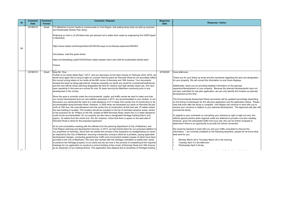Thank you for your follow up email and the comments regarding the land use designation or your property. We will correct the information on any future displays.

| ID | <b>Comment</b><br><b>Date</b> | <b>Comment</b><br><b>Format</b> | <b>Comment / Request</b>                                                                                                                                                                                                                                                                                                                                                                                                                                                                                                                                                                                                                                                                                                                                                                                                                                                                                                                                                                                                                               | <b>Response</b><br><b>Date</b> |  |
|----|-------------------------------|---------------------------------|--------------------------------------------------------------------------------------------------------------------------------------------------------------------------------------------------------------------------------------------------------------------------------------------------------------------------------------------------------------------------------------------------------------------------------------------------------------------------------------------------------------------------------------------------------------------------------------------------------------------------------------------------------------------------------------------------------------------------------------------------------------------------------------------------------------------------------------------------------------------------------------------------------------------------------------------------------------------------------------------------------------------------------------------------------|--------------------------------|--|
|    | 20180318                      | Email                           | FYI (Markham Council needs to communicate to York Region, that adding lanes does not add up anymore<br>and Sustainable Streets Plan does).                                                                                                                                                                                                                                                                                                                                                                                                                                                                                                                                                                                                                                                                                                                                                                                                                                                                                                             |                                |  |
|    |                               |                                 | Widening on hold in LA (Portland also got advised not to widen their roads by engineering firm WSP based<br>in Montreal):                                                                                                                                                                                                                                                                                                                                                                                                                                                                                                                                                                                                                                                                                                                                                                                                                                                                                                                              |                                |  |
| 56 |                               |                                 | https://www.citylab.com/transportation/2018/03/la-says-no-to-freeway-expansion/555353/                                                                                                                                                                                                                                                                                                                                                                                                                                                                                                                                                                                                                                                                                                                                                                                                                                                                                                                                                                 |                                |  |
|    |                               |                                 | And please, read this great article:                                                                                                                                                                                                                                                                                                                                                                                                                                                                                                                                                                                                                                                                                                                                                                                                                                                                                                                                                                                                                   |                                |  |
|    |                               |                                 | https://sf.streetsblog.org/2015/02/20/san-mateo-adopts-vision-zero-with-its-sustainable-streets-plan/                                                                                                                                                                                                                                                                                                                                                                                                                                                                                                                                                                                                                                                                                                                                                                                                                                                                                                                                                  |                                |  |
|    |                               |                                 | Cheers,                                                                                                                                                                                                                                                                                                                                                                                                                                                                                                                                                                                                                                                                                                                                                                                                                                                                                                                                                                                                                                                |                                |  |
|    | 20180319                      | Email                           | Dear Mr. Chiu<br>Further to our email dated Sept 1 2017, and our discussion at the Open House on February 22nd, 2018, we<br>would once again like to bring to light our concern that the plans for Kennedy Road do not accurately reflect<br>the current zoning status of our lands at the NW corner of Kennedy and 16th Avenue. Your documents<br>showed the lands as being agricultural, however presently our lands are zoned for commercial/institutional<br>and the new official Urban planning designates the land for medium and high density mixed use. We have<br>been operating in this area as a school for over 30 years serving the Markham community prior to any<br>development in the vicinity.<br>Since the area is currently under the environmental, capital, and traffic review we want to make sure that<br>our current development and our new addition proposed in 2013, are accommodated in your studies. In our<br>discussion you mentioned the need of a road allowance of 21.5 meter from center line of construction to be | 20180320                       |  |
|    |                               |                                 | accommodated along Kennedy Road. However, in 2005 when we developed our lands on Kennedy Rd just<br>north of 16th Ave, the road allowance from the center line of construction at that time was 18 meters where<br>the new building is located. This location should be included on the list of excluded sensitive areas, similar                                                                                                                                                                                                                                                                                                                                                                                                                                                                                                                                                                                                                                                                                                                      |                                |  |
|    |                               |                                 | to the exclusion for St. Phillips on the Hill, located at 9400 Kennedy Road, where the 21.5 meter allowance<br>could not be accommodated. On our property we also have a designated Heritage building that is only<br>approx. 16 meters from the centre line. We did, however, notice that there is space on the east side of<br>Kennedy Road to allow for the proposed expansion.                                                                                                                                                                                                                                                                                                                                                                                                                                                                                                                                                                                                                                                                     |                                |  |
|    |                               |                                 | At our pre-consultation meeting with the officials from the planning department of City of Markham, and<br>York Region planning and development services, in 2013, we had shared plans for our proposed addition to<br>our properties on Kennedy. Since then we started the process of the expansion by amalgamating our lands<br>as required by the City of Markham, securing a temporary zoning to allow for a portable, paying applicable<br>development charges, conducting geotechnical, traffic and environment studies (copies of which have been<br>provided to the City of Markham). We have also worked with the Heritage committee to satisfy their needs                                                                                                                                                                                                                                                                                                                                                                                   |                                |  |
|    |                               |                                 | to preserve the Heritage property on our lands and we are now in the process of completing all the required<br>drawings for our application to construct a school building at the corner of Kennedy Road and 16th Avenue<br>as an expansion of our existing School. This application was delayed due to sensitivity of Heritage building<br>and the control of the control of the control of                                                                                                                                                                                                                                                                                                                                                                                                                                                                                                                                                                                                                                                           |                                |  |

**Response / Action** 

3ood afternoon,

Additionally, thank you for providing detailed information on the planned expansion/development on your property. Because the planned developments have not yet been submitted for site plan application, we can only identify this location as planned development at this time.

The Environmental Assessment Study documents will be updated accordingly depending on the timing of submission for the site plan application and the application status. Please note that even after the Study is complete, York Region will continue to work with you to resolve your concerns in relation to your planned development. The approved site plan will override the Study.

In regards to your comments on converting your entrance to right in-right out only, this reflects typical practice when regional roads are widened to provide a six lane roadway. However, given the anticipated traffic from your site, this can be further reviewed to determine if there is an opportunity to provide full vehicle movement.

We would be pleased to meet with you and your traffic consultant to discuss the nformation. I am currently available on the following days/time, please let me know what best work for you:

In the distribution of the distribution of the distribution of the distribution of the distribution of the distribution of the distribution of the distribution of the distribution of the distribution of the distribution o

• Monday March 26 to Thursday March 29 in the morning • Tuesday April 3 in the afternoon • Wednesday April 4 all day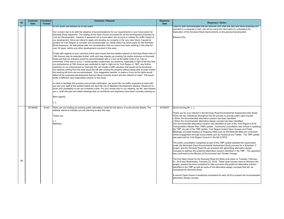$\lambda$  second Open House is tentatively scheduled for early 2019 to present the recommended alternative design concept.

The first Open House for the Kennedy Road EA Study took place on Tuesday, February 21, 2018 and Wednesday, February 22, 2018. These open houses were to introduce the roject, present the work completed to date and share the preferred alternative solution dentified in the TMP as well as some of the alternative design concepts that will  $\,$  be considered for Kennedy Road.

| sponse<br><b>Date</b> | <b>Response / Action</b>                                                                                                                                                                                                                                                                                                                                                                                                                                                                                                                                                                                                                                                                                                                                                                                                                 |
|-----------------------|------------------------------------------------------------------------------------------------------------------------------------------------------------------------------------------------------------------------------------------------------------------------------------------------------------------------------------------------------------------------------------------------------------------------------------------------------------------------------------------------------------------------------------------------------------------------------------------------------------------------------------------------------------------------------------------------------------------------------------------------------------------------------------------------------------------------------------------|
|                       | I want to also acknowledged that we received your draft site plan and detail drawings you<br>provided in a separate e-mail, and will be using the information to understand the<br>implication of the Kennedy Road improvements on the planned development.                                                                                                                                                                                                                                                                                                                                                                                                                                                                                                                                                                              |
|                       | <b>Edward Chiu</b>                                                                                                                                                                                                                                                                                                                                                                                                                                                                                                                                                                                                                                                                                                                                                                                                                       |
|                       |                                                                                                                                                                                                                                                                                                                                                                                                                                                                                                                                                                                                                                                                                                                                                                                                                                          |
|                       |                                                                                                                                                                                                                                                                                                                                                                                                                                                                                                                                                                                                                                                                                                                                                                                                                                          |
|                       |                                                                                                                                                                                                                                                                                                                                                                                                                                                                                                                                                                                                                                                                                                                                                                                                                                          |
|                       |                                                                                                                                                                                                                                                                                                                                                                                                                                                                                                                                                                                                                                                                                                                                                                                                                                          |
|                       |                                                                                                                                                                                                                                                                                                                                                                                                                                                                                                                                                                                                                                                                                                                                                                                                                                          |
|                       |                                                                                                                                                                                                                                                                                                                                                                                                                                                                                                                                                                                                                                                                                                                                                                                                                                          |
|                       |                                                                                                                                                                                                                                                                                                                                                                                                                                                                                                                                                                                                                                                                                                                                                                                                                                          |
|                       |                                                                                                                                                                                                                                                                                                                                                                                                                                                                                                                                                                                                                                                                                                                                                                                                                                          |
|                       |                                                                                                                                                                                                                                                                                                                                                                                                                                                                                                                                                                                                                                                                                                                                                                                                                                          |
| 180427                | Good morning Mr. [],                                                                                                                                                                                                                                                                                                                                                                                                                                                                                                                                                                                                                                                                                                                                                                                                                     |
|                       | Thank you for your interest in the Kennedy Road Environmental Assessment (EA) Study.<br>There are key milestones throughout the EA process to provide public open houses:<br>. When the recommended alternative solution has been identified<br>• When the recommended alternative design concept has been identified<br>The recommended alternative solution was identified as part of the York Region's 2016<br>Transportation Master Plan (TMP) update. Community consultation was critical in updating<br>the TMP. As part of the TMP update, York Region hosted Open Houses and Public<br>Meetings, provided displays at shopping malls such as the Markville Mall and conducted<br>online engagement through social media such as Facebook and Twitter. The TMP update<br>was approved by York Region Council in the fall of 2016. |
|                       | The public consultation completed as part of the TMP update satisfied the requirement<br>under the Municipal Class Environmental Assessment Study process for a Schedule 'C'<br>project, and the Kennedy Road EA can proceed with generating alternative design<br>concepts to address the preferred alternative solution identified in the TMP. This approach                                                                                                                                                                                                                                                                                                                                                                                                                                                                           |

| ID | <b>Comment</b><br><b>Date</b> | <b>Comment</b><br>Format | <b>Comment / Request</b>                                                                                                                                                                                                                                                                                                                                                                                                                                                                                                                                                                                                                                                                                                                                                                                                                                                                                                                                                                                                                                                                                                                                                                                                                                                                                                                                                                                                                                                                                                                                                                                                                                                                                                                                                                                                                                                                                                                                                                                                                                                                                                                                                                                                                                                                                                                        | <b>Response</b><br><b>Date</b> | <b>Response / Action</b>                                                                                                                                                                                                                                                                                                                                                                                                                                                                                                                                                                                                                                                                                                                                                                                                                                                                                                                                                                                                                                                                                                                                                                                                                                                                                                                                                                                                                                                                              |
|----|-------------------------------|--------------------------|-------------------------------------------------------------------------------------------------------------------------------------------------------------------------------------------------------------------------------------------------------------------------------------------------------------------------------------------------------------------------------------------------------------------------------------------------------------------------------------------------------------------------------------------------------------------------------------------------------------------------------------------------------------------------------------------------------------------------------------------------------------------------------------------------------------------------------------------------------------------------------------------------------------------------------------------------------------------------------------------------------------------------------------------------------------------------------------------------------------------------------------------------------------------------------------------------------------------------------------------------------------------------------------------------------------------------------------------------------------------------------------------------------------------------------------------------------------------------------------------------------------------------------------------------------------------------------------------------------------------------------------------------------------------------------------------------------------------------------------------------------------------------------------------------------------------------------------------------------------------------------------------------------------------------------------------------------------------------------------------------------------------------------------------------------------------------------------------------------------------------------------------------------------------------------------------------------------------------------------------------------------------------------------------------------------------------------------------------|--------------------------------|-------------------------------------------------------------------------------------------------------------------------------------------------------------------------------------------------------------------------------------------------------------------------------------------------------------------------------------------------------------------------------------------------------------------------------------------------------------------------------------------------------------------------------------------------------------------------------------------------------------------------------------------------------------------------------------------------------------------------------------------------------------------------------------------------------------------------------------------------------------------------------------------------------------------------------------------------------------------------------------------------------------------------------------------------------------------------------------------------------------------------------------------------------------------------------------------------------------------------------------------------------------------------------------------------------------------------------------------------------------------------------------------------------------------------------------------------------------------------------------------------------|
| 57 |                               |                          | on our lands that delayed us by two years.<br>Our concern has to do with the absence of accommodations for our requirements in your future plans for<br>Kennedy Road expansion. The display at the Open House accounted for all the development proposed by<br>York ton Development, however it appeared not to have taken into account or missed the traffic impact of<br>our development. Since we intend to apply and develop our property in the very near future it would be<br>prudent for York Region to consider and accommodate our needs within the future plans for the Kennedy<br>Road expansion. As well please take into consideration that our school has been existing in this area for<br>over 30 years, before any other development occurred in this area.<br>Finally with regards to your comment at the open house that the median (island) on Kennedy Road north of<br>16th Avenue may be extended further north and may impede our existing full motion entrance on Kennedy<br>Road and that our entrance would be accommodated with a U-turn at the lights north of us, has us<br>concerned. If this was to occur, it would greatly compromise our entrance, especially in light of the fact that<br>our exit/entrance at 16th Avenue was restricted to right in right out by York Region in 1997, any further<br>restriction to our entrance/exit on Kennedy Rd. will create a traffic situation that would not be functional.<br>Our parents coming from the west would be left with circling the property without being able to enter unless<br>the existing left turns are accommodated. Your suggestion parents to make a U-turn at the lights would<br>effect all the purposed developments that are being currently shown and the network of roads. We would<br>prefer a different more reasonable solution to this issue.<br>In order to facilitate this process and provide clarification, we would like our traffic engineers to meet with<br>you and your staff at the earliest before the April 4th city of Markham Development meeting. Please let us<br>know your availability so we can schedule a time. For your review prior to our meeting, we will also forward<br>you a draft site plan and detail drawings that our architects and engineers have been currently working on.<br>Best regards,<br>] |                                | I want to also acknowledged that we received your draft site plan ai<br>provided in a separate e-mail, and will be using the information to u<br>implication of the Kennedy Road improvements on the planned dev<br><b>Edward Chiu</b>                                                                                                                                                                                                                                                                                                                                                                                                                                                                                                                                                                                                                                                                                                                                                                                                                                                                                                                                                                                                                                                                                                                                                                                                                                                                |
| 58 | 20180426                      | Email                    | Hello, are you holding an evening public information centre for the above, if so pls provide details. The<br>website seems to indicate you are planning to skip this step.<br>Thank you,<br>[…]<br>Markham                                                                                                                                                                                                                                                                                                                                                                                                                                                                                                                                                                                                                                                                                                                                                                                                                                                                                                                                                                                                                                                                                                                                                                                                                                                                                                                                                                                                                                                                                                                                                                                                                                                                                                                                                                                                                                                                                                                                                                                                                                                                                                                                      | 20180427                       | Good morning Mr. [],<br>Thank you for your interest in the Kennedy Road Environmental As<br>There are key milestones throughout the EA process to provide pul<br>• When the recommended alternative solution has been identified<br>• When the recommended alternative design concept has been ide<br>The recommended alternative solution was identified as part of the<br>Transportation Master Plan (TMP) update. Community consultatior<br>the TMP. As part of the TMP update, York Region hosted Open Ho<br>Meetings, provided displays at shopping malls such as the Markville<br>online engagement through social media such as Facebook and Tv<br>was approved by York Region Council in the fall of 2016.<br>The public consultation completed as part of the TMP update satisf<br>under the Municipal Class Environmental Assessment Study proces<br>project, and the Kennedy Road EA can proceed with generating alte<br>concepts to address the preferred alternative solution identified in t<br>was confirmed by the Ministry of Environment and Climate Change.<br>The first Open House for the Kennedy Road EA Study took place o<br>21, 2018 and Wednesday, February 22, 2018. These open houses<br>project, present the work completed to date and share the preferred<br>identified in the TMP as well as some of the alternative design cond<br>considered for Kennedy Road.<br>A second Open House is tentatively scheduled for early 2019 to pre<br>alternative design concept. |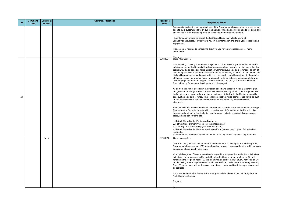Community feedback is an important part of the Environmental Assessment process as we seek to build system capacity on our road network while balancing impacts to residents and businesses in the surrounding area, as well as to the natural environment.

The information shared as part of the first Open House is available online at york.ca/KennedyRoad. I invite you to review the information and share your feedback and suggestions.

Please do not hesitate to contact me directly if you have any questions or for more information.

#### Regards,

Good Afternoon [...],

am following up to my brief email from yesterday. I understand you recently attended a public meeting for the Kennedy Road widening project and may already be aware that the project would also consider noise mitigation warrants (e.g. noise barrier fences) as part of completing the Environmental Assessment, but contemplating construction commitments is likely still premature as studies are yet to be completed. I won't be getting into the details of this part since your original inquiry was about the fence subsidy, but you can follow-up with the project team or the Region's project manager (Ed Chiu, Cc'd) for the Kennedy Road widening for any new developments on the project.

|    | <b>Comment</b> | <b>Comment</b> | <b>Comment / Request</b> | <b>Response</b> |                                                                                                                                                                                         |
|----|----------------|----------------|--------------------------|-----------------|-----------------------------------------------------------------------------------------------------------------------------------------------------------------------------------------|
| ID | <b>Date</b>    | Format         |                          | <b>Date</b>     |                                                                                                                                                                                         |
|    |                |                |                          |                 | Community feedba<br>seek to build syster<br>businesses in the s                                                                                                                         |
|    |                |                |                          |                 | The information sha<br>york.ca/KennedyRo<br>suggestions.                                                                                                                                |
|    |                |                |                          |                 | Please do not hesit<br>information.                                                                                                                                                     |
|    |                |                |                          | 20180504        | Regards<br>Good Afternoon [                                                                                                                                                             |
|    |                |                |                          |                 | I am following up to<br>public meeting for t<br>project would also<br>completing the Env<br>likely still prematur<br>of this part since yo<br>with the project tea<br>Road widening for |
| 59 |                |                |                          |                 | Aside from this futu<br>designed for smalle<br>traffic noise, who a<br>construct a noise b<br>on the residential s<br>afterwards.                                                       |
|    |                |                |                          |                 | Attached with this e<br>Please see the four<br>barriers and region<br>steps, an applicatio                                                                                              |
|    |                |                |                          |                 | 1. Retrofit Noise Ba<br>2. Retrofit Noise Ba<br>3. York Region's N<br>4. Retrofit Noise Ba<br>materials)<br>Please feel free to                                                         |
|    |                | Email          |                          | 20180212        | Good evening [],                                                                                                                                                                        |
|    |                |                |                          |                 | Thank you for your<br>Environmental Ass<br>Longwater Chase a                                                                                                                            |
|    |                |                |                          |                 | Although Longwate<br>is that once improv<br>remain on the Regi<br>be discussing inter<br>Road. Your concer<br>be provided.                                                              |
|    |                |                |                          |                 | If you are aware of<br>York Region's atter                                                                                                                                              |
|    |                |                |                          |                 | Regards,                                                                                                                                                                                |
|    |                |                |                          |                 |                                                                                                                                                                                         |

#### **Response / Action**

Aside from this future possibility, the Region does have a Retrofit Noise Barrier Program designed for smaller groups of homeowners who are seeking relief from the adjacent road traffic noise, who agree and are willing to cost share (50/50) with the Region to possibly construct a noise barrier fence. The constructed retrofit noise barrier fence would be built on the residential side and would be owned and maintained by the homeowners afterwards.

Attached with this email is the Region's retrofit noise barrier program information package. Please see the four attachments which provides basic information on the Retrofit noise barriers and regional policy, including requirements, limitations, potential costs, process steps, an application form, etc.

. Retrofit Noise Barrier Petitioning Brochure

- 2. Retrofit Noise Barrier Protocol (for Information only)
- 3. York Region's Noise Policy (see Retrofit section)
- 4. Retrofit Noise Barrier Request Application Form (please keep copies of all submitted materials)

Please feel free to contact myself should you have any further questions regarding the

Thank you for your participation in the Stakeholder Group meeting for the Kennedy Road Environmental Assessment (EA), as well as sharing your concerns related to vehicles using Longwater Chase as a bypass route.

Although Longwater Chase intersection is beyond the scope of this study, the anticipation is that once improvements to Kennedy Road and 16th Avenue are in place, traffic will remain on the Regional roads. At the meantime, as part of the EA Study, York Region will be discussing interim improvements to address traffic and safety concerns along Kennedy Road. Your concerns will be discussed and, if appropriate and feasible, improvements will be provided.

If you are aware of other issues in the area, please let us know so we can bring them to York Region's attention.

[...]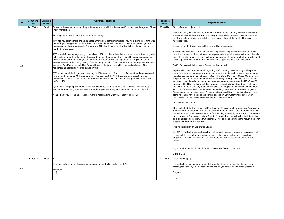As promised, I reached out to our Traffic Safety Team. They have confirmed that at this the intersection does not meet the requirements to provide signalization and there is urrently no plan to provide signalization at this location. If the criteria for the installation of raffic signal are met in the future, there may be a signal installed at this location.

raffic Calming within Longwater Chase Neighbourhood

Signalization at 16th Avenue and Longwater Chase intersection

spoke with City of Markham staff regarding traffic calming measure. City staff reported hat due to impacts to emergency response times and winter maintenance, they no longer nstall speed humps on City streets. Instead, the City of Markham's Speed Management rogram focuses on enforcement, education and engineering initiatives, such as speed advisory display boards, pavement marking enhancements and use of the ROAD WATCH rogram. The City is actively installing temporary speed advisory boards at problematic ocations. A speed advisory board was installed on Longwater Chase between October 2017 and December 2017. White edge line markings were also installed on Longwater hase to narrow the travel lanes. These initiatives, in addition to multiple all-way stops long its length, have helped keep vehicle speeds on Longwater Chase lower when compared to similar streets elsewhere in the City of Markham.

#### 6th Avenue EA Study

have attached the Recommended Plan from the 16th Avenue Environmental Assessment Itudy for your information. The plan shows that the Longwater Chase intersection will be maintained open to all movements of traffic, including left and right turns from 16th Avenue nto Longwater Chase and Harbord Street. Although the plan is showing the intersection as a signalized intersection, a traffic signal will not be installed unless the requirements for signalized intersection are met.

urning Restriction on Longwater Chase

2016, York Region adopted a policy to eliminate turning restrictions from/onto regional ads, with the exception of cases of network optimization and asset preservation purposes. As such, we would not be able to provide turning restriction at Longwater ∖hase.

f you require any additional information please feel free to contact me.

lease find the summary and presentation materials from the last stakeholder group meeting for Kennedy Road. Please let me know if you have any additional questions.

egards,

 $...]$ 

| ID | <b>Comment</b><br><b>Date</b> | <b>Comment</b><br><b>Format</b> | <b>Comment / Request</b>                                                                                                                                                                                                                                                                                                                                                     | <b>Response</b><br><b>Date</b> |                                 |
|----|-------------------------------|---------------------------------|------------------------------------------------------------------------------------------------------------------------------------------------------------------------------------------------------------------------------------------------------------------------------------------------------------------------------------------------------------------------------|--------------------------------|---------------------------------|
|    | 20180405                      | Email                           | Edward – thanks much for your help with our concerns with the through-traffic at 16th and Longwater Chase<br>(west intersection).                                                                                                                                                                                                                                            | 20180426                       | G                               |
|    |                               |                                 | To recap the follow-up items from our chat yesterday:                                                                                                                                                                                                                                                                                                                        |                                | TI<br>A:<br>th                  |
|    |                               |                                 | 1) While you believe there are no plans for a traffic light at this intersection, you were going to confirm with<br>the traffic planning group. If this is the case, that would be welcome news. I also think you're right, the<br>intersection is already so close to Kennedy and 16th that it would result in two lights not more than serval<br>hundred meters apart.     |                                | h<br>Si                         |
|    |                               |                                 | 2) The 'no-left turn' signage along on westbound 16th coupled with active police enforcement on Longwater<br>helps reduce through-traffic during the posted hours in the morning, but as we still experience speeding                                                                                                                                                        |                                | A:<br> tir<br>lα                |
| 60 |                               |                                 | through-traffic during off-hours, we're interested in speed bumps/calming strips on Longwater (for the<br>evening reverse traffic cutting through from Kennedy to 16th). Please confirm what the requisite next steps<br>are here. Bob Knapp, my neighbor (whom I have copied) and I are taking the lead on behalf of the<br>residents and appreciate your guidance on this. |                                | tra<br>l⊤ı                      |
|    |                               |                                 | 3) You mentioned the longer term planning for 16th Avenue Can you confirm whether these plans call<br>for a divided median on 16th extending from Kennedy past the 16th & Longwater intersection (west<br>intersection at least)? If so, that would probably be ideal as it would limit incoming traffic to eastbound<br>traffic on 16th.                                    |                                | s<br> th<br> in<br>P<br>ao      |
|    |                               |                                 | 4) I failed to bring it up yesterday, but as we experience evening traffic cutting through from Kennedy to<br>16th, is there anything else beyond the speed bumps (maybe signage) that might be contemplated?                                                                                                                                                                |                                | pr<br> lo<br>20<br>$\mathsf{C}$ |
|    |                               |                                 | Again, thank-you for the help. Look forward to reconnecting with you -- Best Wishes, []                                                                                                                                                                                                                                                                                      |                                | lal<br>cc                       |
|    |                               |                                 |                                                                                                                                                                                                                                                                                                                                                                              |                                | 16                              |
|    |                               |                                 |                                                                                                                                                                                                                                                                                                                                                                              |                                | I t<br><b>S</b>                 |
|    |                               |                                 |                                                                                                                                                                                                                                                                                                                                                                              |                                | lm<br>lor<br>as<br>a            |
|    |                               |                                 |                                                                                                                                                                                                                                                                                                                                                                              |                                | Tι                              |
|    |                               |                                 |                                                                                                                                                                                                                                                                                                                                                                              |                                | In<br>ro                        |
|    |                               |                                 |                                                                                                                                                                                                                                                                                                                                                                              |                                | pι<br>$\mathsf C$               |
|    |                               |                                 |                                                                                                                                                                                                                                                                                                                                                                              |                                | lf                              |
|    |                               |                                 |                                                                                                                                                                                                                                                                                                                                                                              |                                | IΕ                              |
|    | 20180619                      | Email                           | $Hi$ [],                                                                                                                                                                                                                                                                                                                                                                     | 20180619                       | G                               |
| 61 |                               |                                 | Can you kindly send me the previous presentation for the Kennedy Road EA?                                                                                                                                                                                                                                                                                                    |                                | P<br> m                         |
|    |                               |                                 | Thank you,<br>[]                                                                                                                                                                                                                                                                                                                                                             |                                | R                               |
|    |                               |                                 |                                                                                                                                                                                                                                                                                                                                                                              |                                |                                 |

#### **Response / Action**

Good afternoon  $[...]$  and  $[...]$ ,

hank you for your email and your ongoing interest in the Kennedy Road Environmental Assessment Study. I apologize for the delay in responding, however, I wanted to ensure hat I was able to provide you with the correct information related to all of the issues you ave identified.

Edward Chiu

3ood morning [...],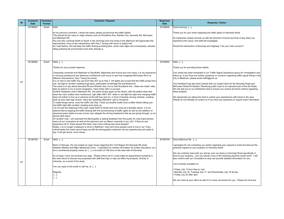As mentioned, please provide us with the direction of travel and time of day when you xperience this issue, and staff will investigate.

Would the intersection of Kennedy and Highway 7 be your main concern?

 $\text{Hello}$   $[...]$ ,

Thank you for providing those details.

Your feedback has also been shared with our project team for the Kennedy Road and McCowan Road EA Studies. Receiving public input is an important part of the EA Study. We will add you to our distribution lists to ensure you receive all future notices regarding hese projects.

apologize for not contacting you earlier regarding your request to meet and discuss the potential impacts to your property on Kennedy Road.

| <b>ID</b> | <b>Comment</b><br><b>Date</b> | <b>Comment</b><br>Format | <b>Comment / Request</b>                                                                                                                                                                                                                                                                                                                                                                                                                                                                                                                                                                                                                                                                                                                                                                                                                                                                                                                                                                                                                                                                                                                                                                                                                                                                                                                                                                                                                                                                                                                                                                                                                                                                                                                                                                                                                                                                                                                                                                                                                                                                                                                                                                                 | <b>Response</b><br><b>Date</b> |                                                          |
|-----------|-------------------------------|--------------------------|----------------------------------------------------------------------------------------------------------------------------------------------------------------------------------------------------------------------------------------------------------------------------------------------------------------------------------------------------------------------------------------------------------------------------------------------------------------------------------------------------------------------------------------------------------------------------------------------------------------------------------------------------------------------------------------------------------------------------------------------------------------------------------------------------------------------------------------------------------------------------------------------------------------------------------------------------------------------------------------------------------------------------------------------------------------------------------------------------------------------------------------------------------------------------------------------------------------------------------------------------------------------------------------------------------------------------------------------------------------------------------------------------------------------------------------------------------------------------------------------------------------------------------------------------------------------------------------------------------------------------------------------------------------------------------------------------------------------------------------------------------------------------------------------------------------------------------------------------------------------------------------------------------------------------------------------------------------------------------------------------------------------------------------------------------------------------------------------------------------------------------------------------------------------------------------------------------|--------------------------------|----------------------------------------------------------|
|           | 20180827                      | Email                    | Hello                                                                                                                                                                                                                                                                                                                                                                                                                                                                                                                                                                                                                                                                                                                                                                                                                                                                                                                                                                                                                                                                                                                                                                                                                                                                                                                                                                                                                                                                                                                                                                                                                                                                                                                                                                                                                                                                                                                                                                                                                                                                                                                                                                                                    | 20180828                       | lG                                                       |
|           |                               |                          | As my previous comment, I stress the same; please synchronize the traffic lights!!<br>This should be the case on major arteries such as Woodbine Ave, Warden Ave, Kennedy Rd, McCowan<br>and Markham Rd.<br>Any one who commute North to South in the mornings and vice-versa in the afternoon will appreciate this<br>improvement, since at the intersections with Hwy 7 during rush hours is simply hell.<br>As I said before, this will keep the traffic flowing avoiding jams, some road rages and unnecessary vehicles<br>idling polluting the environment more than already is.                                                                                                                                                                                                                                                                                                                                                                                                                                                                                                                                                                                                                                                                                                                                                                                                                                                                                                                                                                                                                                                                                                                                                                                                                                                                                                                                                                                                                                                                                                                                                                                                                    |                                | lΤl<br>ΙA.<br>le:<br>ΙW                                  |
|           | 20180902                      | Email                    | Hello []                                                                                                                                                                                                                                                                                                                                                                                                                                                                                                                                                                                                                                                                                                                                                                                                                                                                                                                                                                                                                                                                                                                                                                                                                                                                                                                                                                                                                                                                                                                                                                                                                                                                                                                                                                                                                                                                                                                                                                                                                                                                                                                                                                                                 | 20180904                       | lН                                                       |
|           |                               |                          | Thanks for your prompt response.                                                                                                                                                                                                                                                                                                                                                                                                                                                                                                                                                                                                                                                                                                                                                                                                                                                                                                                                                                                                                                                                                                                                                                                                                                                                                                                                                                                                                                                                                                                                                                                                                                                                                                                                                                                                                                                                                                                                                                                                                                                                                                                                                                         |                                |                                                          |
| 62        |                               |                          | I frequently commute from Markham to Stouffville, Ballantrae and Aurora and vice versa, it is my experience<br>in morning southbound and afternoon northbound rush hours to see how congested McCowan Rd is at<br>different intersections, Hwy 7 being the worse.<br>It is no rare to see traffic line ups from Hwy 407 up to Hwy 7, the lights are so bad that the traffic jumps from<br>one red light to another creating huge jams, particularly at Heritage Rd and Bullock Dr.<br>The same is to say about Kennedy Rd and Warden Ave, not so bad Woodbine Ave., these are roads I also<br>take as options to try to avoid congestion, many times with no success.<br>Another headache road is Markham Rd., the same issues apply as the others, with the added mess that<br>when the road bottles neck northbound, right after HWY 407, when in red light the right lane merging traffic<br>does not bother to line up in advance at the left lane and cut in front of already moving vehicles, creating<br>back up and road rage events, many are repeating offenders I get to recognize.<br>To make things worse, once the traffic hits Hwy 7 finds out another bottle neck at Main Street hitting one<br>red traffic light after another creating more back up.<br>I do not see the widening of the main roads North to South and vice versa as a feasible option, it is my<br>believe that by keeping the traffic flowing with the synchronizing of traffic lights as well as the addition of<br>advanced green lights at every corner may mitigate the driving headaches that we are going through, on an<br>almost daily basis.<br>On another note, I am surprised the Municipality is asking feedback from the public for road improvement,<br>does not our counselors as well as the planners and our Mayor commute in our city?, if they do and<br>experience all of these issues first hand, how come nothing was done already?<br>Really, it is no longer a pleasure to drive in Markham, more and more people come to live in our Town,<br>unfortunately the roads cannot keep up with the demographic explosion we are experiencing and sadly to<br>say, it will get worse, much worse. |                                | lY<br> fo<br>Y<br>M<br>M<br>lth<br>ΙW<br>$\mathsf{P}$    |
| 63        | 20180705                      | Email                    | Hello [],<br>Back in February, the city hosted an open house regarding the York Region EA Kennedy Rd study,<br>between Steeles and Major Mackenzie Drive. I submitted my contact information for further discussion, as I<br>am a commercial property owner at [], a lot south of 14th Ave on the west side of Kennedy.<br>As of today I have not received any reply. Please inform me if I could make an appointment sometime in<br>the near future to discuss any proposals with staff that may or may not effect my property, directly or<br>indirectly, as a result of the study.<br>You can reply to this email or call me, at []<br>Regards,<br>[]<br>[]                                                                                                                                                                                                                                                                                                                                                                                                                                                                                                                                                                                                                                                                                                                                                                                                                                                                                                                                                                                                                                                                                                                                                                                                                                                                                                                                                                                                                                                                                                                                           | 20180709                       | lG<br>p<br>I٧<br>∣fr<br>lal<br>ة ا <br>l•.<br>l• l<br>ΙW |

### **Response / Action**

2000 morning [...],

Thank you for your email regarding the traffic lights on Kennedy Road.

Your email has been forwarded to our Traffic Signal Operations group for investigation and ollow up. If you have any further questions or concerns regarding traffic signal timing in the City of Markham, please email traffic@york.ca

We appreciate you taking the time to outline your experiences with travel in the area. Please do not hesitate to contact us if you have any questions or require more information.

3ood afternoon Mr. […],

We can certainly meet with you and go over our plans on Kennedy Road specifically in front of your property. Can you advise if any of the following day/time would work? I will also confirm with our Consultant so they can provide detailed information for you.

am currently available on:

• Friday July 13 from 9am to 1pm • Monday July 16, Tuesday July 17, and Wednesday July 18 all day • Friday July 20 after 2pm

We can meet at your office as well if it is more convenient for you. Please let me know.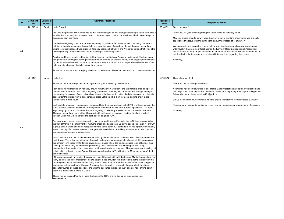May you please provide us with your direction of travel and time of day when you typically xperience this issue with the traffic light, on Kennedy Road at Highway 7?

We appreciate you taking the time to outline your feedback as well as your experiences with travel in the area. Your feedback for the Kennedy Road Environmental Assessment vill be shared with the project team and documented for the record. We will also add you to $\vert$ he distribution list to ensure you receive all future notices regarding this project.

Sincerely,

 $\overline{2}$ ood afternoon [...],

Thank you for providing those details.

Your email has been forwarded to our Traffic Signal Operations group for investigation and ollow up. If you have any further questions or concerns regarding traffic signal timing in the  $\Sigma$ ity of Markham, please email traffic@york.ca

| ID | <b>Comment</b><br><b>Date</b> | <b>Comment</b><br>Format | <b>Comment / Request</b>                                                                                                                                                                                                                                                                                                                                                                                                                                                                                                                                                                                                                                                                         | <b>Response</b><br><b>Date</b> |                    |
|----|-------------------------------|--------------------------|--------------------------------------------------------------------------------------------------------------------------------------------------------------------------------------------------------------------------------------------------------------------------------------------------------------------------------------------------------------------------------------------------------------------------------------------------------------------------------------------------------------------------------------------------------------------------------------------------------------------------------------------------------------------------------------------------|--------------------------------|--------------------|
|    | 20181010                      | Email                    | Hello Edward,                                                                                                                                                                                                                                                                                                                                                                                                                                                                                                                                                                                                                                                                                    | 20181011                       | lG                 |
|    |                               |                          | l believe the problem with Kennedy to be that the traffic lights do not change according to traffic flow. This is<br>an idea that is so easy to implement, would not cause major construction which would add more delays to<br>everyone's daily commute.                                                                                                                                                                                                                                                                                                                                                                                                                                        |                                | l⊺ا<br> M<br>le>   |
| 64 |                               |                          | drive down highway 7 and turn on Kennedy every day and the fact that cars are not moving but there is<br>nothing but empty space past the red light is a clear indicator of a problem. In fact the only reason I am<br>writing to you is because I was stuck on Kennedy between highway 7 and Avoca for so long that I was able<br>to read your sign a few times over before deciding to send in my advice.                                                                                                                                                                                                                                                                                      |                                | ١W<br>W<br>W<br>th |
|    |                               |                          | Another problem is people not turning right at Kennedy on highway 7 coming northbound. The light is red<br>and people are turning left coming southbound on Kennedy, so there is clearly room to go if you don't take<br>up more than one lane with your car, but everyone seems to be too scared to go. Making better use of the<br>right turn signal already installed would be a godsend.                                                                                                                                                                                                                                                                                                     |                                | Si                 |
|    |                               |                          | Thank you in advance for taking my ideas into consideration. Please let me know if you have any questions.                                                                                                                                                                                                                                                                                                                                                                                                                                                                                                                                                                                       |                                |                    |
|    | 20181011                      | Email                    | Hello [],                                                                                                                                                                                                                                                                                                                                                                                                                                                                                                                                                                                                                                                                                        | 20181012                       | G                  |
|    |                               |                          | Thank you for your prompt response, I appreciate your addressing my concerns.                                                                                                                                                                                                                                                                                                                                                                                                                                                                                                                                                                                                                    |                                | ΤI                 |
|    |                               |                          | am travelling northbound on Kennedy around 4:40PM every weekday, and the traffic is often bumper to                                                                                                                                                                                                                                                                                                                                                                                                                                                                                                                                                                                              |                                | I۲                 |
|    |                               |                          | bumper from enterprise until I reach Highway 7 (and even a bit beyond). But I see that the light changes<br>prematurely, ie, a wave of cars is just about to reach the intersection when the light turns red, and there is                                                                                                                                                                                                                                                                                                                                                                                                                                                                       |                                | fo<br>$\mathsf C$  |
|    |                               |                          | space after the intersection to accommodate these vehicles. This then creates a domino effect at the<br>intersections further south.                                                                                                                                                                                                                                                                                                                                                                                                                                                                                                                                                             |                                | lW                 |
|    |                               |                          | Last week for example, I was coming northbound later than usual, closer to 5:30PM, and I was stuck in the                                                                                                                                                                                                                                                                                                                                                                                                                                                                                                                                                                                        |                                | IPI                |
|    |                               |                          | same position between the two 407 offramps on Kennedy for no less than 3 traffic light cycles. The lights<br>kept changing, but the culprit was likely the Highway 7 / Kennedy intersection, or one even further north.<br>The only reason I got home without having significantly aged is because I decided to take a shortcut<br>through Unionville Gate and take the back streets to get to Hwy 7.                                                                                                                                                                                                                                                                                            |                                | Si                 |
| 65 |                               |                          | But even when I am not commuting during rush hour, and I am on Kennedy, the traffic lights do not follow<br>the flow of traffic. If a light in front of me turns green and I accelerate up to the speed limit, even if I am with<br>a group of cars which should be recognized by the traffic sensors, I continue to hit red lights which not only<br>slows down my life, creates more stop and go traffic which is the most likely to cause an accident, wastes<br>gas unnecessarily, and creates stress.                                                                                                                                                                                       |                                |                    |
|    |                               |                          | What's worse is that this problem is exacerbated by the population of Markham, most of which are not the<br>best drivers. The police are sitting out there with radar guns stopping people who are slightly surpassing<br>the (already low) speed limits, taking advantage of places where the limit decreases to quickly meet their<br>ticket quota, when they could be doing something much more useful like directing traffic at busy<br>intersections. I understand this is not ideal, but it would surely improve lots of lives as opposed to giving out<br>tickets which only ruins people's day. Crime is already so low in York Region (or Markham, at least), that<br>better allocation |                                |                    |
|    |                               |                          | of these resources to improving the community would be a significantly better use. My final suggestion, and<br>in my opinion, the most important of all: Do not put those awful left turn traffic lights at the intersection that<br>require you to wait a full cycle before being able to make a left turn. These only increase traffic congestion<br>and do not reduce accidents. Highway 7 was my favorite road to drive on in the past which has been<br>absolutely ruined by these atrocities, and with the bus lanes that see about 1 bus per hour driving down<br>them, it is impossible to make a U-turn.                                                                                |                                |                    |
|    |                               |                          | Thank you for making Markham roads the best in the GTA, and for taking my suggestions into                                                                                                                                                                                                                                                                                                                                                                                                                                                                                                                                                                                                       |                                |                    |

### **Response / Action**

 $3000$  morning  $[...]$ ,

Thank you for your email regarding the traffic lights on Kennedy Road.

We've also shared your comments with the project team for the Kennedy Road EA study.

Please do not hesitate to contact us if you have any questions or require more information.

Sincerely,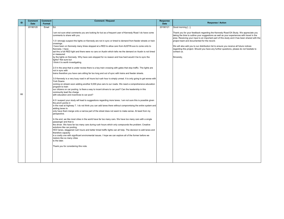Thank you for your feedback regarding the Kennedy Road EA Study. We appreciate you taking the time to outline your suggestions as well as your experiences with travel in the area. Receiving your input is an important part of this study and it has been shared with the  $\big|$ project team and documented for the record.

We will also add you to our distribution list to ensure you receive all future notices regarding this project. Should you have any further questions, please do not hesitate to contact us.

Sincerely,

| ID | <b>Comment</b> | <b>Comment</b> | <b>Comment / Request</b>                                                                                                                                                         | <b>Response</b> |                     |
|----|----------------|----------------|----------------------------------------------------------------------------------------------------------------------------------------------------------------------------------|-----------------|---------------------|
|    | <b>Date</b>    | Format         |                                                                                                                                                                                  | <b>Date</b>     |                     |
|    | 20190120       | Email          | Ed.                                                                                                                                                                              | 20190121        | G                   |
|    |                |                | am not sure what comments you are looking for but as a frequent user of Kennedy Road I do have come<br>comments to share with you.                                               |                 | l⊤۱<br> ta<br>lar   |
|    |                |                | 1.0 I strongly suspect the lights on Kennedy are not in sync or timed to demand from feeder streets or train<br>crossings.                                                       |                 | pr                  |
|    |                |                | I have been on Kennedy many times stopped at a RED to allow cars from AUSTIN ave to come onto to<br>Kennedy. I have                                                              |                 | ١W<br><sub>re</sub> |
|    |                |                | sat thru a full RED light and there were no cars on Austin which tells me the demand on Austin is not timed<br>or measured                                                       |                 | <b>CC</b>           |
|    |                |                | by the lights on Kennedy. Why have cars stopped for no reason and how hard would it be to sync the<br>lights? Not sure but<br>I think it is worth investigating.                 |                 | Si                  |
|    |                |                | 2.0 In the area that is under review there is a key train crossing with gates that stop traffic. The lights are<br>not in sync with                                              |                 |                     |
|    |                |                | trains therefore you have cars sitting far too long and out of sync with trains and feeder streets.                                                                              |                 |                     |
|    |                |                | 3.0 Kennedy is a very busy road in all hours but rush hour is simply unreal. It is only going to get worse with<br><b>York Downs</b>                                             |                 |                     |
|    |                |                | coming on stream soon adding another 9,000 plus cars to our roads. We need a comprehensive education<br>program to train                                                         |                 |                     |
| 66 |                |                | our citizens on car pooling. Is there a way to incent drivers to car pool? Can the leadership in this<br>community lead the charge<br>with education and incentives to car pool? |                 |                     |
|    |                |                | 4.0 I suspect your study will lead to suggestions regarding more lanes. I am not sure this is possible given<br>the pinch points in                                              |                 |                     |
|    |                |                | in the road at highway 7. I do not think you can add lanes there without compromising the entire system and<br>adding lanes to                                                   |                 |                     |
|    |                |                | only have them merge onto a narrow part of the street does not seem to make sense. At least from my<br>perspective.                                                              |                 |                     |
|    |                |                | In the end, we like most cities in the world have far too many cars. We have too many cars with a single<br>passenger and that is                                                |                 |                     |
|    |                |                | the driver. We have far too many cars during rush hours which only compounds the problem. Creative<br>solutions like car pooling,                                                |                 |                     |
|    |                |                | HOV lanes, staggered rush hours and better timed traffic lights can all help. The decision to add lanes and<br>therefore capacity                                                |                 |                     |
|    |                |                | is a costly one with significant enviromental issues. I hope we can explore all of the former before we<br>restore like so many cities                                           |                 |                     |
|    |                |                | to the later.                                                                                                                                                                    |                 |                     |
|    |                |                | Thank you for considering this note.                                                                                                                                             |                 |                     |
|    |                |                |                                                                                                                                                                                  |                 |                     |
|    |                |                |                                                                                                                                                                                  |                 |                     |

# **Response / Action**

Good morning [...],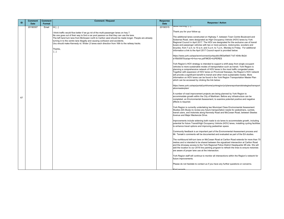https://www.york.ca/wps/wcm/connect/yorkpublic/983a49e8-71d7-404b-9b2de1f5b55975ca/apr+6+hov+ex.pdf?MOD=AJPERES

ork Region's HOV strategy is intended to support a shift away from single occupant ehicles to more sustainable modes of transportation such as transit. York Region is lanning a comprehensive network of HOV lanes in the most traffic congested areas. ogether with expansion of HOV lanes on Provincial freeways, the Region's HOV network ill provide a significant benefit to transit and other more sustainable modes. More formation on HOV lanes can be found in the York Region Transportation Master Plan hich can be accessed by clicking the link below:

ttps://www.york.ca/wps/portal/yorkhome/yorkregion/yr/plansreportsandstrategies/transport tionmasterplan/

number of road improvement projects are being planned by York Region to ccommodate growth within the City of Markham. Before any infrastructure can be completed, an Environmental Assessment, to examine potential positive and negative ffects is required.

ork Region is currently undertaking two Municipal Class Environmental Assessment tudies (EA Study) to review any future transportation needs for pedestrians, cyclists, ansit users, and motorists along Kennedy Road and McCowan Road, between Steeles venue and Major Mackenzie Drive.

nprovements include widening both roads to six lanes to accommodate growth, including potential for future Transit/High Occupancy Vehicle (HOV) lanes, installing cycling facilities enhance travel options and improving pedestrian space.

ommunity feedback is an important part of the Environmental Assessment process and Mr. Tamaki's comments will be documented and evaluated as part of the EA studies.

The northbound left-turn lane on McCowan Road at CarIton Road extends for more than 70 metres and is intended to be shared between the signalized intersection at Carlton Road nd the driveway access to the York Regional Police District Headquarter #5 site. We will add the location to our 2019 line painting program to refresh the lines to ensure motorists re aware of proper lane use at the intersection.

ork Region staff will continue to monitor all intersections within the Region's network for iture improvements.

lease do not hesitate to contact us if you have any further questions or concerns.

| ID | <b>Comment</b><br><b>Date</b> | <b>Comment</b><br>Format | <b>Comment / Request</b>                                                                                                                                                                                                                                                                                                                                                                                                                                                                       | <b>Response</b><br><b>Date</b>                                                                  |
|----|-------------------------------|--------------------------|------------------------------------------------------------------------------------------------------------------------------------------------------------------------------------------------------------------------------------------------------------------------------------------------------------------------------------------------------------------------------------------------------------------------------------------------------------------------------------------------|-------------------------------------------------------------------------------------------------|
|    | 20190307                      | Email                    | $Hi$ []                                                                                                                                                                                                                                                                                                                                                                                                                                                                                        | ত<br>20190315                                                                                   |
|    |                               |                          | I think traffic would flow better if we go rid of the multi-passenger lanes on hwy 7.<br>No one goes out of their way to find a car pool pearson so that they can use the lane.<br>The left hand turn lane from McGowen north to Carlton west should be made longer. People are already<br>turning in to the centre lane illegally and causing confusion and accidents.<br>Uou should make Kennedy rd. Wider (3 lanes each direction from 16th to the railway tracks.<br>Thanks,<br>$[\ldots]$ | <b>T</b><br>Tł<br>So<br>R<br>bu<br>bi<br>in<br>ht<br>$ e_1$<br>Y<br>ve<br>pl <sub>i</sub><br>To |
|    |                               |                          |                                                                                                                                                                                                                                                                                                                                                                                                                                                                                                |                                                                                                 |
|    |                               |                          |                                                                                                                                                                                                                                                                                                                                                                                                                                                                                                | wi<br>in                                                                                        |
|    |                               |                          |                                                                                                                                                                                                                                                                                                                                                                                                                                                                                                | $\vert_{\mathsf{wl}}$                                                                           |
|    |                               |                          |                                                                                                                                                                                                                                                                                                                                                                                                                                                                                                | ht<br>at                                                                                        |
| 67 |                               |                          |                                                                                                                                                                                                                                                                                                                                                                                                                                                                                                | A<br>ac<br>cc<br>ef                                                                             |
|    |                               |                          |                                                                                                                                                                                                                                                                                                                                                                                                                                                                                                | Y <sub>c</sub><br>St<br>tra<br>A                                                                |
|    |                               |                          |                                                                                                                                                                                                                                                                                                                                                                                                                                                                                                | Im                                                                                              |
|    |                               |                          |                                                                                                                                                                                                                                                                                                                                                                                                                                                                                                | pc<br>to                                                                                        |
|    |                               |                          |                                                                                                                                                                                                                                                                                                                                                                                                                                                                                                | Cd<br>M                                                                                         |
|    |                               |                          |                                                                                                                                                                                                                                                                                                                                                                                                                                                                                                | Th<br>m                                                                                         |
|    |                               |                          |                                                                                                                                                                                                                                                                                                                                                                                                                                                                                                | ar                                                                                              |
|    |                               |                          |                                                                                                                                                                                                                                                                                                                                                                                                                                                                                                | ac<br>ar                                                                                        |
|    |                               |                          |                                                                                                                                                                                                                                                                                                                                                                                                                                                                                                | Y<br>fu                                                                                         |
|    |                               |                          |                                                                                                                                                                                                                                                                                                                                                                                                                                                                                                | PI                                                                                              |
|    |                               |                          |                                                                                                                                                                                                                                                                                                                                                                                                                                                                                                | Ki                                                                                              |

#### **Response / Action**

#### <del>ood morning [...],</del>

hank you for your follow up.

he additional lanes constructed on Highway 7, between Town Centre Boulevard and ciberras Road, were designated as High Occupancy Vehicle (HOV) lanes by York egional Council in April 2017. The HOV are designated for the exclusive use of transit uses and passenger vehicles with two or more persons, motorcycles, scooters and icycles, from 7 a.m. to 10 a.m. and 3 p.m. to 7 p.m., Monday to Friday. For additional formation a link to the April 2017 Council report is provided below:

Kind regards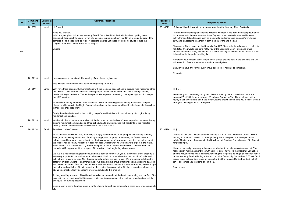Regarding your concern about the potholes, please provide us with the locations and we will forward to Roads Maintenance staff for investigation.

received your concern regarding 16th Avenue meeting. As you may know there is an ongoing EA at 16th Avenue between Woodbine Avenue to York Durham Line. I will be appy to talk to you more about the project, let me know if I could give you a call or we can arrange a meeting in person if required.

Should you have any further questions, please do not hesitate to contact us.

incerely

 $\overline{\mathsf{H} \left[ ... \right]}$  ,

Thanks for this email. Regional road widening is a huge issue. Markham Council will be holding an education session on the topic early in the new year. It will be open to the public. The issue will then come to the Development Services Committee and City Council or public input.

| ID | <b>Comment</b><br><b>Date</b> | <b>Comment</b><br>Format | <b>Comment / Request</b>                                                                                                                                                                                                                                                                                                                                                                                                                                                                                                                   | <b>Response</b><br><b>Date</b> |                                |
|----|-------------------------------|--------------------------|--------------------------------------------------------------------------------------------------------------------------------------------------------------------------------------------------------------------------------------------------------------------------------------------------------------------------------------------------------------------------------------------------------------------------------------------------------------------------------------------------------------------------------------------|--------------------------------|--------------------------------|
|    | 20190821                      | email                    | Hi Edward,                                                                                                                                                                                                                                                                                                                                                                                                                                                                                                                                 | 20190829                       |                                |
|    |                               |                          | Hope you are well.<br>What are your plans to improve Kennedy Road? I've noticed that the traffic has been getting more<br>congested throughout the years - even when it is not during rush hour. In addition, it would be great if the<br>potholes along the road will be fixed. A separate lane for just buses would be helpful to reduce the<br>congestion as well. Let me know your thoughts.<br>Cheers                                                                                                                                 |                                | to<br>la<br>pa<br>ΙTΙ<br>lfa   |
| 68 |                               |                          |                                                                                                                                                                                                                                                                                                                                                                                                                                                                                                                                            |                                | ļn<br> to<br> R<br>lw<br>ls    |
|    |                               |                          |                                                                                                                                                                                                                                                                                                                                                                                                                                                                                                                                            |                                | lS                             |
|    | 20191110                      | email                    | assume anyone can attend this meeting. If not please register me.                                                                                                                                                                                                                                                                                                                                                                                                                                                                          |                                |                                |
|    |                               |                          | Also why are there no meetings scheduled regarding 16 th Ave.                                                                                                                                                                                                                                                                                                                                                                                                                                                                              |                                |                                |
|    | 20191111                      | Email                    | Why have there been any further meetings with the residents associations to discuss road widenings other<br>than with the URA where it was clear the majority of residents opposed 6 lane roads through existing<br>residential neighbourhoods. The NCRA specifically requested a meeting over a year ago as a follow up to<br>the URA meeting.                                                                                                                                                                                            |                                | lН<br>ΙOΙ<br> ha               |
|    |                               |                          | At the URA meeting the health risks associated with road widenings were clearly articulated. Can you<br>please provide me with the Region's detailed analysis on the incremental health risks to people living close<br>to these expanded roadways.<br>Surely there is a better option than putting people's health at risk with road widenings through existing                                                                                                                                                                           |                                | lal                            |
|    |                               |                          | residential communities.                                                                                                                                                                                                                                                                                                                                                                                                                                                                                                                   |                                |                                |
| 69 | 20191113                      | email                    | Yes I would like to review your analysis of the incremental health risks of these expanded roadways through<br>existing residential communities and then schedule a follow up meeting with residents of the impacted<br>existing residential communities to discuss the plans and issues.                                                                                                                                                                                                                                                  |                                |                                |
|    | 20191124                      | Email                    | To Whom It May Concern,                                                                                                                                                                                                                                                                                                                                                                                                                                                                                                                    | 20191124                       | lн                             |
|    |                               |                          | As residents of Redwood Lane, our family is deeply concerned about the prospect of widening Kennedy<br>Road, thus increasing the amount of traffic passing by our property. If the noise, confusion, mess and<br>delays caused by recent construction (e.g., the implementation of new sewer pipes, the reconstruction of<br>the bridge) has been any indication, it does not bode well for what we would have to expect in the future.<br>Recent chaos has been caused by the widening and addition of bus lanes on HW 7, and we are most |                                | I'n<br>۱p<br> fo               |
|    |                               |                          | certainly NOT happy about the prospect of this sort of ordeal beginning all over again.<br>We live in a residential neighbourhood, and have done so for over 20 years. Enjoyment of our property is<br>extremely important to us, and we want to be able to live in an area where the raucous din of traffic and                                                                                                                                                                                                                           |                                | IН<br>$r\epsilon$<br>lal<br>lo |
|    |                               |                          | public transit blasting by does NOT happen directly behind our back fence. We are concerned about the<br>safety of children walking to and from school: we already have grave difficulty keeping a crossing guard in<br>employ on the corner of Bridle Trail and Redwood Lane, due to the fact that vehicles routinely blast through<br>the yellow and red lights of this intersection. Increasing the amount of traffic that passes through our area                                                                                      |                                | si<br> pı<br>lв                |
|    |                               |                          | at one time most certainly does NOT provide a solution to this problem.<br>As long standing residents of Markham-Unionville, we demand that the health, well-being and comfort of the<br>local citizens be considered in this process. We require green space, trees, clean, unpolluted air, safety,<br>and QUIET in our neighbourhood.                                                                                                                                                                                                    |                                |                                |
|    |                               |                          | Construction of more than four lanes of traffic blasting through our community is completely unacceptable to<br>lus.                                                                                                                                                                                                                                                                                                                                                                                                                       |                                |                                |

# This email is a follow up to your inquiry regarding the Kennedy Road EA Study. The road improvement plans include widening Kennedy Road from the existing four lanes  $\alpha$  six lanes, with the new lane as a transit/high occupancy vehicle lane, and improved active transportation facilities such as a sidewalk, dedicated bike lane and/or multi-use ath, and landscaping treatment in both the boulevard and median.

**Response / Action** 

The second Open House for the Kennedy Road EA Study is tentatively sched uled for all 2019. If you would like us to notify you of the upcoming Open House and future notifications on the study, we can add you to our mailing list. Please let us know if you wish be added to the project mailing list.

Hi [...],

However, we really have only influence over whether to accelerate widening or not. The eal decision making authority lies with York Region. I have cc'd the Regional Councillors and the Mayor on this email. Tomorrow evening the Region is holding a public open house on the Kennedy Road widening at the Milliken Mills Community Centre from 6:30 to 8:30. A imilar event will also take place on December 2 at the Pan Am Centre from 6:30 to 8:30 pm . I encourage you to attend one of them.

Best regards,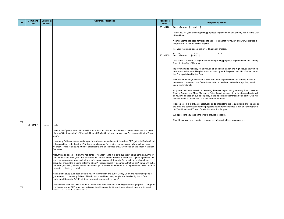Thank you for your email regarding proposed improvements to Kennedy Road, in the City of Markham.

Your concerns has been forwarded to York Region staff for review and we will provide a response once the review is complete.

For your reference, case number [...] has been created.

Good afternoon  $[...]$  and  $[...]$ ,

This email is a follow-up to your concerns regarding proposed improvements to Kennedy Road, in the City of Markham.

Improvements to Kennedy Road include an additional transit and high occupancy vehicle lane in each direction. The plan was approved by York Region Council in 2016 as part of the Transportation Master Plan.

With the expected growth in the City of Markham, improvements to Kennedy Road are necessary to accommodate future transportation needs of pedestrians, cyclists, transit users and motorists.

As part of the study, we will be reviewing the noise impact along Kennedy Road between Steeles Avenue and Major Mackenzie Drive. Locations currently without noise barrier will be reviewed based on our noise policy. If the noise level warrants a noise barrier, we will contact affected residents to provide further information.

Please note, this is only a conceptual plan to understand the requirements and impacts to the area and construction for this project is not currently included a part of York Region's 10-Year Roads and Transit Capital Construction Program.

We appreciate you taking the time to provide feedback.

Should you have any questions or concerns, please feel free to contact us.

| ID  | <b>Comment</b><br><b>Date</b> | <b>Comment</b><br>Format | <b>Comment / Request</b>                                                                                                                                                                                                                                                                                                                                                                                                                                                                                                                                                                           | <b>Response</b><br><b>Date</b> |  |
|-----|-------------------------------|--------------------------|----------------------------------------------------------------------------------------------------------------------------------------------------------------------------------------------------------------------------------------------------------------------------------------------------------------------------------------------------------------------------------------------------------------------------------------------------------------------------------------------------------------------------------------------------------------------------------------------------|--------------------------------|--|
|     |                               |                          |                                                                                                                                                                                                                                                                                                                                                                                                                                                                                                                                                                                                    | 20191126                       |  |
|     |                               |                          |                                                                                                                                                                                                                                                                                                                                                                                                                                                                                                                                                                                                    |                                |  |
|     |                               |                          |                                                                                                                                                                                                                                                                                                                                                                                                                                                                                                                                                                                                    |                                |  |
|     |                               |                          |                                                                                                                                                                                                                                                                                                                                                                                                                                                                                                                                                                                                    |                                |  |
|     |                               |                          |                                                                                                                                                                                                                                                                                                                                                                                                                                                                                                                                                                                                    |                                |  |
|     |                               |                          |                                                                                                                                                                                                                                                                                                                                                                                                                                                                                                                                                                                                    | 20191209                       |  |
|     |                               |                          |                                                                                                                                                                                                                                                                                                                                                                                                                                                                                                                                                                                                    |                                |  |
|     |                               |                          |                                                                                                                                                                                                                                                                                                                                                                                                                                                                                                                                                                                                    |                                |  |
|     |                               |                          |                                                                                                                                                                                                                                                                                                                                                                                                                                                                                                                                                                                                    |                                |  |
|     |                               |                          |                                                                                                                                                                                                                                                                                                                                                                                                                                                                                                                                                                                                    |                                |  |
|     |                               |                          |                                                                                                                                                                                                                                                                                                                                                                                                                                                                                                                                                                                                    |                                |  |
|     |                               |                          |                                                                                                                                                                                                                                                                                                                                                                                                                                                                                                                                                                                                    |                                |  |
|     |                               |                          |                                                                                                                                                                                                                                                                                                                                                                                                                                                                                                                                                                                                    |                                |  |
|     |                               |                          |                                                                                                                                                                                                                                                                                                                                                                                                                                                                                                                                                                                                    |                                |  |
|     |                               |                          |                                                                                                                                                                                                                                                                                                                                                                                                                                                                                                                                                                                                    |                                |  |
|     |                               |                          |                                                                                                                                                                                                                                                                                                                                                                                                                                                                                                                                                                                                    |                                |  |
|     |                               |                          |                                                                                                                                                                                                                                                                                                                                                                                                                                                                                                                                                                                                    |                                |  |
| 70  |                               |                          |                                                                                                                                                                                                                                                                                                                                                                                                                                                                                                                                                                                                    |                                |  |
|     | 20191127                      | email                    | Hello,                                                                                                                                                                                                                                                                                                                                                                                                                                                                                                                                                                                             |                                |  |
|     |                               |                          | I was at the Open House 2 Monday Nov 25 at Miliken Mills and was I have concerns about the proposed<br>blocking( Centre median) of Kennedy Road at Denby Court( just north of Hwy 7). I am a resident of Deny<br>Court.                                                                                                                                                                                                                                                                                                                                                                            |                                |  |
|     |                               |                          | If Kennedy Rd has a centre median put in, and when seconds count, how does EMS get onto Denby Court<br>if they can't turn onto the street? Not every ambulance, fire engine and police car only travel south on<br>Kennedy. There is an aging number of residents and an increase of EMS vehicles on the street in the last<br>few years.                                                                                                                                                                                                                                                          |                                |  |
|     |                               |                          | Also, this also does not allow the residents of Kennedy Rd to turn onto our street going north on Kennedy. I<br>don't understand the logic in this decision - we had the exact same issue about 10-12 years ago when this<br>same expansion was proposed. Why should every resident of Kennedy Rd have to go north and turn<br>around or around the block to enter the street? That is illogical. It also means that we can't turn north out of<br>our street, which is just as inconvenient and illogical. why should be be forced to go south to Hwy 7 then eat<br>or west in order to go north? |                                |  |
|     |                               |                          | Has a traffic study ever been done to review the traffic in and out of Denby Court and how many people<br>go/turn north on Kennedy Rd out of Denby Court and how many people turn into Denby Court from<br>northbound Kennedy Rd? If not, then how are these decisions made?                                                                                                                                                                                                                                                                                                                       |                                |  |
| -71 |                               |                          | I would like further discussion with the residents of the street and York Region on this proposed change and<br>it is dangerous for EMS when seconds count and inconvenient for residents who will now how to travel                                                                                                                                                                                                                                                                                                                                                                               |                                |  |

**Response / Action** 

Good afternoon [...] and [...],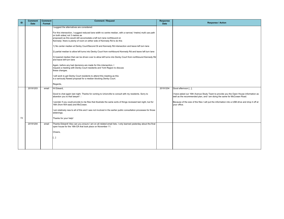I have asked our 16th Avenue Study Team to provide you the Open House information as well as the recommended plan, and I am doing the same for McCowan Road.

 $\left|$ Because of the size of the files I will put the information into a USB drive and drop it off at your office.

| ID | <b>Comment</b><br><b>Date</b> | <b>Comment</b><br><b>Format</b> | <b>Comment / Request</b>                                                                                                                                                                                                                                                                                                                                                                                                                                                                                                                                                                                                                                                                                                                                                                                                                                                                                                                                                                                                                     | <b>Response</b><br><b>Date</b> |  |
|----|-------------------------------|---------------------------------|----------------------------------------------------------------------------------------------------------------------------------------------------------------------------------------------------------------------------------------------------------------------------------------------------------------------------------------------------------------------------------------------------------------------------------------------------------------------------------------------------------------------------------------------------------------------------------------------------------------------------------------------------------------------------------------------------------------------------------------------------------------------------------------------------------------------------------------------------------------------------------------------------------------------------------------------------------------------------------------------------------------------------------------------|--------------------------------|--|
|    |                               |                                 | I suggest the alternatives are considered:<br>For this intersection, I suggest reduced lane width no centre median, with a narrow( 1 metre) multi use path<br>on both sides(not 3 metres as<br>proposed) as this would still accomodate a left turn lane northbound on<br>Kennedy- there is plenty of room on either side of Kennedy Rd to do this<br>1) No center median at Denby Court/Second St and Kennedy Rd intersection and leave left turn lane<br>2) partial median to allow left turns into Denby Court from northbound Kennedy Rd and leave left turn lane<br>3) lowered median that can be driven over to allow left turns into Denby Court from northbound Kennedy Rd<br>and leave left turn lane<br>Again, before any bad decisions are made for this intersection, I<br>request a meeting with Denby Court residents and York Region to discuss<br>these changes.<br>I will work to get Denby Court residents to attend this meeting as this<br>is a seriously flawed proposal for a median blocking Denby Court.<br>Regards, |                                |  |
| 72 | 20191203                      | email                           | Hi Edward,<br>Good to chat again last night. Thanks for coming to Unionville to consult with my residents. Sorry to<br>abandon you to that lawyer! $\square$<br>I wonder if you could provide to me files that illustrate the same sorts of things reviewed last night, but for<br>16th (from 404 east) and McCowan.<br>I am relatively new to all of this and I was not involved in the earlier public consultation processes for those<br>widenings.<br>Thanks for your help!                                                                                                                                                                                                                                                                                                                                                                                                                                                                                                                                                              | 20191204                       |  |
|    | 20191204                      | email                           | Thanks Edward! Also can you ensure I am on all related email lists. I only learned yesterday about the final<br>open house for the 16th EA that took place on November 11.<br>Cheers,<br>[]                                                                                                                                                                                                                                                                                                                                                                                                                                                                                                                                                                                                                                                                                                                                                                                                                                                  |                                |  |

**Response / Action** 

Good afternoon [...],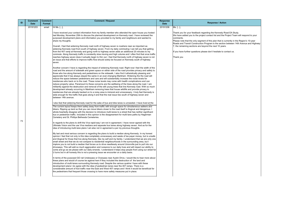| ID | <b>Comment</b><br><b>Date</b> | <b>Comment</b><br>Format | <b>Comment / Request</b>                                                                                                                                                                                                                                                                                                                                                                                                                                                                                                                                                                                                                                                                                                                                                                                                                                                                                                                                                                                                                                                                                                                                                                                                              | <b>Response</b><br><b>Date</b> |                                                  |
|----|-------------------------------|--------------------------|---------------------------------------------------------------------------------------------------------------------------------------------------------------------------------------------------------------------------------------------------------------------------------------------------------------------------------------------------------------------------------------------------------------------------------------------------------------------------------------------------------------------------------------------------------------------------------------------------------------------------------------------------------------------------------------------------------------------------------------------------------------------------------------------------------------------------------------------------------------------------------------------------------------------------------------------------------------------------------------------------------------------------------------------------------------------------------------------------------------------------------------------------------------------------------------------------------------------------------------|--------------------------------|--------------------------------------------------|
|    | 20191203                      | email                    | Hi Ms. [],                                                                                                                                                                                                                                                                                                                                                                                                                                                                                                                                                                                                                                                                                                                                                                                                                                                                                                                                                                                                                                                                                                                                                                                                                            | 20191206                       | Ms. [],                                          |
|    |                               |                          | I have received your contact information from my family member who attended the open house you hosted<br>last Monday, November 25th to discuss the planned development on Kennedy road. I have reviewed the<br>purposed development plans and information you provided to my family and neighbours and wanted to<br>share my thoughts.                                                                                                                                                                                                                                                                                                                                                                                                                                                                                                                                                                                                                                                                                                                                                                                                                                                                                                |                                | Thank y<br>We hav<br>commer<br>Please<br>Roads a |
|    |                               |                          | Overall, I feel that widening Kennedy road north of highway seven is nowhere near as important as<br>widening Kennedy road from south of highway seven. From my daily commuting I can tell you that getting<br>from the 407 ramp at Kennedy and going north to highway seven adds an additional 20 minutes to my<br>commute. Along Kennedy traffic is constantly slow moving and high volume and I often find that once traffic                                                                                                                                                                                                                                                                                                                                                                                                                                                                                                                                                                                                                                                                                                                                                                                                       |                                | $7,$ the re<br>If you ha                         |
|    |                               |                          | reaches highway seven does it actually begin to thin out. I feel that Kennedy north of highway seven is not<br>an issue and that efforts to improve traffic flow should solely be focused on Kennedy south of highway<br>seven.                                                                                                                                                                                                                                                                                                                                                                                                                                                                                                                                                                                                                                                                                                                                                                                                                                                                                                                                                                                                       |                                | Thank y                                          |
|    |                               |                          | Another concern I have is regarding the impact of widening Kennedy road. Right now I feel the width of the<br>road and the amount of sidewalk and green space on either side of the road provides privacy and safety to<br>those who live along Kennedy and pedestrians on the sidewalk. I also find it atheistically pleasing and<br>appreciate that it has always stayed the same in an ever-changing Markham. Widening the the road will<br>reduce the space between pedestrians and cars and will substantially increase the noise levels for<br>residences who back on to the road. These noise levels may come with health complications and can<br>reduce property value. Paramount to these concerns are the wellbeing of the trees along the road. I am<br>militantly against the destruction and removal of the still young trees that line Kennedy road. With so much<br>development already occurring in Markham removing trees that house wildlife and provide privacy to<br>residences that are already backed on to a noisy area is immoral and unnecessary. I truly feel Kennedy is<br>wide enough for the traffic that goes along it and that the real issue lies south of highway seven and<br>between 14th avenue. |                                |                                                  |
|    |                               |                          |                                                                                                                                                                                                                                                                                                                                                                                                                                                                                                                                                                                                                                                                                                                                                                                                                                                                                                                                                                                                                                                                                                                                                                                                                                       |                                |                                                  |
|    |                               |                          | l also feel that widening Kennedy road for the sake of bus and bike lanes is unneeded. I have lived at the<br>The current layout keeps them safely away from traffic with enough space for simultaneous walkers and<br>bikers. Ripping up land so that you can move bikers closer to the road itself is illogical and dangerous. I<br>whole-heartedly disagree with the decision to introduce multi-lanes to a street that has neither significant<br>bus or pedestrian traffic. Included in this opinion is the disagreement for multi-lane paths by Hagerman<br>Cemetery and St. Phillips Bethesda Cemeteries.                                                                                                                                                                                                                                                                                                                                                                                                                                                                                                                                                                                                                      |                                |                                                  |
| 73 |                               |                          | In regards to the plans to shift the Viva rapid-way I am not in agreement. I have never agreed with the<br>Ultimate Vision and the use Viva medians and separate bus lanes along highway seven. And as for the<br>idea of introducing multi-lane plans I am also not in agreement a per my previous thoughts.                                                                                                                                                                                                                                                                                                                                                                                                                                                                                                                                                                                                                                                                                                                                                                                                                                                                                                                         |                                |                                                  |
|    |                               |                          | My last and most serious concern is regarding the plans to build a median along Kennedy. In my honest<br>opinion I feel that not only is this idea completely unnecessary and waste of tax payer money, but is unsafe<br>and illogical for those that live along Kennedy, like my self and my family. I understand that we are only one<br>small street and that we do not compare to residential neighbourhoods in the surrounding area, but I<br>implore you to not build a median that forces us to drive needlessly around Unionville just to pull into our<br>driveways. This will add so much aggravation and nuisance to our daily lives and will impact our ability to<br>come and go as we please with our daily errands. I understand it helps stop people from using our street for<br>U turns but in all honesty this is not a pressing issue we encounter on a daily basis.<br>In terms of the purposed GO rail Underpass or Overpass near Austin Drive, I would like to hear more about                                                                                                                                                                                                                                 |                                |                                                  |
|    |                               |                          | these plans and would of course be against hem if they included the destruction of the land and<br>introduction of multi-lanes surrounding Kennedy road. Despite the various qualms I have with these<br>development plans I do agree with the idea of pedestrian lanes near the 407 ramps. There is a<br>considerable amount of foot traffic near the East and West 407 ramps and I think it would be beneficial for<br>the pedestrians that frequent those crossing to have more safety measures put in place.                                                                                                                                                                                                                                                                                                                                                                                                                                                                                                                                                                                                                                                                                                                      |                                |                                                  |

# **Response / Action**

Please note that the only segment of this plan that is currently in the Region's 10-year Roads and Transit Construction Program is the section between 14th Avenue and Highway , the remaining sections are beyond the next 10 years.

Thank you for your feedback regarding the Kennedy Road EA Study.

We have added you to the project contact list and the Project Team will respond to your comments.

If you have further questions please don't hesitate to contact us.

Thank you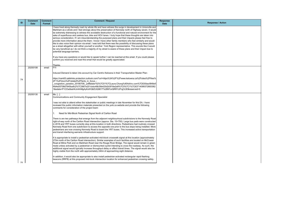|    | <b>Comment</b> | <b>Comment</b> | <b>Comment / Request</b>                                                                                                                                                                                                                                                                                                                                                                                                                                                                                                                                                                                                                                                                                                                                                                                                                                                                                                                                                                                                                                                                                                                                                                                                                                                                                                                                                                                                                                                                                                                                                                                                                                                                                                                                                                                                                                                                        | <b>Response</b> |                          |
|----|----------------|----------------|-------------------------------------------------------------------------------------------------------------------------------------------------------------------------------------------------------------------------------------------------------------------------------------------------------------------------------------------------------------------------------------------------------------------------------------------------------------------------------------------------------------------------------------------------------------------------------------------------------------------------------------------------------------------------------------------------------------------------------------------------------------------------------------------------------------------------------------------------------------------------------------------------------------------------------------------------------------------------------------------------------------------------------------------------------------------------------------------------------------------------------------------------------------------------------------------------------------------------------------------------------------------------------------------------------------------------------------------------------------------------------------------------------------------------------------------------------------------------------------------------------------------------------------------------------------------------------------------------------------------------------------------------------------------------------------------------------------------------------------------------------------------------------------------------------------------------------------------------------------------------------------------------|-----------------|--------------------------|
| ID | <b>Date</b>    | Format         |                                                                                                                                                                                                                                                                                                                                                                                                                                                                                                                                                                                                                                                                                                                                                                                                                                                                                                                                                                                                                                                                                                                                                                                                                                                                                                                                                                                                                                                                                                                                                                                                                                                                                                                                                                                                                                                                                                 | <b>Date</b>     | <b>Response / Action</b> |
|    |                |                | have lived along Kennedy road my whole life and have witness the surge in development in Unionville and<br>Markham as a whole and I feel strongly about the preservation of Kennedy north of Highway seven. It would<br>be extremely distressing to witness the avoidable destruction of a functional and natural environment for the<br>sake of superfluous and useless bus, bike and HOV lanes. I truly hope that these thoughts are taken into<br>serious consideration. If I am misunderstanding the purposed plans and their impacts please feel free to<br>provide more information about the them. I know I have other family members who feel similarly and would<br>like to also voice their opinion via email. I was told that there was the possibility of discussing these plans<br>as a street altogether with either yourself or another York Region representative. This sounds like it would<br>be very beneficial as I do not think a majority of my street is aware of these plans and their impact due to<br>potential language barriers.                                                                                                                                                                                                                                                                                                                                                                                                                                                                                                                                                                                                                                                                                                                                                                                                                                    |                 |                          |
|    |                |                | f you have any questions or would like to speak further I can be reached at this email. If you could please<br>confirm you received and read this email that would be greatly appreciated.                                                                                                                                                                                                                                                                                                                                                                                                                                                                                                                                                                                                                                                                                                                                                                                                                                                                                                                                                                                                                                                                                                                                                                                                                                                                                                                                                                                                                                                                                                                                                                                                                                                                                                      |                 |                          |
|    |                |                | Thanks,                                                                                                                                                                                                                                                                                                                                                                                                                                                                                                                                                                                                                                                                                                                                                                                                                                                                                                                                                                                                                                                                                                                                                                                                                                                                                                                                                                                                                                                                                                                                                                                                                                                                                                                                                                                                                                                                                         |                 |                          |
|    | 20200108       | email          | FYI                                                                                                                                                                                                                                                                                                                                                                                                                                                                                                                                                                                                                                                                                                                                                                                                                                                                                                                                                                                                                                                                                                                                                                                                                                                                                                                                                                                                                                                                                                                                                                                                                                                                                                                                                                                                                                                                                             |                 |                          |
|    |                |                | Induced Demand is taken into account by Car Centric Kelowna in their Transportation Master Plan:                                                                                                                                                                                                                                                                                                                                                                                                                                                                                                                                                                                                                                                                                                                                                                                                                                                                                                                                                                                                                                                                                                                                                                                                                                                                                                                                                                                                                                                                                                                                                                                                                                                                                                                                                                                                |                 |                          |
| 74 |                |                | https://nam05.safelinks.protection.outlook.com/?url=https%3A%2F%2Fwww.kelowna.ca%2Fsites%2Ffiles%<br>2F1%2Fdocs%2Frelated%2Ffacts in focus -<br>congestion paradox 20180708 .pdf&data=02%7C01%7CLaura.Chong%40hdrinc.com%7C635dacf848e5<br>4fd4e05708d7945ba9c2%7C3667e201cbdc48b39b425d2d3f16e2a9%7C0%7C1%7C63714099372683362<br>1&sdata=P1COw9sehKJmhhMgAyKxWQ6ZUQ981T%2B97orQRR1UPJg%3D&reserved=0                                                                                                                                                                                                                                                                                                                                                                                                                                                                                                                                                                                                                                                                                                                                                                                                                                                                                                                                                                                                                                                                                                                                                                                                                                                                                                                                                                                                                                                                                           |                 |                          |
|    | 20200130       | email          | Ms. []                                                                                                                                                                                                                                                                                                                                                                                                                                                                                                                                                                                                                                                                                                                                                                                                                                                                                                                                                                                                                                                                                                                                                                                                                                                                                                                                                                                                                                                                                                                                                                                                                                                                                                                                                                                                                                                                                          |                 |                          |
| 75 |                |                | Communications and Community Engagement Specialist<br>was not able to attend either the stakeholder or public meetings in late November for this EA. I have<br>reviewed the public information materials presented on the york.ca website and provide the following<br>comments for consideration of the project team:<br>Need for Mid-Block Pedestrian Signal North of Carlton Road<br>There is are two pathways that emerge from the adjacent neighbourhood subdivisions to the Kennedy Road<br>right-of-way north of the Carlton Road intersection (approx. Sta. 15+750). Large bus pads were constructed<br>in 2018 and YRT buses currently stop at this location in both directions. Pedestrians had routinely crossed<br>Kennedy Road from one subdivision to access the opposite one prior to the bus stops being installed. More<br>pedestrians are now crossing Kennedy Road to board the YRT buses. This increased active transportation<br>and transit interfacing warrants infrastructure support.<br>t is appropriate to install a pedestrian-activated mid-block crosswalk signal at this location (approximately<br>275m north of the Carlton Road intersection). Similar examples of such facilities are located on McCowan<br>Road at Milne Park and on Markham Road near the Rouge River Bridge. The signal would remain in green<br>mode unless activated by a pedestrian or dismounted cyclist intending to cross the roadway. As such, the<br>additional signal would typically increase throughput delay or affect transit times. The signal would also be<br>nighly visible from the north with approximately 240m of approaching sight distance.<br>n addition, it would also be appropriate to also install pedestrian-activated rectangular rapid flashing<br>beacons (RRFB) at this proposed mid-bock intersection location for enhanced pedestrian crossing safety. |                 |                          |
|    |                |                |                                                                                                                                                                                                                                                                                                                                                                                                                                                                                                                                                                                                                                                                                                                                                                                                                                                                                                                                                                                                                                                                                                                                                                                                                                                                                                                                                                                                                                                                                                                                                                                                                                                                                                                                                                                                                                                                                                 |                 |                          |
|    |                |                |                                                                                                                                                                                                                                                                                                                                                                                                                                                                                                                                                                                                                                                                                                                                                                                                                                                                                                                                                                                                                                                                                                                                                                                                                                                                                                                                                                                                                                                                                                                                                                                                                                                                                                                                                                                                                                                                                                 |                 |                          |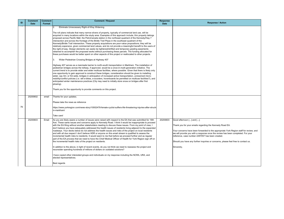| ID | <b>Comment</b><br><b>Date</b> | <b>Comment</b><br>Format | <b>Comment / Request</b>                                                                                                                                                                                                                                                                                                                                                                                                                                                                                                                                                                                                                                                                                                                                                                                                                                                                                                                                                                                                                                                                                                                                                                                                                                     | <b>Response</b><br><b>Date</b> |  |
|----|-------------------------------|--------------------------|--------------------------------------------------------------------------------------------------------------------------------------------------------------------------------------------------------------------------------------------------------------------------------------------------------------------------------------------------------------------------------------------------------------------------------------------------------------------------------------------------------------------------------------------------------------------------------------------------------------------------------------------------------------------------------------------------------------------------------------------------------------------------------------------------------------------------------------------------------------------------------------------------------------------------------------------------------------------------------------------------------------------------------------------------------------------------------------------------------------------------------------------------------------------------------------------------------------------------------------------------------------|--------------------------------|--|
|    |                               |                          | 2.<br>Eliminate Unnecessary Right-of-Way Widening                                                                                                                                                                                                                                                                                                                                                                                                                                                                                                                                                                                                                                                                                                                                                                                                                                                                                                                                                                                                                                                                                                                                                                                                            |                                |  |
|    |                               |                          | The roll plans indicate that many narrow slivers of property, typically of commercial land use, will be<br>acquired in many locations within the study area. Examples of this approach include, thin property takings<br>proposed across Pacific Mall, the PetroCanada station in the northeast quadrant of the Kennedy/Hwy 7<br>intersection and across the frontage of the Bridle Trail Plaza in the southeast quadrant of the<br>Kennedy/Bridle Trail intersection. These property acquisitions are poor-value propositions; they will be<br>relatively expensive, given commercial land values, and do not provide a meaningful benefit to the users of<br>the right-of-way. Design elements can easily be tightened/shifted and temporary grading easements<br>obtained to accomplish the proposed works without purchasing these parcels. The funding allocated for<br>these purchases would be better spent on other aspects of this project or reallocated to other projects.                                                                                                                                                                                                                                                                        |                                |  |
|    |                               |                          | 3.<br>Wider Pedestrian Crossing Bridges at Highway 407                                                                                                                                                                                                                                                                                                                                                                                                                                                                                                                                                                                                                                                                                                                                                                                                                                                                                                                                                                                                                                                                                                                                                                                                       |                                |  |
|    |                               |                          | Highway 407 serves as a manmade barrier to north-south transportation in Markham. The installation of<br>pedestrian bridges across the tollway, if approved, would be a once-in-multi-generation initiative. The<br>current trend is to provide wider and wider multiuse facilities, where possible. Given that there is likely only<br>one opportunity to gain approval to construct these bridges, consideration should be given to installing<br>wider, say 4m- or 5m-wide, bridges in anticipation of increased active transportation, unresolved micro-<br>mobility/conflict policies (i.e. will e-bikes, e-scooters, hoverboards be permitted on multiuse facilities?), and<br>anticipated winter maintenance practices (City may need to initially store snow on bridges after first<br>plowing).                                                                                                                                                                                                                                                                                                                                                                                                                                                     |                                |  |
|    |                               |                          | Thank you for the opportunity to provide comments on this project.                                                                                                                                                                                                                                                                                                                                                                                                                                                                                                                                                                                                                                                                                                                                                                                                                                                                                                                                                                                                                                                                                                                                                                                           |                                |  |
|    | 20200602                      | email                    | Thanks for your updates.                                                                                                                                                                                                                                                                                                                                                                                                                                                                                                                                                                                                                                                                                                                                                                                                                                                                                                                                                                                                                                                                                                                                                                                                                                     |                                |  |
| 76 |                               |                          | Please take the news as reference<br>https://www.yorkregion.com/news-story/10002478-female-cyclist-suffers-life-threatening-injuries-after-struck-<br>in-markham/                                                                                                                                                                                                                                                                                                                                                                                                                                                                                                                                                                                                                                                                                                                                                                                                                                                                                                                                                                                                                                                                                            |                                |  |
|    |                               |                          | Take care!                                                                                                                                                                                                                                                                                                                                                                                                                                                                                                                                                                                                                                                                                                                                                                                                                                                                                                                                                                                                                                                                                                                                                                                                                                                   |                                |  |
|    | 20200603                      | Email                    | As you are likely aware a number of issues were raised with respect to the EA that was submitted for 16th<br>Ave. These same issues and concerns apply to Kennedy Road. I think it would be inappropriate to proceed<br>with the EA filing without another stakeholders meeting to discuss these issues. From my point of view, I<br>don't believe you have adequately addressed the health issues of residents living adjacent to the expanded<br>roadways. Your decks below do not address the health issues and risks of the project on local residents<br>and with all due respect I don't believe HDR or anyone on this email stream is qualified to assess the<br>incremental health risks to residents. It would seem to me that before we proceed further and as regular<br>part of the EA process that we need to have the Chief Medical Officer of Health for York Region sign off on<br>the incremental health risks of the project on residents.<br>In addition to the above, in light of recent events, do you not think we need to reassess the project and<br>reconsider spending hundreds of millions of dollars on outdated solutions?<br>I have copied other interested groups and individuals on my response including the NCRA, URA, and | 20200603                       |  |
|    |                               |                          | elected representatives.<br>Best regards                                                                                                                                                                                                                                                                                                                                                                                                                                                                                                                                                                                                                                                                                                                                                                                                                                                                                                                                                                                                                                                                                                                                                                                                                     |                                |  |
|    |                               |                          |                                                                                                                                                                                                                                                                                                                                                                                                                                                                                                                                                                                                                                                                                                                                                                                                                                                                                                                                                                                                                                                                                                                                                                                                                                                              |                                |  |

**Response / Action** 

Good afternoon [...] and [...],

Thank you for your emails regarding the Kennedy Road EA.

Your concerns have been forwarded to the appropriate York Region staff for review, and we will provide you with a response once the review has been completed. For your reference, case number 2297057 has been created.

Should you have any further inquiries or concerns, please feel free to contact us.

Sincerely,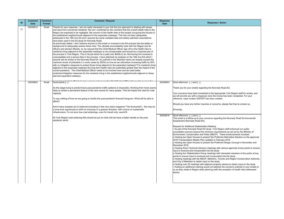This email is a follow-up to your concerns regarding the Kennedy Road Environmental Assessment (Kennedy Road EA).

As part of the Kennedy Road EA study, York Region staff enhanced our public consultation process beyond the minimum requirements as set out by the Ministry of Environment, Conservation and Parks (MECP). These enhancements included:

o Hosting three Technical Advisory meetings with various agencies at key points to ensure nput is received and incorporated into the study

Your concerns have been forwarded to the appropriate York Region staff for review, and we will provide you with a response once the review has been completed. For your reference, case number 2297057 has been created.

| ID | <b>Comment</b><br><b>Date</b> | <b>Comment</b><br>Format | <b>Comment / Request</b>                                                                                                                                                                                                                                                                                                                                                                                                                                                                                                                                                                                                                                                                                                                                                                                                                                                                                                                                                                                                                                                                                                                                                                                                                                                                                                                                                                                                                                                                                                                                                                                                                                                                                                                                                                                                                                                                                                                                               | <b>Response</b><br><b>Date</b> |                  |
|----|-------------------------------|--------------------------|------------------------------------------------------------------------------------------------------------------------------------------------------------------------------------------------------------------------------------------------------------------------------------------------------------------------------------------------------------------------------------------------------------------------------------------------------------------------------------------------------------------------------------------------------------------------------------------------------------------------------------------------------------------------------------------------------------------------------------------------------------------------------------------------------------------------------------------------------------------------------------------------------------------------------------------------------------------------------------------------------------------------------------------------------------------------------------------------------------------------------------------------------------------------------------------------------------------------------------------------------------------------------------------------------------------------------------------------------------------------------------------------------------------------------------------------------------------------------------------------------------------------------------------------------------------------------------------------------------------------------------------------------------------------------------------------------------------------------------------------------------------------------------------------------------------------------------------------------------------------------------------------------------------------------------------------------------------------|--------------------------------|------------------|
| 77 | 20200812                      | Email                    | Thanks for your response. I am not really interested in your tick the box approach to dealing with issues<br>and input from concerned residents. Nor am I comforted by the comment that the overall health risks to the<br>Region are expected to be negligible. My concern is the health risks to the people occupying the houses in<br>the established neighborhoods adjacent to the expanded roadways. This has not been adequately<br>addressed in the 16th Ave EA and I assume the same outdated data and widely optimistic assumptions<br>have been used in the EA study for Kennedy Road.<br>As previously stated, I don't believe anyone on this email or involved in the EA process has the ability or<br>background to adequately assess these risks. The ultimate accountability rests with the Region and its<br>officers and elected officials, so my request that the Chief Medical Officer sign off on the health risks to<br>residents living adjacent to the expanded roadways is not unreasonable and should be a required part of<br>the process in York Region. This is his job which he is paid over \$400k to do. Not having him involved is<br>unacceptable and a serious flaw in the process. I have attached my analysis on the 16th Ave EA which i<br>assume will be similar to the Kennedy Road EA. As outlined in the attached memo we already exceed the<br>maximum levels of pollutants (in some cases by 200%) so how do we rationalize increasing traffic by 50%<br>with no mitigation measures to protect those living adjacent to the expanded roadways? For residents living<br>adjacent to the expanded roadways the long term health risks are potentially greater than the impact of the<br>current pandemic. The Chief Medical Officer needs to be involved here and we need better<br>protection/mitigation measures for the residents living in the established neighborhoods adjacent to these<br>planned expanded roadways. |                                |                  |
|    | 20200603                      | Email                    | Good points [].                                                                                                                                                                                                                                                                                                                                                                                                                                                                                                                                                                                                                                                                                                                                                                                                                                                                                                                                                                                                                                                                                                                                                                                                                                                                                                                                                                                                                                                                                                                                                                                                                                                                                                                                                                                                                                                                                                                                                        | 20200603                       | G                |
|    |                               |                          | As this stage trying to predict future post-pandemic traffic patterns is impossible. Working from home seems<br>likely to remain a permanent feature of the new normal for many people. That will impact the need for road<br>capacity.                                                                                                                                                                                                                                                                                                                                                                                                                                                                                                                                                                                                                                                                                                                                                                                                                                                                                                                                                                                                                                                                                                                                                                                                                                                                                                                                                                                                                                                                                                                                                                                                                                                                                                                                |                                |                  |
|    |                               |                          | To say nothing of how we are going to handle the post-pandemic financial hangover. What will be able to                                                                                                                                                                                                                                                                                                                                                                                                                                                                                                                                                                                                                                                                                                                                                                                                                                                                                                                                                                                                                                                                                                                                                                                                                                                                                                                                                                                                                                                                                                                                                                                                                                                                                                                                                                                                                                                                |                                | W<br>$r\epsilon$ |
|    |                               |                          | afford?<br>And if many analysts are to believed (including in that very sober magazine "The Economist"), this may be                                                                                                                                                                                                                                                                                                                                                                                                                                                                                                                                                                                                                                                                                                                                                                                                                                                                                                                                                                                                                                                                                                                                                                                                                                                                                                                                                                                                                                                                                                                                                                                                                                                                                                                                                                                                                                                   |                                | ls               |
|    |                               |                          | a once-ever opportunity to shift our economy in a greener direction, with a focus on sustainable<br>infrastructure. I'm not sure how road widenings, even for transit only, would fit.                                                                                                                                                                                                                                                                                                                                                                                                                                                                                                                                                                                                                                                                                                                                                                                                                                                                                                                                                                                                                                                                                                                                                                                                                                                                                                                                                                                                                                                                                                                                                                                                                                                                                                                                                                                 |                                | IS               |
|    |                               |                          | All York Region road widening EAs should be put on hold until we have a better handle on the post-<br>pandemic world.                                                                                                                                                                                                                                                                                                                                                                                                                                                                                                                                                                                                                                                                                                                                                                                                                                                                                                                                                                                                                                                                                                                                                                                                                                                                                                                                                                                                                                                                                                                                                                                                                                                                                                                                                                                                                                                  | 20200619                       | <b>G</b><br>A    |
|    |                               |                          |                                                                                                                                                                                                                                                                                                                                                                                                                                                                                                                                                                                                                                                                                                                                                                                                                                                                                                                                                                                                                                                                                                                                                                                                                                                                                                                                                                                                                                                                                                                                                                                                                                                                                                                                                                                                                                                                                                                                                                        |                                | R                |
|    |                               |                          |                                                                                                                                                                                                                                                                                                                                                                                                                                                                                                                                                                                                                                                                                                                                                                                                                                                                                                                                                                                                                                                                                                                                                                                                                                                                                                                                                                                                                                                                                                                                                                                                                                                                                                                                                                                                                                                                                                                                                                        |                                | lc(<br>E         |
|    |                               |                          |                                                                                                                                                                                                                                                                                                                                                                                                                                                                                                                                                                                                                                                                                                                                                                                                                                                                                                                                                                                                                                                                                                                                                                                                                                                                                                                                                                                                                                                                                                                                                                                                                                                                                                                                                                                                                                                                                                                                                                        |                                | ΙO               |
|    |                               |                          |                                                                                                                                                                                                                                                                                                                                                                                                                                                                                                                                                                                                                                                                                                                                                                                                                                                                                                                                                                                                                                                                                                                                                                                                                                                                                                                                                                                                                                                                                                                                                                                                                                                                                                                                                                                                                                                                                                                                                                        |                                | IО<br>ID         |
|    |                               |                          |                                                                                                                                                                                                                                                                                                                                                                                                                                                                                                                                                                                                                                                                                                                                                                                                                                                                                                                                                                                                                                                                                                                                                                                                                                                                                                                                                                                                                                                                                                                                                                                                                                                                                                                                                                                                                                                                                                                                                                        |                                | ΙO<br> in        |
|    |                               |                          |                                                                                                                                                                                                                                                                                                                                                                                                                                                                                                                                                                                                                                                                                                                                                                                                                                                                                                                                                                                                                                                                                                                                                                                                                                                                                                                                                                                                                                                                                                                                                                                                                                                                                                                                                                                                                                                                                                                                                                        |                                | lo<br>p          |
|    |                               |                          |                                                                                                                                                                                                                                                                                                                                                                                                                                                                                                                                                                                                                                                                                                                                                                                                                                                                                                                                                                                                                                                                                                                                                                                                                                                                                                                                                                                                                                                                                                                                                                                                                                                                                                                                                                                                                                                                                                                                                                        |                                | lo<br>a<br>ΙO    |
|    |                               |                          |                                                                                                                                                                                                                                                                                                                                                                                                                                                                                                                                                                                                                                                                                                                                                                                                                                                                                                                                                                                                                                                                                                                                                                                                                                                                                                                                                                                                                                                                                                                                                                                                                                                                                                                                                                                                                                                                                                                                                                        |                                |                  |
|    |                               |                          |                                                                                                                                                                                                                                                                                                                                                                                                                                                                                                                                                                                                                                                                                                                                                                                                                                                                                                                                                                                                                                                                                                                                                                                                                                                                                                                                                                                                                                                                                                                                                                                                                                                                                                                                                                                                                                                                                                                                                                        |                                | Ib               |
|    |                               |                          |                                                                                                                                                                                                                                                                                                                                                                                                                                                                                                                                                                                                                                                                                                                                                                                                                                                                                                                                                                                                                                                                                                                                                                                                                                                                                                                                                                                                                                                                                                                                                                                                                                                                                                                                                                                                                                                                                                                                                                        |                                |                  |

**Response / Action** 

 $\mathsf B$ ood afternoon  $[\ldots]$  and  $[\ldots]$ ,

Thank you for your emails regarding the Kennedy Road EA.

Should you have any further inquiries or concerns, please feel free to contact us.

Sincerely,

Good afternoon [...] and [...],

Request for Additional Stakeholders Meeting

o Hosting two Open Houses to present the Preferred Alternative Solution on the approved 2016 Transportation Master Plan updated in February 2018

o Hosting two Open Houses to present the Preferred Design Concept in November and December 2019

o Hosting four Stakeholders Group meetings with interested members of the public at key points to ensure input is received and incorporated into the study

o Hosting meetings with the MECP, Metrolinx, Toronto and Region Conservation Authority, and City of Markham to obtain input on the study

o Hosting over 25 meetings with adjacent property owners to obtain input on the study • Hosting an additional meeting would not address the concerns outlined in your emails to us as they relate to Region-wide planning (with the exception of health risks addressed below)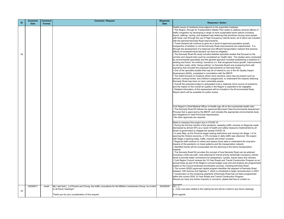Health issues of residents living adjacent to the expanded roadways • The Region, through its Transportation Master Plan seeks to address adverse effects of raffic congestion by developing a range of more sustainable travel options including ransit, walking, cycling, and targeted road widening that prioritizes moving more people with fewer cars through the use of High Occupancy Vehicle lanes, all of which are included with the planned Kennedy Road improvements.

• The Kennedy Road EA study included detailed specialist studies that focused on the corridor and impacts that could be considered as 'health risks'. The studies were conducted by environmental specialists and the general approach included establishing a baseline of existing and future "do-nothing" scenarios (i.e. that recognized future growth, improvements on all other roads, while "doing-nothing" on Kennedy Road) and comparing them with cenarios that included the proposed improvements on Kennedy Road.

• Travel demand will continue to grow as a result of approved population growth, respective of whether or not the Kennedy Road improvements are implemented. It is hrough the development of a balanced and efficient transportation network that adverse effects of increased travel demand can best be mitigated.

The AQIA focused on locations where more sensitive users may be present such as chools, nursing homes, and children's playgrounds, to understand the impacts widening Kennedy Road may have on more vulnerable people.

• Overall the proposed project is anticipated to be a relatively minor source of emissions, and the impact on the overall air quality in the Region is expected to be negligible. • Detailed information of this assessment will be included in the Environmental Study Report which will be available for public review.

• During the first few months of the pandemic, weekday traffic volumes on Regional roads lecreased by almost 50% as a result of health and safety measures implemented by all evels of government to mitigate the spread COVID-19.

• One of the specialist studies that may be of interest to you is the Air Quality Impact Assessment (AQIA), completed in consultation with the MECP.

Sincerely 1i […],

...] has now been added to the mailing list and will be invited to any future meetings.

| ID | <b>Comment</b><br><b>Date</b> | <b>Comment</b><br>Format | <b>Comment / Request</b>                                                                                                               | Response<br><b>Date</b> |                                      |
|----|-------------------------------|--------------------------|----------------------------------------------------------------------------------------------------------------------------------------|-------------------------|--------------------------------------|
|    |                               |                          |                                                                                                                                        |                         | ΙH<br>l۰.                            |
|    |                               |                          |                                                                                                                                        |                         | tr                                   |
|    |                               |                          |                                                                                                                                        |                         | tr<br> W                             |
|    |                               |                          |                                                                                                                                        |                         | l۸<br>l.                             |
|    |                               |                          |                                                                                                                                        |                         | ir<br> tr                            |
| 78 |                               |                          |                                                                                                                                        |                         | $\cdot$                              |
|    |                               |                          |                                                                                                                                        |                         | c<br>o<br>o<br>o<br>o<br>o<br>o      |
|    |                               |                          |                                                                                                                                        |                         |                                      |
|    |                               |                          |                                                                                                                                        |                         | l.                                   |
|    |                               |                          |                                                                                                                                        |                         | A<br>l.                              |
|    |                               |                          |                                                                                                                                        |                         | ls<br>İΚ                             |
|    |                               |                          |                                                                                                                                        |                         | l.<br> a                             |
|    |                               |                          |                                                                                                                                        |                         | l.<br> R                             |
|    |                               |                          |                                                                                                                                        |                         |                                      |
|    |                               |                          |                                                                                                                                        |                         |                                      |
|    |                               |                          |                                                                                                                                        |                         | I٢<br>l۰.                            |
|    |                               |                          |                                                                                                                                        |                         | P<br> a                              |
|    |                               |                          |                                                                                                                                        |                         | I۰                                   |
|    |                               |                          |                                                                                                                                        |                         | $\overline{\mathsf{N}}$<br>$\bullet$ |
|    |                               |                          |                                                                                                                                        |                         | ld<br> le                            |
|    |                               |                          |                                                                                                                                        |                         | l.<br>١o                             |
|    |                               |                          |                                                                                                                                        |                         | I۸<br>l.                             |
|    |                               |                          |                                                                                                                                        |                         | ir<br>l۰.                            |
|    |                               |                          |                                                                                                                                        |                         | n<br>l۰.                             |
|    |                               |                          |                                                                                                                                        |                         | ir<br>la                             |
|    |                               |                          |                                                                                                                                        |                         | l.<br> a                             |
|    |                               |                          |                                                                                                                                        |                         | b<br>l.                              |
|    |                               |                          |                                                                                                                                        |                         | b<br>l.                              |
|    |                               |                          |                                                                                                                                        |                         | I٧<br>ls                             |
|    |                               |                          |                                                                                                                                        |                         |                                      |
|    | 20200617                      | email                    | My I ask that [] of Poulos and Chung, the traffic consultants for the Milliken Landowners Group, he invited<br>to all future meetings? | 20200629                | $\frac{1}{1}$<br>II                  |
| 79 |                               |                          | Thank you for your consideration of this request.                                                                                      |                         | ļΚ                                   |

#### **Response / Action**

York Region's Chief Medical Officer of Health sign off on the incremental health risks • The Kennedy Road EA follows the approved Municipal Class Environmental Assessment Process that is approved by the MECP, and includes the appropriate environmental study and mitigations to meet Provincial requirements. • No other approvals are required.

Need to reassess this project due to COVID-19

• In early May, as the Province began easing restrictions and moving into Stage 1 of repening the Ontario economy, a 12% increase in daily traffic was observed. We expect with Stage 2 opening today, traffic volumes will further increase.

• Regional staff continue to collect and assess travel data to understand the long-term mpacts of the pandemic on travel patterns and the transportation network. Identified trends will be incorporated into the planning of the future transportation network.

• The Kennedy Road EA provides the concept of how Kennedy Road can be widened, ncluding a multi-use path, road widening for transit priority lanes/high occupancy vehicle lanes to provide better connections for pedestrians, cyclists, transit users and vehicles. • York Region Council reviews the 10-Year Roads and Transit Construction Program on an annual basis as part of the Region's annual budget cycle and and projects are programmed ased on the Council-endorsed prioritization process, including Kennedy Road. • The current (2020) approved capital program identifies the segment of Kennedy Road between 14th Avenue and Highway 7, which is scheduled to begin reconstruction in 2023. • Construction on the remaining segments of Kennedy Road has not been programmed within the current 2020 10-Year Roads and Transit Construction Program. Should you have any further inquiries or concerns, please feel free to contact us.

Kind regards,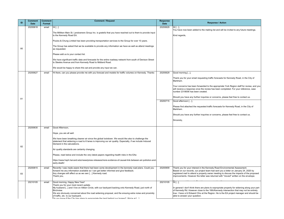Your concerns has been forwarded to the appropriate York Region staff for review, and you $\vert$ will receive a response once the review has been completed. For your reference, case number 2318006 has been created.

Please find attached the requested traffic forecasts for Kennedy Road, in the City of Markham.

You have now been added to the mailing list and will be invited to any future meetings. Kind regards,

Thank you for your email requesting traffic forecasts for Kennedy Road, in the City of Markham.

Thank you for your interest in the Kennedy Road Environmental Assessment. Based on our records, our project team had sent you a letter on January 24, 2020 by egistered mail to attend a property owner meeting to discuss the impacts of the proposed mprovements. However the letter was returned with "moved" written on the envelope.

I general I don't think there are plans to expropriate property for widening along your part f Kennedy Rd. However close to the 16th/Kennedy intersection that may not be entirely rue. I have cc'd Edward Chiu at the Region. He is the EA project manager and should be able to answer your question.

| ID | <b>Comment</b>          | <b>Comment</b>  | <b>Comment / Request</b>                                                                                                                                                                                                                                                                                     | <b>Response</b>         | <b>Response / Action</b>                                                                                                                                                                                                                                                                                                        |
|----|-------------------------|-----------------|--------------------------------------------------------------------------------------------------------------------------------------------------------------------------------------------------------------------------------------------------------------------------------------------------------------|-------------------------|---------------------------------------------------------------------------------------------------------------------------------------------------------------------------------------------------------------------------------------------------------------------------------------------------------------------------------|
|    | <b>Date</b><br>20200618 | Format<br>email | Hi []                                                                                                                                                                                                                                                                                                        | <b>Date</b><br>20200629 | $Hi$ [],                                                                                                                                                                                                                                                                                                                        |
|    |                         |                 | The Milliken Main St. Landowners Group Inc. is grateful that you have reached out to them to provide input<br>to the Kennedy Road EA.                                                                                                                                                                        |                         | You have now been added to the mailing list and will be invited to any future m<br>Kind regards,                                                                                                                                                                                                                                |
|    |                         |                 | Poulos & Chung Limited has been providing transportation services to the Group for over 10 years.                                                                                                                                                                                                            |                         |                                                                                                                                                                                                                                                                                                                                 |
| 80 |                         |                 | The Group has asked that we be available to provide any information we have as well as attend meetings<br>as requested.                                                                                                                                                                                      |                         |                                                                                                                                                                                                                                                                                                                                 |
|    |                         |                 | Please add us to your contact list.                                                                                                                                                                                                                                                                          |                         |                                                                                                                                                                                                                                                                                                                                 |
|    |                         |                 | We have significant traffic data and forecasts for the entire roadway network from south of Denison Street<br>to Steeles Avenue and from Kennedy Road to Midland Road.                                                                                                                                       |                         |                                                                                                                                                                                                                                                                                                                                 |
|    |                         |                 | We would be happy to share this sat and provide any input we can.                                                                                                                                                                                                                                            |                         |                                                                                                                                                                                                                                                                                                                                 |
|    | 20200627                | email           | Hi there, can you please provide me with you forecast and models for traffic volumes on Kennedy. Thanks                                                                                                                                                                                                      | 20200629                | Good morning [],                                                                                                                                                                                                                                                                                                                |
|    |                         |                 |                                                                                                                                                                                                                                                                                                              |                         | Thank you for your email requesting traffic forecasts for Kennedy Road, in the<br>Markham.                                                                                                                                                                                                                                      |
|    |                         |                 |                                                                                                                                                                                                                                                                                                              |                         | Your concerns has been forwarded to the appropriate York Region staff for rev<br>will receive a response once the review has been completed. For your referend<br>number 2318006 has been created.                                                                                                                              |
|    |                         |                 |                                                                                                                                                                                                                                                                                                              |                         | Should you have any further inquiries or concerns, please feel free to contact u                                                                                                                                                                                                                                                |
| 81 |                         |                 |                                                                                                                                                                                                                                                                                                              | 20200715                | Good afternoon [],                                                                                                                                                                                                                                                                                                              |
|    |                         |                 |                                                                                                                                                                                                                                                                                                              |                         | Please find attached the requested traffic forecasts for Kennedy Road, in the C<br>Markham.                                                                                                                                                                                                                                     |
|    |                         |                 |                                                                                                                                                                                                                                                                                                              |                         | Should you have any further inquiries or concerns, please feel free to contact u                                                                                                                                                                                                                                                |
|    |                         |                 |                                                                                                                                                                                                                                                                                                              |                         | Sincerely,                                                                                                                                                                                                                                                                                                                      |
|    | 20200630                | email           | Good Afternoon,                                                                                                                                                                                                                                                                                              |                         |                                                                                                                                                                                                                                                                                                                                 |
|    |                         |                 | Hope, you are all well.                                                                                                                                                                                                                                                                                      |                         |                                                                                                                                                                                                                                                                                                                                 |
|    |                         |                 | We have been breathing cleaner air since the global lockdown. We would like also to challenge the<br>statement that widening a road to 6 lanes is improving our air quality. Especially, if we include Induced<br>Demand in the calculations.                                                                |                         |                                                                                                                                                                                                                                                                                                                                 |
| 82 |                         |                 | Air quality standards are certainly changing.                                                                                                                                                                                                                                                                |                         |                                                                                                                                                                                                                                                                                                                                 |
|    |                         |                 | Please, read below and include the very latest papers regarding health risks in the EAs:                                                                                                                                                                                                                     |                         |                                                                                                                                                                                                                                                                                                                                 |
|    |                         |                 | https://www.hsph.harvard.edu/news/press-releases/more-evidence-of-causal-link-between-air-pollution-and-<br>early-death/                                                                                                                                                                                     |                         |                                                                                                                                                                                                                                                                                                                                 |
| 83 | 20200815                | email           | Recently I was made aware that there had been some development in the kennedy road plans. Could you<br>forward me any information available so I can get better informed and give feedback.<br>Any changes will affect us as we own [] Kennedy road.<br>Thank you,                                           | 20200909                | Thank you for your interest in the Kennedy Road Environmental Assessment.<br>Based on our records, our project team had sent you a letter on January 24, 20<br>registered mail to attend a property owner meeting to discuss the impacts of th<br>improvements. However the letter was returned with "moved" written on the ent |
|    | 20210105                | email           | Good morning, Happy New Year!                                                                                                                                                                                                                                                                                | 20210105                | $Hi$ [],                                                                                                                                                                                                                                                                                                                        |
|    |                         |                 | Thank you for your most recent update.<br>My husband [] and I live on Aitken Circle, with our backyard backing onto Kennedy Road, just north of<br>Birchview.<br>We are obviously concerned about the road widening proposal, and the ensuing extra noise and proximity<br>of traffic, etc. to our backyard. |                         | In general I don't think there are plans to expropriate property for widening alor<br>of Kennedy Rd. However close to the 16th/Kennedy intersection that may not b<br>true. I have cc'd Edward Chiu at the Region. He is the EA project manager and<br>able to answer your question.                                            |
|    |                         |                 | Do you know if the City has plane to everepriate the land behind our hemen? We're at [1]                                                                                                                                                                                                                     |                         |                                                                                                                                                                                                                                                                                                                                 |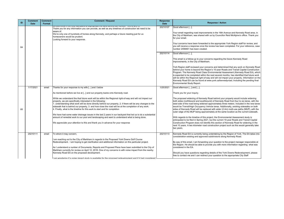Your email regarding road improvements in the 16th Avenue and Kennedy Road area, in he City of Markham, was shared with us by Councillor Reid McAlpine's office. Thank you or your email.

Your concerns have been forwarded to the appropriate York Region staff for review, and ou will receive a response once the review has been completed. For your reference, case umber 2498461 has been created.

3ood afternoon [...],

This email is a follow-up to your concerns regarding the future Kennedy Road mprovements, in the City of Markham.

York Region staff reviewed your concerns and determined that any work on Kennedy Road behind your home is beyond the Region's 10-year Roads and Transit Capital Construction Program. The Kennedy Road Class Environmental Assessment (Kennedy Road EA), which expected to be completed within the next several months, has identified that future work will be within the Regional right-of-way and will not impact your property. Information on the Kennedy Road EA can be found at www.york.ca/kennedyroad, including the pending final Environmental Study Report.

Sood afternoon [...] and [...],

hank you for your inquiry.

The proposed widening of Kennedy Road behind your property would include widening both sides (northbound and southbound) of Kennedy Road from four to six lanes, with the west side of the road being widened approximately three meters. Included in the new lanes would be Transit/High Occupancy Vehicle lanes. Additionally, existing sidewalks on both ides of Kennedy Road will be replaced with wider (2.4m) multi-use paths (MUP), with the outer edge of the MUP being approximately at the same location as the current sidewalk.

With regards to the timeline of this project, the Environmental Assessment study is anticipated to be filed in Spring 2021, but the current 10-year Roads and Transit Capital Construction Program does not identify this section of Kennedy Road for widening in the next 10 years. A two kilometer road construction project such as this would generally take wo years.

Cennedy Road EA is currently being undertaking by the Region of York. The EA takes into consideration existing and approved subdivisions along Kennedy Road.

By way of this email, I am forwarding your question to the project manager responsible at he Region. He should be able to provide you with more information regarding what was considered in the EA.

Should you have questions regarding details of the York Downs Redevelopment, please ree to contact me and I can redirect your question to the appropriate City Staff

| ID | <b>Comment</b><br><b>Date</b> | <b>Comment</b><br>Format | <b>Comment / Request</b>                                                                                                                                                                                                                                                                                                                                                                                                                                                                                                                                                                                                                                                                                                                                                                                                                                                                                                | <b>Response</b><br><b>Date</b> |                                                                |
|----|-------------------------------|--------------------------|-------------------------------------------------------------------------------------------------------------------------------------------------------------------------------------------------------------------------------------------------------------------------------------------------------------------------------------------------------------------------------------------------------------------------------------------------------------------------------------------------------------------------------------------------------------------------------------------------------------------------------------------------------------------------------------------------------------------------------------------------------------------------------------------------------------------------------------------------------------------------------------------------------------------------|--------------------------------|----------------------------------------------------------------|
| 84 |                               |                          | Thank you for any information you can provide, as well as any timelines of construction we need to be<br>aware of.<br>We're only one of hundreds of homes along Kennedy, and perhaps a future meeting just for us<br>homeowners would be prudent.<br>Looking forward to your response.                                                                                                                                                                                                                                                                                                                                                                                                                                                                                                                                                                                                                                  | 20210107<br>20210114           | lG<br>fc<br>In<br>G<br>lin<br>۱b<br> P<br> is<br>W<br>ļΚ<br>İΕ |
| 85 | 1/17/2021                     | email                    | Thanks for your response to my wife [] and I below<br>As mentioned before we live at [] and our property backs onto Kennedy road.<br>While we understand the that future work will be within the Regional right-of-way and will not impact our<br>property, we are specifically interested in the following:<br>1. understanding what work will be done directly behind our property, 2. if there will be any changes to the<br>sidewalk that is behind our property, 3. and how close the road will be at the completion of any work.<br>4. Finally, what is the timeline for this work to start and for completion<br>We have had some water drainage issues in the last 2 years in our backyard that led us to do a substantial<br>amount of remedial work to our pool and landscaping and want to understand what is being done.<br>We appreciate your attention to this and thank you in advance for your response | 1/25/2021                      | lG<br>١w<br> W<br> si<br>lo<br>I٧<br>lal<br>IС<br>۱n<br> tv    |
|    | 20210111                      | email                    | To whom it may concern,<br>am reaching out to the City of Markham in regards to the Proposed York Downs Golf Course<br>Redevelopment. I am hoping to get clarification and additional information on this particular project.<br>As I understand a number of Documents, Reports and Proposed Plans have been submitted to the City of<br>Markham currently for review on April 12, 2018. One of my concerns is with noise impact from the nearby<br>Kennedy Road EA on the proposed development.<br>II am wondering if a noise imnact study is available for the proposed redevelopment and if it had considered                                                                                                                                                                                                                                                                                                        | 20210113                       | ļΚ<br> C<br>IВ<br><sup>th</sup><br>lC(<br>lS<br>lfr            |

#### **Response / Action**

3ood afternoon [...],